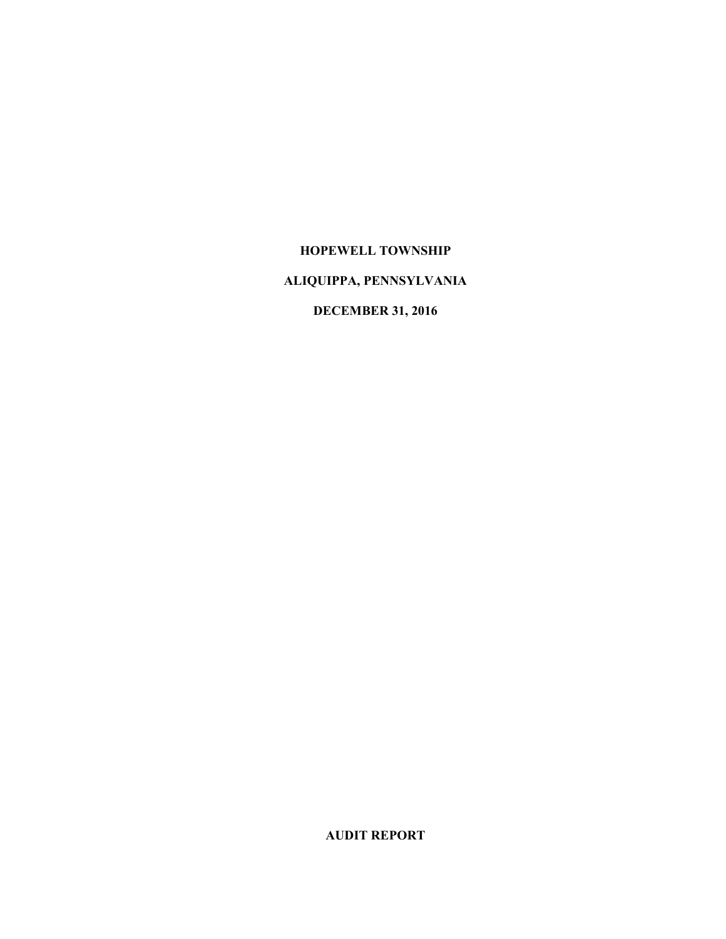# **ALIQUIPPA, PENNSYLVANIA**

# **DECEMBER 31, 2016**

**AUDIT REPORT**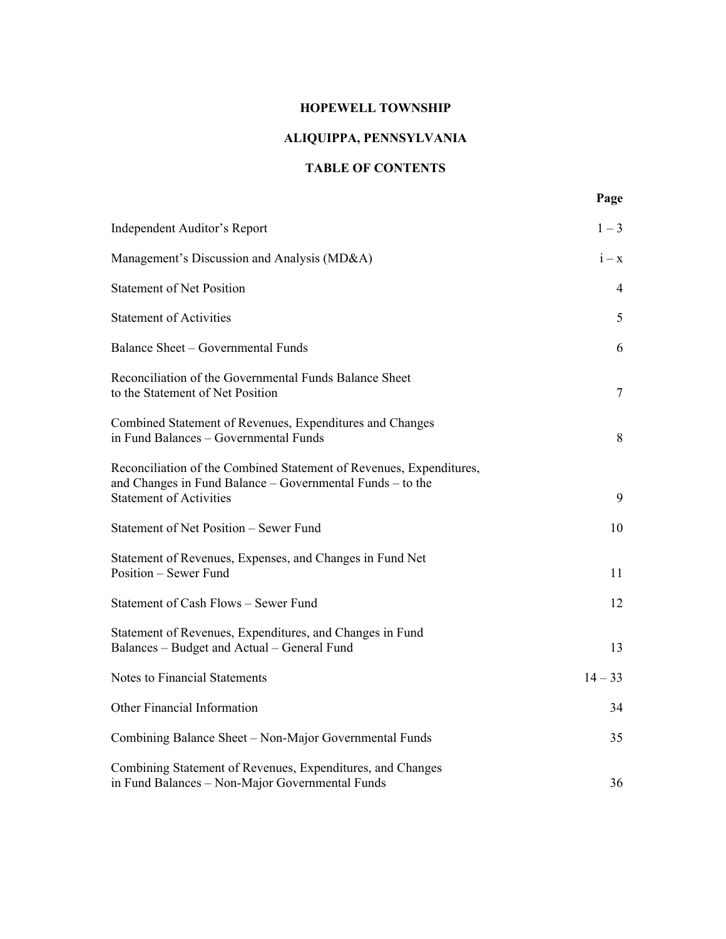# **ALIQUIPPA, PENNSYLVANIA**

# **TABLE OF CONTENTS**

 **Page** 

| <b>Independent Auditor's Report</b>                                                                                                                                | $1 - 3$        |
|--------------------------------------------------------------------------------------------------------------------------------------------------------------------|----------------|
| Management's Discussion and Analysis (MD&A)                                                                                                                        | $i - x$        |
| <b>Statement of Net Position</b>                                                                                                                                   | $\overline{4}$ |
| <b>Statement of Activities</b>                                                                                                                                     | 5              |
| Balance Sheet - Governmental Funds                                                                                                                                 | 6              |
| Reconciliation of the Governmental Funds Balance Sheet<br>to the Statement of Net Position                                                                         | $\tau$         |
| Combined Statement of Revenues, Expenditures and Changes<br>in Fund Balances - Governmental Funds                                                                  | 8              |
| Reconciliation of the Combined Statement of Revenues, Expenditures,<br>and Changes in Fund Balance – Governmental Funds – to the<br><b>Statement of Activities</b> | 9              |
| Statement of Net Position - Sewer Fund                                                                                                                             | 10             |
| Statement of Revenues, Expenses, and Changes in Fund Net<br>Position - Sewer Fund                                                                                  | 11             |
| Statement of Cash Flows - Sewer Fund                                                                                                                               | 12             |
| Statement of Revenues, Expenditures, and Changes in Fund<br>Balances - Budget and Actual - General Fund                                                            | 13             |
| <b>Notes to Financial Statements</b>                                                                                                                               | $14 - 33$      |
| Other Financial Information                                                                                                                                        | 34             |
| Combining Balance Sheet – Non-Major Governmental Funds                                                                                                             | 35             |
| Combining Statement of Revenues, Expenditures, and Changes<br>in Fund Balances - Non-Major Governmental Funds                                                      | 36             |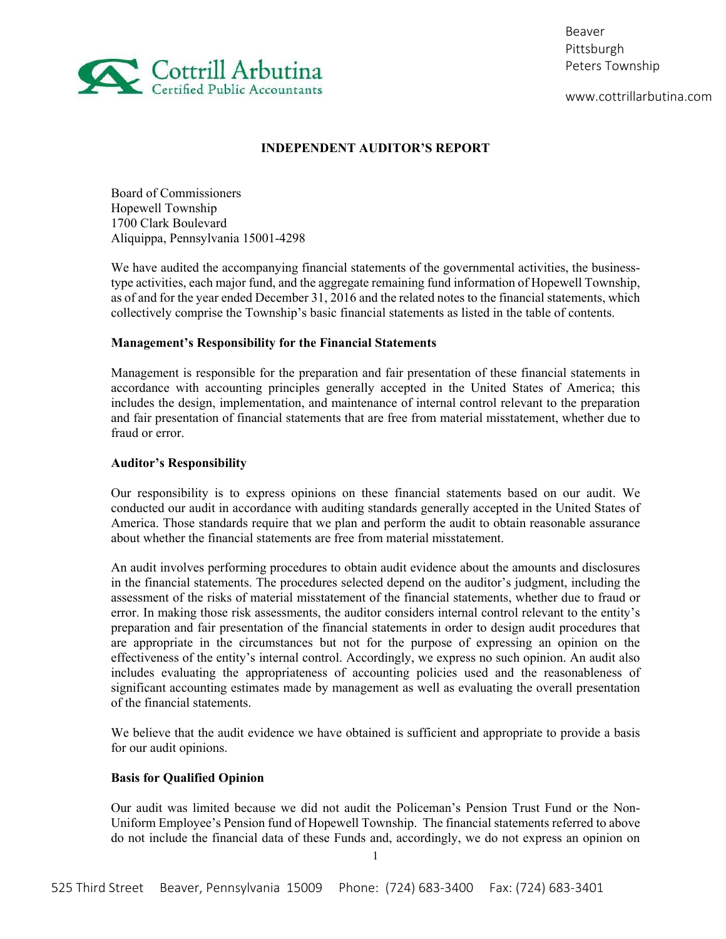

Beaver Pittsburgh Peters Township

www.cottrillarbutina.com

# **INDEPENDENT AUDITOR'S REPORT**

Board of Commissioners Hopewell Township 1700 Clark Boulevard Aliquippa, Pennsylvania 15001-4298

We have audited the accompanying financial statements of the governmental activities, the businesstype activities, each major fund, and the aggregate remaining fund information of Hopewell Township, as of and for the year ended December 31, 2016 and the related notes to the financial statements, which collectively comprise the Township's basic financial statements as listed in the table of contents.

## **Management's Responsibility for the Financial Statements**

Management is responsible for the preparation and fair presentation of these financial statements in accordance with accounting principles generally accepted in the United States of America; this includes the design, implementation, and maintenance of internal control relevant to the preparation and fair presentation of financial statements that are free from material misstatement, whether due to fraud or error.

## **Auditor's Responsibility**

Our responsibility is to express opinions on these financial statements based on our audit. We conducted our audit in accordance with auditing standards generally accepted in the United States of America. Those standards require that we plan and perform the audit to obtain reasonable assurance about whether the financial statements are free from material misstatement.

An audit involves performing procedures to obtain audit evidence about the amounts and disclosures in the financial statements. The procedures selected depend on the auditor's judgment, including the assessment of the risks of material misstatement of the financial statements, whether due to fraud or error. In making those risk assessments, the auditor considers internal control relevant to the entity's preparation and fair presentation of the financial statements in order to design audit procedures that are appropriate in the circumstances but not for the purpose of expressing an opinion on the effectiveness of the entity's internal control. Accordingly, we express no such opinion. An audit also includes evaluating the appropriateness of accounting policies used and the reasonableness of significant accounting estimates made by management as well as evaluating the overall presentation of the financial statements.

We believe that the audit evidence we have obtained is sufficient and appropriate to provide a basis for our audit opinions.

# **Basis for Qualified Opinion**

Our audit was limited because we did not audit the Policeman's Pension Trust Fund or the Non-Uniform Employee's Pension fund of Hopewell Township. The financial statements referred to above do not include the financial data of these Funds and, accordingly, we do not express an opinion on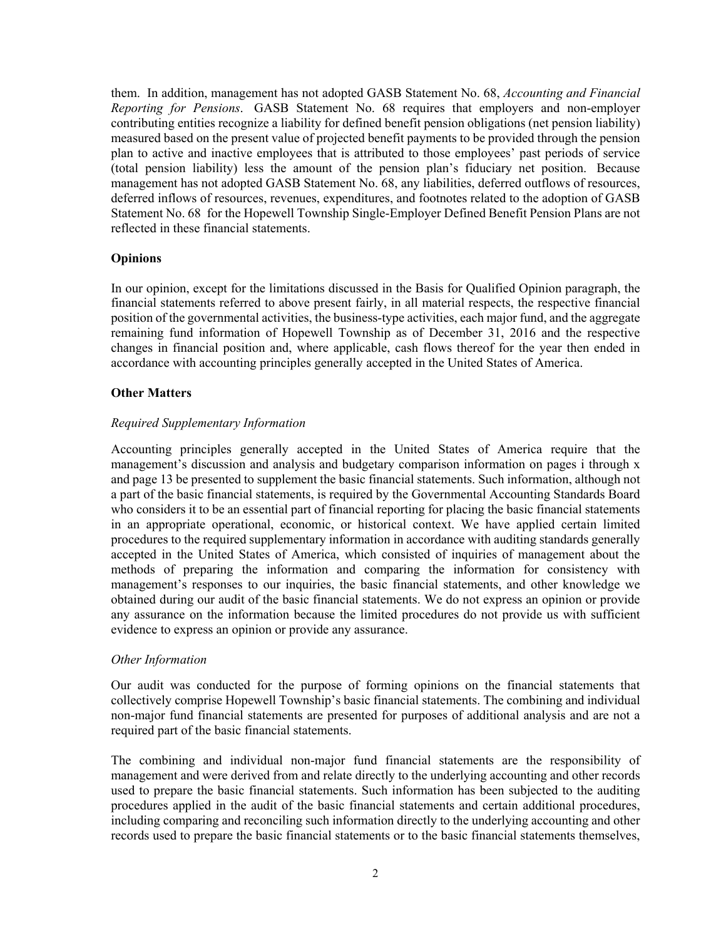them. In addition, management has not adopted GASB Statement No. 68, *Accounting and Financial Reporting for Pensions*. GASB Statement No. 68 requires that employers and non-employer contributing entities recognize a liability for defined benefit pension obligations (net pension liability) measured based on the present value of projected benefit payments to be provided through the pension plan to active and inactive employees that is attributed to those employees' past periods of service (total pension liability) less the amount of the pension plan's fiduciary net position. Because management has not adopted GASB Statement No. 68, any liabilities, deferred outflows of resources, deferred inflows of resources, revenues, expenditures, and footnotes related to the adoption of GASB Statement No. 68 for the Hopewell Township Single-Employer Defined Benefit Pension Plans are not reflected in these financial statements.

## **Opinions**

In our opinion, except for the limitations discussed in the Basis for Qualified Opinion paragraph, the financial statements referred to above present fairly, in all material respects, the respective financial position of the governmental activities, the business-type activities, each major fund, and the aggregate remaining fund information of Hopewell Township as of December 31, 2016 and the respective changes in financial position and, where applicable, cash flows thereof for the year then ended in accordance with accounting principles generally accepted in the United States of America.

## **Other Matters**

## *Required Supplementary Information*

Accounting principles generally accepted in the United States of America require that the management's discussion and analysis and budgetary comparison information on pages i through x and page 13 be presented to supplement the basic financial statements. Such information, although not a part of the basic financial statements, is required by the Governmental Accounting Standards Board who considers it to be an essential part of financial reporting for placing the basic financial statements in an appropriate operational, economic, or historical context. We have applied certain limited procedures to the required supplementary information in accordance with auditing standards generally accepted in the United States of America, which consisted of inquiries of management about the methods of preparing the information and comparing the information for consistency with management's responses to our inquiries, the basic financial statements, and other knowledge we obtained during our audit of the basic financial statements. We do not express an opinion or provide any assurance on the information because the limited procedures do not provide us with sufficient evidence to express an opinion or provide any assurance.

#### *Other Information*

Our audit was conducted for the purpose of forming opinions on the financial statements that collectively comprise Hopewell Township's basic financial statements. The combining and individual non-major fund financial statements are presented for purposes of additional analysis and are not a required part of the basic financial statements.

The combining and individual non-major fund financial statements are the responsibility of management and were derived from and relate directly to the underlying accounting and other records used to prepare the basic financial statements. Such information has been subjected to the auditing procedures applied in the audit of the basic financial statements and certain additional procedures, including comparing and reconciling such information directly to the underlying accounting and other records used to prepare the basic financial statements or to the basic financial statements themselves,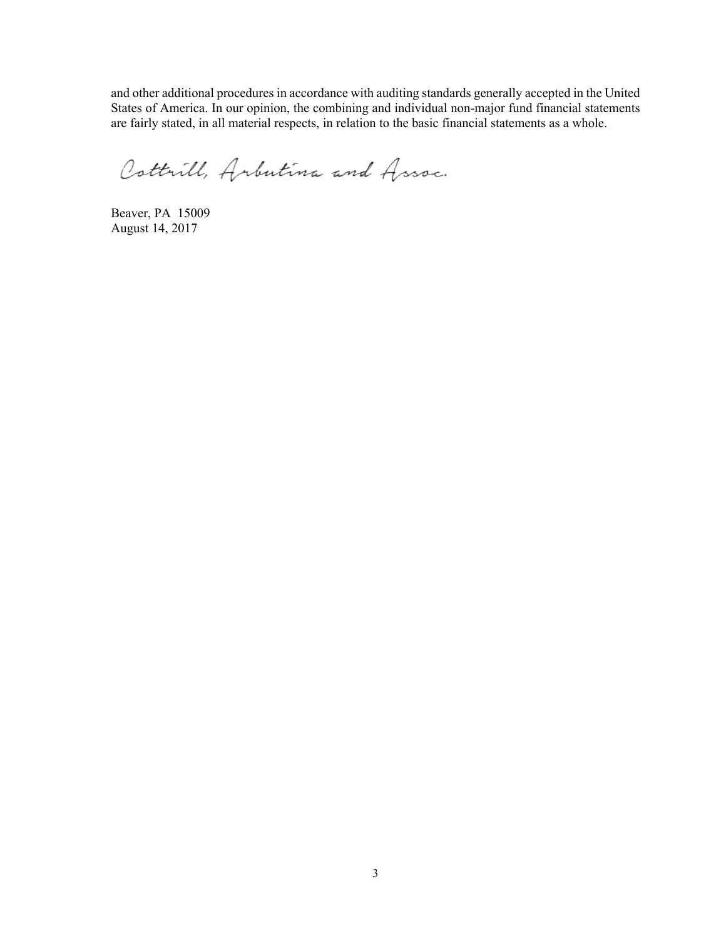and other additional procedures in accordance with auditing standards generally accepted in the United [States of America. In our opinion, the combining and individual non-major fun](http://www.rightsignature.com/documents/TRBT3HJCDKSV8T2TKSXDT7)d financial statements are fairly stated, in all material respects, in relation to the basic financial statements as a whole.

Cottrill, Arbutina and Assoc.

Beaver, PA 15009 August 14, 2017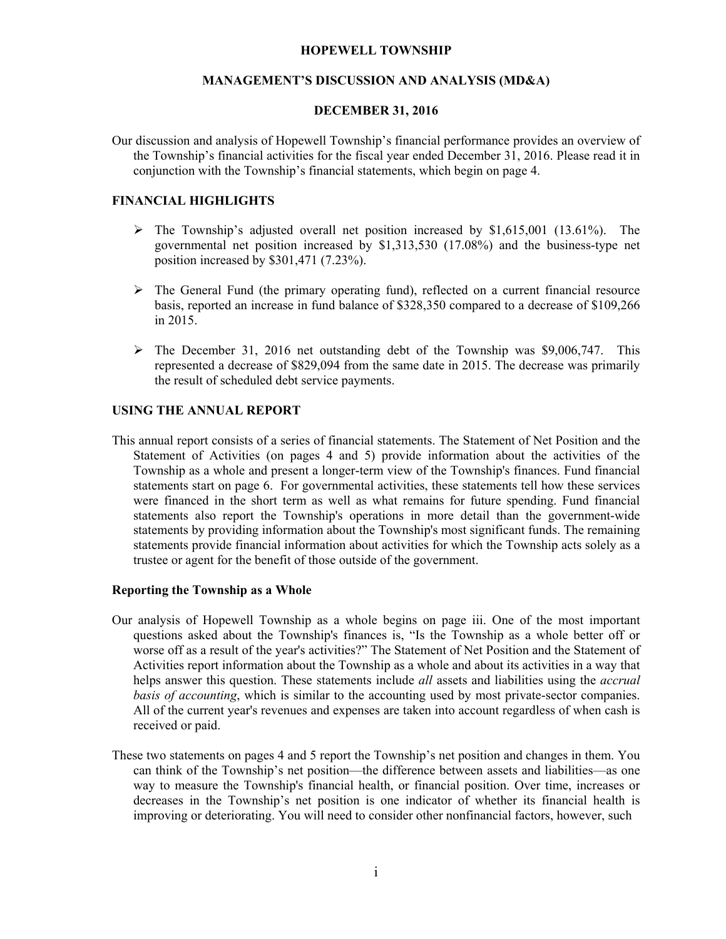#### **MANAGEMENT'S DISCUSSION AND ANALYSIS (MD&A)**

#### **DECEMBER 31, 2016**

Our discussion and analysis of Hopewell Township's financial performance provides an overview of the Township's financial activities for the fiscal year ended December 31, 2016. Please read it in conjunction with the Township's financial statements, which begin on page 4.

#### **FINANCIAL HIGHLIGHTS**

- $\triangleright$  The Township's adjusted overall net position increased by \$1,615,001 (13.61%). The governmental net position increased by \$1,313,530 (17.08%) and the business-type net position increased by \$301,471 (7.23%).
- $\triangleright$  The General Fund (the primary operating fund), reflected on a current financial resource basis, reported an increase in fund balance of \$328,350 compared to a decrease of \$109,266 in 2015.
- $\triangleright$  The December 31, 2016 net outstanding debt of the Township was \$9,006,747. This represented a decrease of \$829,094 from the same date in 2015. The decrease was primarily the result of scheduled debt service payments.

# **USING THE ANNUAL REPORT**

This annual report consists of a series of financial statements. The Statement of Net Position and the Statement of Activities (on pages 4 and 5) provide information about the activities of the Township as a whole and present a longer-term view of the Township's finances. Fund financial statements start on page 6. For governmental activities, these statements tell how these services were financed in the short term as well as what remains for future spending. Fund financial statements also report the Township's operations in more detail than the government-wide statements by providing information about the Township's most significant funds. The remaining statements provide financial information about activities for which the Township acts solely as a trustee or agent for the benefit of those outside of the government.

#### **Reporting the Township as a Whole**

- Our analysis of Hopewell Township as a whole begins on page iii. One of the most important questions asked about the Township's finances is, "Is the Township as a whole better off or worse off as a result of the year's activities?" The Statement of Net Position and the Statement of Activities report information about the Township as a whole and about its activities in a way that helps answer this question. These statements include *all* assets and liabilities using the *accrual basis of accounting*, which is similar to the accounting used by most private-sector companies. All of the current year's revenues and expenses are taken into account regardless of when cash is received or paid.
- These two statements on pages 4 and 5 report the Township's net position and changes in them. You can think of the Township's net position—the difference between assets and liabilities—as one way to measure the Township's financial health, or financial position. Over time, increases or decreases in the Township's net position is one indicator of whether its financial health is improving or deteriorating. You will need to consider other nonfinancial factors, however, such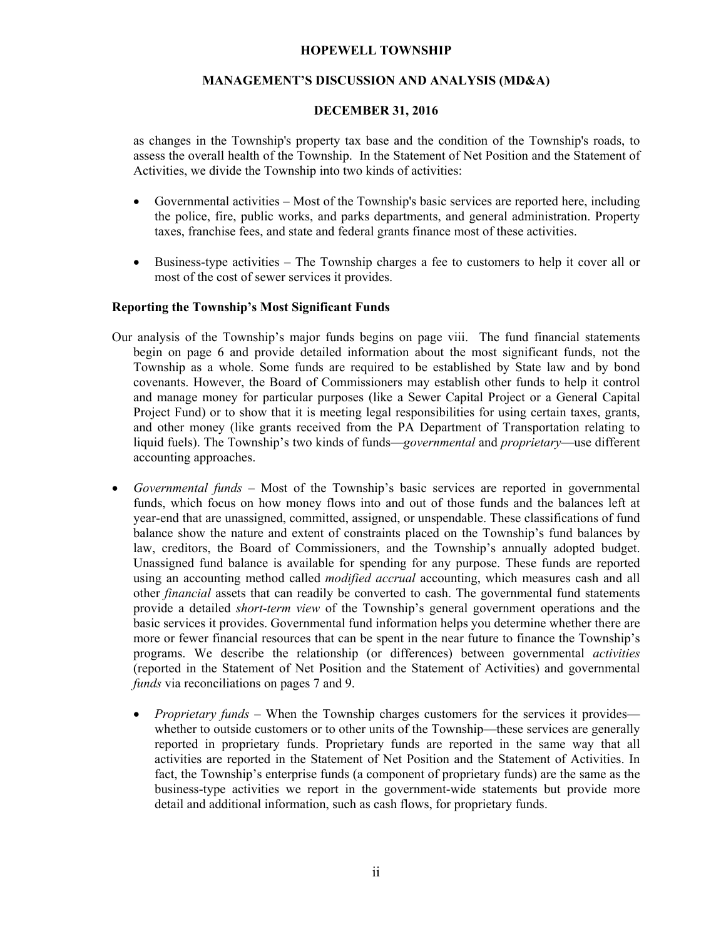# **MANAGEMENT'S DISCUSSION AND ANALYSIS (MD&A)**

# **DECEMBER 31, 2016**

as changes in the Township's property tax base and the condition of the Township's roads, to assess the overall health of the Township. In the Statement of Net Position and the Statement of Activities, we divide the Township into two kinds of activities:

- Governmental activities Most of the Township's basic services are reported here, including the police, fire, public works, and parks departments, and general administration. Property taxes, franchise fees, and state and federal grants finance most of these activities.
- Business-type activities The Township charges a fee to customers to help it cover all or most of the cost of sewer services it provides.

## **Reporting the Township's Most Significant Funds**

- Our analysis of the Township's major funds begins on page viii. The fund financial statements begin on page 6 and provide detailed information about the most significant funds, not the Township as a whole. Some funds are required to be established by State law and by bond covenants. However, the Board of Commissioners may establish other funds to help it control and manage money for particular purposes (like a Sewer Capital Project or a General Capital Project Fund) or to show that it is meeting legal responsibilities for using certain taxes, grants, and other money (like grants received from the PA Department of Transportation relating to liquid fuels). The Township's two kinds of funds—*governmental* and *proprietary*—use different accounting approaches.
- *Governmental funds* Most of the Township's basic services are reported in governmental funds, which focus on how money flows into and out of those funds and the balances left at year-end that are unassigned, committed, assigned, or unspendable. These classifications of fund balance show the nature and extent of constraints placed on the Township's fund balances by law, creditors, the Board of Commissioners, and the Township's annually adopted budget. Unassigned fund balance is available for spending for any purpose. These funds are reported using an accounting method called *modified accrual* accounting, which measures cash and all other *financial* assets that can readily be converted to cash. The governmental fund statements provide a detailed *short-term view* of the Township's general government operations and the basic services it provides. Governmental fund information helps you determine whether there are more or fewer financial resources that can be spent in the near future to finance the Township's programs. We describe the relationship (or differences) between governmental *activities* (reported in the Statement of Net Position and the Statement of Activities) and governmental *funds* via reconciliations on pages 7 and 9.
	- *Proprietary funds* When the Township charges customers for the services it provides whether to outside customers or to other units of the Township—these services are generally reported in proprietary funds. Proprietary funds are reported in the same way that all activities are reported in the Statement of Net Position and the Statement of Activities. In fact, the Township's enterprise funds (a component of proprietary funds) are the same as the business-type activities we report in the government-wide statements but provide more detail and additional information, such as cash flows, for proprietary funds.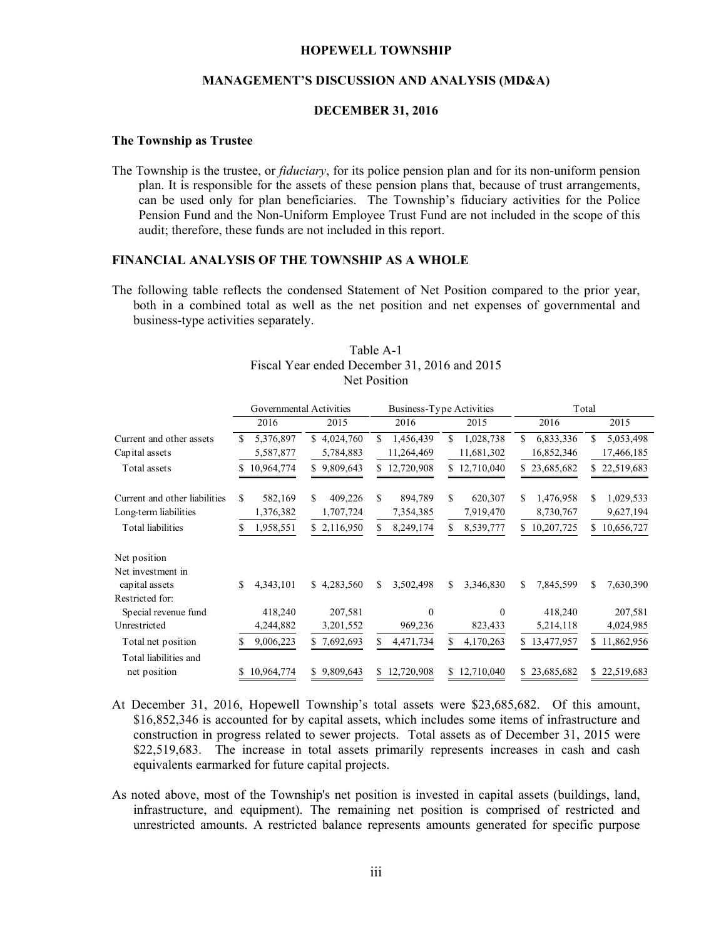#### **MANAGEMENT'S DISCUSSION AND ANALYSIS (MD&A)**

# **DECEMBER 31, 2016**

#### **The Township as Trustee**

The Township is the trustee, or *fiduciary*, for its police pension plan and for its non-uniform pension plan. It is responsible for the assets of these pension plans that, because of trust arrangements, can be used only for plan beneficiaries. The Township's fiduciary activities for the Police Pension Fund and the Non-Uniform Employee Trust Fund are not included in the scope of this audit; therefore, these funds are not included in this report.

#### **FINANCIAL ANALYSIS OF THE TOWNSHIP AS A WHOLE**

The following table reflects the condensed Statement of Net Position compared to the prior year, both in a combined total as well as the net position and net expenses of governmental and business-type activities separately.

|                                     | Governmental Activities |                 |                 | <b>Business-Type Activities</b> |                  | Total            |  |  |
|-------------------------------------|-------------------------|-----------------|-----------------|---------------------------------|------------------|------------------|--|--|
|                                     | 2016                    | 2015            | 2016            | 2015                            | 2016             | 2015             |  |  |
| Current and other assets            | 5,376,897<br>S          | 4,024,760<br>\$ | \$<br>1,456,439 | \$<br>1,028,738                 | \$<br>6,833,336  | \$<br>5,053,498  |  |  |
| Capital assets                      | 5,587,877               | 5,784,883       | 11,264,469      | 11,681,302                      | 16,852,346       | 17,466,185       |  |  |
| Total assets                        | 10,964,774              | 9,809,643<br>\$ | 12,720,908      | \$12,710,040                    | \$23,685,682     | 22,519,683       |  |  |
| Current and other liabilities       | S<br>582,169            | S<br>409,226    | \$<br>894,789   | S<br>620,307                    | \$<br>1,476,958  | S<br>1,029,533   |  |  |
| Long-term liabilities               | 1,376,382               | 1,707,724       | 7,354,385       | 7,919,470                       | 8,730,767        | 9,627,194        |  |  |
| <b>Total liabilities</b>            | 1,958,551               | \$<br>2,116,950 | 8,249,174<br>S. | \$<br>8,539,777                 | 10,207,725<br>\$ | 10,656,727<br>S. |  |  |
| Net position                        |                         |                 |                 |                                 |                  |                  |  |  |
| Net investment in<br>capital assets | \$<br>4,343,101         | \$4,283,560     | 3,502,498<br>\$ | \$<br>3,346,830                 | \$<br>7,845,599  | \$<br>7,630,390  |  |  |
| Restricted for:                     |                         |                 |                 |                                 |                  |                  |  |  |
| Special revenue fund                | 418,240                 | 207,581         | $\theta$        | $\Omega$                        | 418,240          | 207,581          |  |  |
| Unrestricted                        | 4,244,882               | 3,201,552       | 969,236         | 823,433                         | 5,214,118        | 4,024,985        |  |  |
| Total net position                  | 9,006,223               | \$<br>7,692,693 | 4,471,734       | \$<br>4,170,263                 | \$<br>13,477,957 | \$<br>11,862,956 |  |  |
| Total liabilities and               |                         |                 |                 |                                 |                  |                  |  |  |
| net position                        | 10,964,774              | 9,809,643<br>\$ | 12,720,908      | 12,710,040<br>\$                | \$<br>23,685,682 | 22,519,683<br>S. |  |  |

#### Table A-1 Fiscal Year ended December 31, 2016 and 2015 Net Position

- At December 31, 2016, Hopewell Township's total assets were \$23,685,682. Of this amount, \$16,852,346 is accounted for by capital assets, which includes some items of infrastructure and construction in progress related to sewer projects. Total assets as of December 31, 2015 were \$22,519,683. The increase in total assets primarily represents increases in cash and cash equivalents earmarked for future capital projects.
- As noted above, most of the Township's net position is invested in capital assets (buildings, land, infrastructure, and equipment). The remaining net position is comprised of restricted and unrestricted amounts. A restricted balance represents amounts generated for specific purpose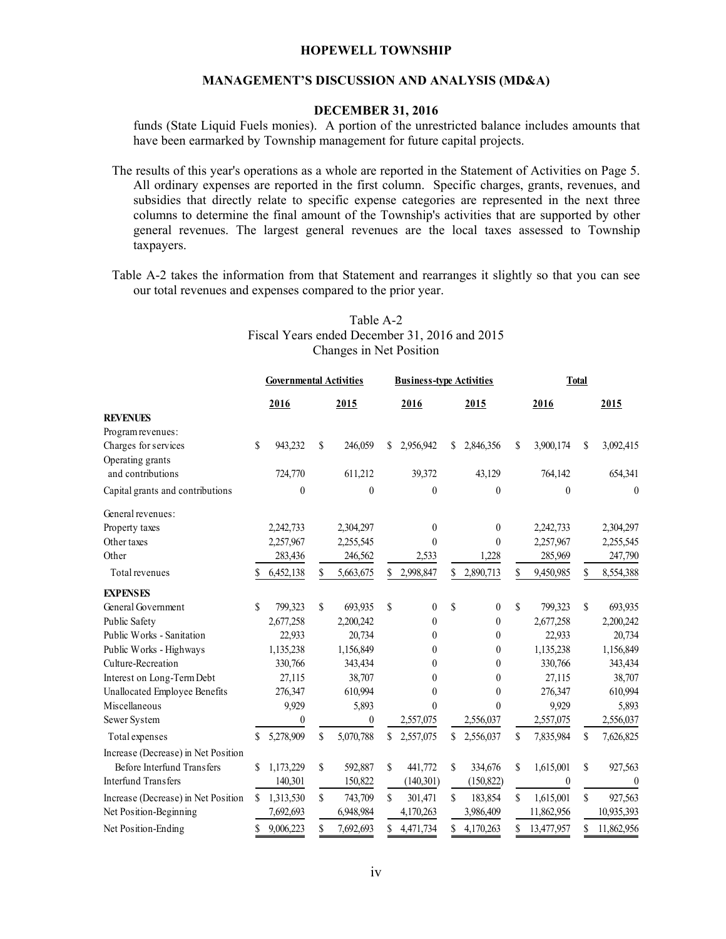#### **MANAGEMENT'S DISCUSSION AND ANALYSIS (MD&A)**

#### **DECEMBER 31, 2016**

funds (State Liquid Fuels monies). A portion of the unrestricted balance includes amounts that have been earmarked by Township management for future capital projects.

The results of this year's operations as a whole are reported in the Statement of Activities on Page 5. All ordinary expenses are reported in the first column. Specific charges, grants, revenues, and subsidies that directly relate to specific expense categories are represented in the next three columns to determine the final amount of the Township's activities that are supported by other general revenues. The largest general revenues are the local taxes assessed to Township taxpayers.

Table A-2 takes the information from that Statement and rearranges it slightly so that you can see our total revenues and expenses compared to the prior year.

# Table A-2 Fiscal Years ended December 31, 2016 and 2015 Changes in Net Position

|                                      |    |                  | <b>Governmental Activities</b> |                  |    | <b>Business-type Activities</b> |             |              |    | <b>Total</b> |    |                  |  |
|--------------------------------------|----|------------------|--------------------------------|------------------|----|---------------------------------|-------------|--------------|----|--------------|----|------------------|--|
|                                      |    | 2016             |                                | 2015             |    | 2016                            |             | 2015         |    | 2016         |    | 2015             |  |
| <b>REVENUES</b>                      |    |                  |                                |                  |    |                                 |             |              |    |              |    |                  |  |
| Program revenues:                    |    |                  |                                |                  |    |                                 |             |              |    |              |    |                  |  |
| Charges for services                 | \$ | 943,232          | \$                             | 246,059          | S. | 2,956,942                       | S.          | 2,846,356    | S  | 3,900,174    | \$ | 3,092,415        |  |
| Operating grants                     |    |                  |                                |                  |    |                                 |             |              |    |              |    |                  |  |
| and contributions                    |    | 724,770          |                                | 611,212          |    | 39,372                          |             | 43,129       |    | 764,142      |    | 654,341          |  |
| Capital grants and contributions     |    | $\theta$         |                                | $\theta$         |    | $\mathbf{0}$                    |             | $\theta$     |    | $\theta$     |    | $\theta$         |  |
| General revenues:                    |    |                  |                                |                  |    |                                 |             |              |    |              |    |                  |  |
| Property taxes                       |    | 2,242,733        |                                | 2,304,297        |    | $\boldsymbol{0}$                |             | $\theta$     |    | 2,242,733    |    | 2,304,297        |  |
| Other taxes                          |    | 2,257,967        |                                | 2,255,545        |    | $\theta$                        |             | $\theta$     |    | 2,257,967    |    | 2,255,545        |  |
| Other                                |    | 283,436          |                                | 246,562          |    | 2,533                           |             | 1,228        |    | 285,969      |    | 247,790          |  |
| Total revenues                       |    | 6,452,138        | \$                             | 5,663,675        | S  | 2,998,847                       | S.          | 2,890,713    | S  | 9,450,985    | S  | 8,554,388        |  |
| <b>EXPENSES</b>                      |    |                  |                                |                  |    |                                 |             |              |    |              |    |                  |  |
| General Government                   | S  | 799,323          | \$                             | 693,935          | \$ | $\mathbf{0}$                    | $\mathbf S$ | $\mathbf{0}$ | \$ | 799,323      | \$ | 693,935          |  |
| Public Safety                        |    | 2,677,258        |                                | 2,200,242        |    | $\mathbf{0}$                    |             | $\theta$     |    | 2,677,258    |    | 2,200,242        |  |
| Public Works - Sanitation            |    | 22,933           |                                | 20,734           |    | $\theta$                        |             | $\theta$     |    | 22,933       |    | 20,734           |  |
| Public Works - Highways              |    | 1,135,238        |                                | 1,156,849        |    | $\theta$                        |             | $\theta$     |    | 1,135,238    |    | 1,156,849        |  |
| Culture-Recreation                   |    | 330,766          |                                | 343,434          |    | $\theta$                        |             | $\theta$     |    | 330,766      |    | 343,434          |  |
| Interest on Long-Term Debt           |    | 27,115           |                                | 38,707           |    | $\theta$                        |             | $\theta$     |    | 27,115       |    | 38,707           |  |
| <b>Unallocated Employee Benefits</b> |    | 276,347          |                                | 610,994          |    | $\mathbf{0}$                    |             | $\theta$     |    | 276,347      |    | 610,994          |  |
| Miscellaneous                        |    | 9,929            |                                | 5,893            |    | $\theta$                        |             | $\theta$     |    | 9,929        |    | 5,893            |  |
| Sewer System                         |    | $\boldsymbol{0}$ |                                | $\boldsymbol{0}$ |    | 2,557,075                       |             | 2,556,037    |    | 2,557,075    |    | 2,556,037        |  |
| Total expenses                       | \$ | 5,278,909        | \$                             | 5,070,788        | \$ | 2,557,075                       | \$.         | 2,556,037    | \$ | 7,835,984    | \$ | 7,626,825        |  |
| Increase (Decrease) in Net Position  |    |                  |                                |                  |    |                                 |             |              |    |              |    |                  |  |
| Before Interfund Transfers           |    | 1,173,229        | \$                             | 592,887          | \$ | 441,772                         | \$          | 334,676      | \$ | 1,615,001    | \$ | 927,563          |  |
| <b>Interfund Transfers</b>           |    | 140,301          |                                | 150,822          |    | (140, 301)                      |             | (150, 822)   |    | $\theta$     |    | $\boldsymbol{0}$ |  |
| Increase (Decrease) in Net Position  | \$ | 1,313,530        | \$                             | 743,709          | \$ | 301,471                         | S           | 183,854      | \$ | 1,615,001    | \$ | 927,563          |  |
| Net Position-Beginning               |    | 7,692,693        |                                | 6,948,984        |    | 4,170,263                       |             | 3,986,409    |    | 11,862,956   |    | 10,935,393       |  |
| Net Position-Ending                  | S  | 9,006,223        | \$                             | 7,692,693        | \$ | 4,471,734                       |             | 4,170,263    |    | 13,477,957   | \$ | 11,862,956       |  |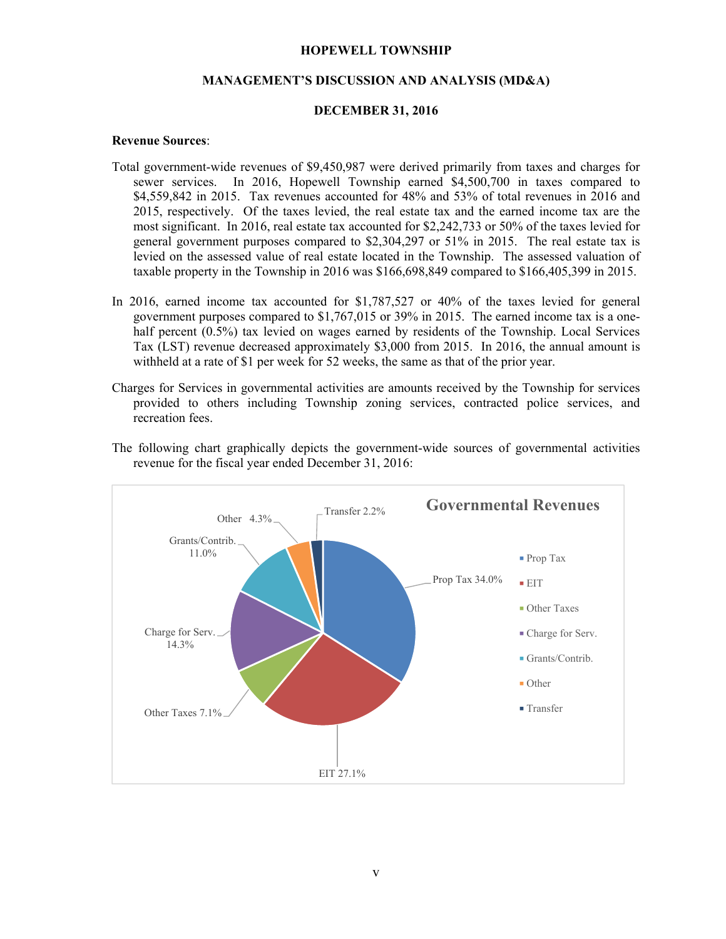#### **MANAGEMENT'S DISCUSSION AND ANALYSIS (MD&A)**

## **DECEMBER 31, 2016**

#### **Revenue Sources**:

- Total government-wide revenues of \$9,450,987 were derived primarily from taxes and charges for sewer services. In 2016, Hopewell Township earned \$4,500,700 in taxes compared to \$4,559,842 in 2015. Tax revenues accounted for 48% and 53% of total revenues in 2016 and 2015, respectively. Of the taxes levied, the real estate tax and the earned income tax are the most significant. In 2016, real estate tax accounted for \$2,242,733 or 50% of the taxes levied for general government purposes compared to \$2,304,297 or 51% in 2015. The real estate tax is levied on the assessed value of real estate located in the Township. The assessed valuation of taxable property in the Township in 2016 was \$166,698,849 compared to \$166,405,399 in 2015.
- In 2016, earned income tax accounted for \$1,787,527 or 40% of the taxes levied for general government purposes compared to \$1,767,015 or 39% in 2015. The earned income tax is a onehalf percent (0.5%) tax levied on wages earned by residents of the Township. Local Services Tax (LST) revenue decreased approximately \$3,000 from 2015. In 2016, the annual amount is withheld at a rate of \$1 per week for 52 weeks, the same as that of the prior year.
- Charges for Services in governmental activities are amounts received by the Township for services provided to others including Township zoning services, contracted police services, and recreation fees.



The following chart graphically depicts the government-wide sources of governmental activities revenue for the fiscal year ended December 31, 2016: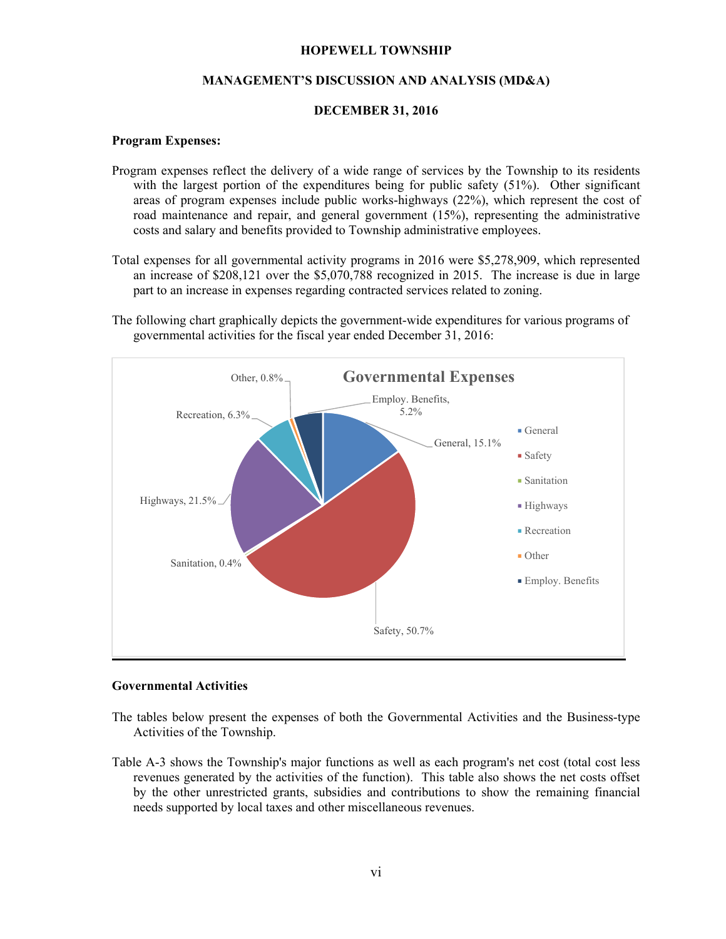#### **MANAGEMENT'S DISCUSSION AND ANALYSIS (MD&A)**

## **DECEMBER 31, 2016**

#### **Program Expenses:**

- Program expenses reflect the delivery of a wide range of services by the Township to its residents with the largest portion of the expenditures being for public safety (51%). Other significant areas of program expenses include public works-highways (22%), which represent the cost of road maintenance and repair, and general government (15%), representing the administrative costs and salary and benefits provided to Township administrative employees.
- Total expenses for all governmental activity programs in 2016 were \$5,278,909, which represented an increase of \$208,121 over the \$5,070,788 recognized in 2015. The increase is due in large part to an increase in expenses regarding contracted services related to zoning.

The following chart graphically depicts the government-wide expenditures for various programs of governmental activities for the fiscal year ended December 31, 2016:



#### **Governmental Activities**

- The tables below present the expenses of both the Governmental Activities and the Business-type Activities of the Township.
- Table A-3 shows the Township's major functions as well as each program's net cost (total cost less revenues generated by the activities of the function). This table also shows the net costs offset by the other unrestricted grants, subsidies and contributions to show the remaining financial needs supported by local taxes and other miscellaneous revenues.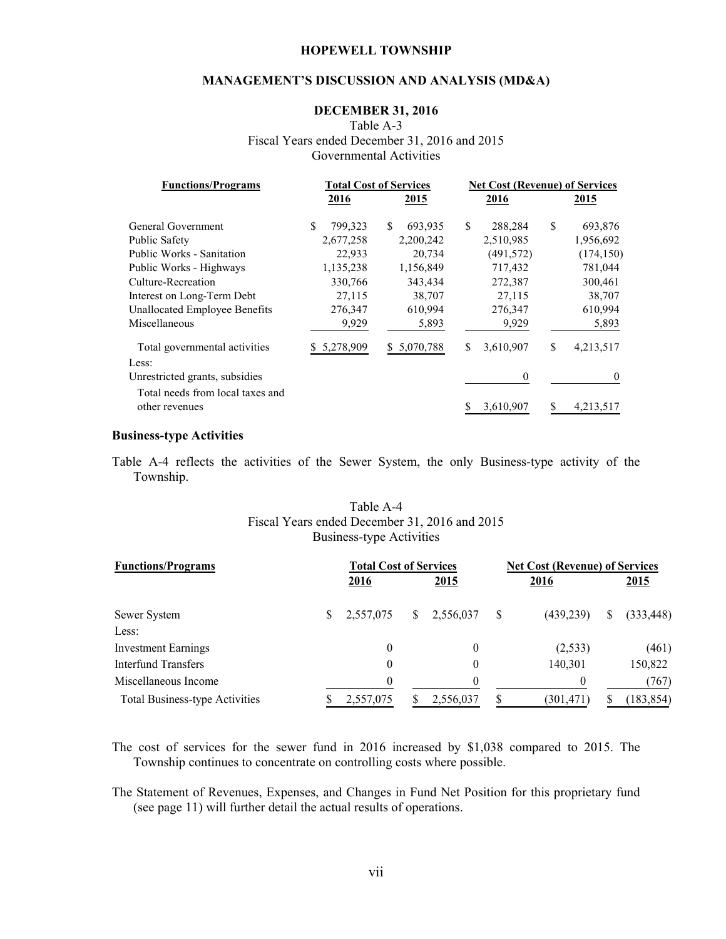#### **MANAGEMENT'S DISCUSSION AND ANALYSIS (MD&A)**

## **DECEMBER 31, 2016**

# Table A-3 Fiscal Years ended December 31, 2016 and 2015 Governmental Activities

| <b>Functions/Programs</b>            |               | <b>Total Cost of Services</b> | <b>Net Cost (Revenue) of Services</b> |                 |  |  |  |  |
|--------------------------------------|---------------|-------------------------------|---------------------------------------|-----------------|--|--|--|--|
|                                      | 2016          | 2015                          | 2016                                  | 2015            |  |  |  |  |
| General Government                   | \$<br>799,323 | S<br>693,935                  | S<br>288,284                          | \$<br>693,876   |  |  |  |  |
| Public Safety                        | 2,677,258     | 2,200,242                     | 2,510,985                             | 1,956,692       |  |  |  |  |
| Public Works - Sanitation            | 22,933        | 20,734                        | (491, 572)                            | (174, 150)      |  |  |  |  |
| Public Works - Highways              | 1,135,238     | 1,156,849                     | 717,432                               | 781,044         |  |  |  |  |
| Culture-Recreation                   | 330,766       | 343,434                       | 272,387                               | 300,461         |  |  |  |  |
| Interest on Long-Term Debt           | 27,115        | 38,707                        | 27,115                                | 38,707          |  |  |  |  |
| <b>Unallocated Employee Benefits</b> | 276,347       | 610,994                       | 276,347                               | 610,994         |  |  |  |  |
| Miscellaneous                        | 9,929         | 5,893                         | 9,929                                 | 5,893           |  |  |  |  |
| Total governmental activities        | 5,278,909     | \$5,070,788                   | 3,610,907<br>\$                       | \$<br>4,213,517 |  |  |  |  |
| Less:                                |               |                               |                                       |                 |  |  |  |  |
| Unrestricted grants, subsidies       |               |                               | $\mathbf{0}$                          | $\theta$        |  |  |  |  |
| Total needs from local taxes and     |               |                               |                                       |                 |  |  |  |  |
| other revenues                       |               |                               | 3,610,907                             | 4,213,517<br>S  |  |  |  |  |

#### **Business-type Activities**

Table A-4 reflects the activities of the Sewer System, the only Business-type activity of the Township.

## Table A-4 Fiscal Years ended December 31, 2016 and 2015 Business-type Activities

| <b>Functions/Programs</b>             | <b>Total Cost of Services</b> |    |           | <b>Net Cost (Revenue) of Services</b> |            |   |            |  |  |
|---------------------------------------|-------------------------------|----|-----------|---------------------------------------|------------|---|------------|--|--|
|                                       | 2016                          |    | 2015      | 2016                                  |            |   | 2015       |  |  |
| Sewer System                          | 2,557,075                     | S. | 2,556,037 | \$                                    | (439, 239) | S | (333, 448) |  |  |
| Less:                                 |                               |    |           |                                       |            |   |            |  |  |
| <b>Investment Earnings</b>            | 0                             |    | 0         |                                       | (2,533)    |   | (461)      |  |  |
| Interfund Transfers                   | 0                             |    | 0         |                                       | 140,301    |   | 150,822    |  |  |
| Miscellaneous Income                  |                               |    | 0         |                                       | 0          |   | (767)      |  |  |
| <b>Total Business-type Activities</b> | 2,557,075                     |    | 2,556,037 |                                       | (301, 471) |   | (183, 854) |  |  |

The cost of services for the sewer fund in 2016 increased by \$1,038 compared to 2015. The Township continues to concentrate on controlling costs where possible.

The Statement of Revenues, Expenses, and Changes in Fund Net Position for this proprietary fund (see page 11) will further detail the actual results of operations.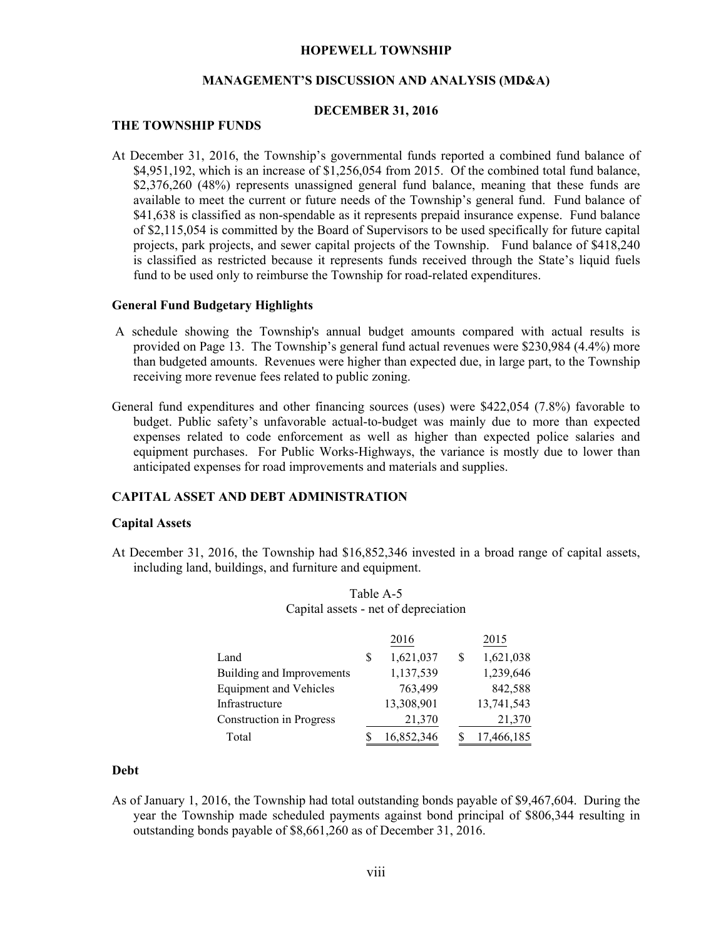#### **MANAGEMENT'S DISCUSSION AND ANALYSIS (MD&A)**

# **DECEMBER 31, 2016**

#### **THE TOWNSHIP FUNDS**

At December 31, 2016, the Township's governmental funds reported a combined fund balance of \$4,951,192, which is an increase of \$1,256,054 from 2015. Of the combined total fund balance, \$2,376,260 (48%) represents unassigned general fund balance, meaning that these funds are available to meet the current or future needs of the Township's general fund. Fund balance of \$41,638 is classified as non-spendable as it represents prepaid insurance expense. Fund balance of \$2,115,054 is committed by the Board of Supervisors to be used specifically for future capital projects, park projects, and sewer capital projects of the Township. Fund balance of \$418,240 is classified as restricted because it represents funds received through the State's liquid fuels fund to be used only to reimburse the Township for road-related expenditures.

#### **General Fund Budgetary Highlights**

- A schedule showing the Township's annual budget amounts compared with actual results is provided on Page 13. The Township's general fund actual revenues were \$230,984 (4.4%) more than budgeted amounts. Revenues were higher than expected due, in large part, to the Township receiving more revenue fees related to public zoning.
- General fund expenditures and other financing sources (uses) were \$422,054 (7.8%) favorable to budget. Public safety's unfavorable actual-to-budget was mainly due to more than expected expenses related to code enforcement as well as higher than expected police salaries and equipment purchases. For Public Works-Highways, the variance is mostly due to lower than anticipated expenses for road improvements and materials and supplies.

# **CAPITAL ASSET AND DEBT ADMINISTRATION**

#### **Capital Assets**

At December 31, 2016, the Township had \$16,852,346 invested in a broad range of capital assets, including land, buildings, and furniture and equipment.

|                                 | 2016            |   | 2015       |
|---------------------------------|-----------------|---|------------|
| Land                            | \$<br>1,621,037 | S | 1,621,038  |
| Building and Improvements       | 1,137,539       |   | 1,239,646  |
| <b>Equipment and Vehicles</b>   | 763,499         |   | 842,588    |
| Infrastructure                  | 13,308,901      |   | 13,741,543 |
| <b>Construction in Progress</b> | 21,370          |   | 21,370     |
| Total                           | 16,852,346      |   | 17,466,185 |

Table A-5 Capital assets - net of depreciation

#### **Debt**

As of January 1, 2016, the Township had total outstanding bonds payable of \$9,467,604. During the year the Township made scheduled payments against bond principal of \$806,344 resulting in outstanding bonds payable of \$8,661,260 as of December 31, 2016.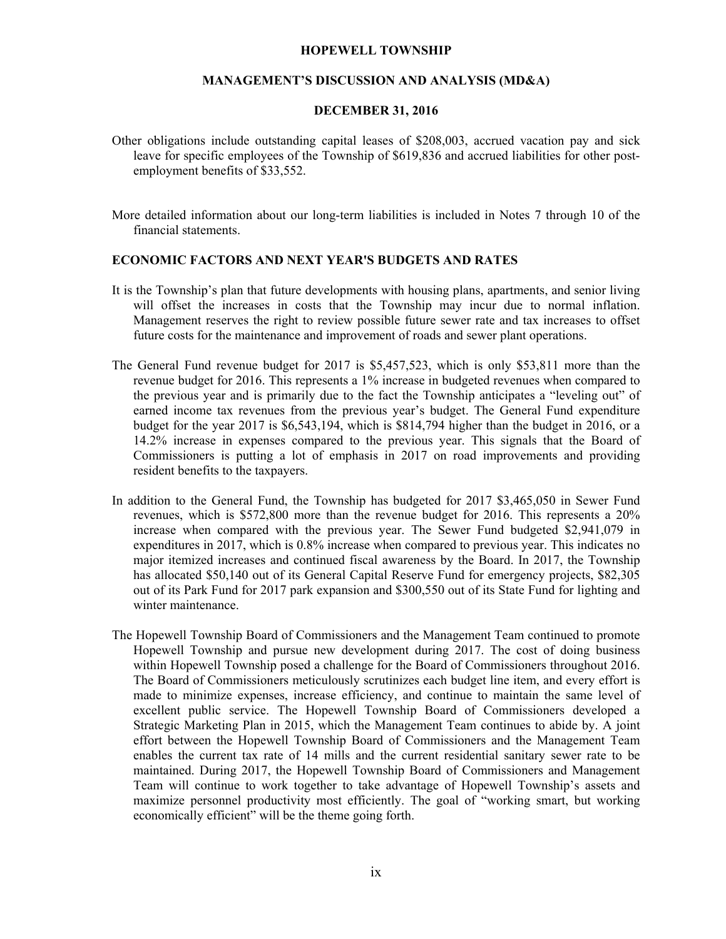#### **MANAGEMENT'S DISCUSSION AND ANALYSIS (MD&A)**

# **DECEMBER 31, 2016**

- Other obligations include outstanding capital leases of \$208,003, accrued vacation pay and sick leave for specific employees of the Township of \$619,836 and accrued liabilities for other postemployment benefits of \$33,552.
- More detailed information about our long-term liabilities is included in Notes 7 through 10 of the financial statements.

# **ECONOMIC FACTORS AND NEXT YEAR'S BUDGETS AND RATES**

- It is the Township's plan that future developments with housing plans, apartments, and senior living will offset the increases in costs that the Township may incur due to normal inflation. Management reserves the right to review possible future sewer rate and tax increases to offset future costs for the maintenance and improvement of roads and sewer plant operations.
- The General Fund revenue budget for 2017 is \$5,457,523, which is only \$53,811 more than the revenue budget for 2016. This represents a 1% increase in budgeted revenues when compared to the previous year and is primarily due to the fact the Township anticipates a "leveling out" of earned income tax revenues from the previous year's budget. The General Fund expenditure budget for the year 2017 is \$6,543,194, which is \$814,794 higher than the budget in 2016, or a 14.2% increase in expenses compared to the previous year. This signals that the Board of Commissioners is putting a lot of emphasis in 2017 on road improvements and providing resident benefits to the taxpayers.
- In addition to the General Fund, the Township has budgeted for 2017 \$3,465,050 in Sewer Fund revenues, which is \$572,800 more than the revenue budget for 2016. This represents a 20% increase when compared with the previous year. The Sewer Fund budgeted \$2,941,079 in expenditures in 2017, which is 0.8% increase when compared to previous year. This indicates no major itemized increases and continued fiscal awareness by the Board. In 2017, the Township has allocated \$50,140 out of its General Capital Reserve Fund for emergency projects, \$82,305 out of its Park Fund for 2017 park expansion and \$300,550 out of its State Fund for lighting and winter maintenance.
- The Hopewell Township Board of Commissioners and the Management Team continued to promote Hopewell Township and pursue new development during 2017. The cost of doing business within Hopewell Township posed a challenge for the Board of Commissioners throughout 2016. The Board of Commissioners meticulously scrutinizes each budget line item, and every effort is made to minimize expenses, increase efficiency, and continue to maintain the same level of excellent public service. The Hopewell Township Board of Commissioners developed a Strategic Marketing Plan in 2015, which the Management Team continues to abide by. A joint effort between the Hopewell Township Board of Commissioners and the Management Team enables the current tax rate of 14 mills and the current residential sanitary sewer rate to be maintained. During 2017, the Hopewell Township Board of Commissioners and Management Team will continue to work together to take advantage of Hopewell Township's assets and maximize personnel productivity most efficiently. The goal of "working smart, but working economically efficient" will be the theme going forth.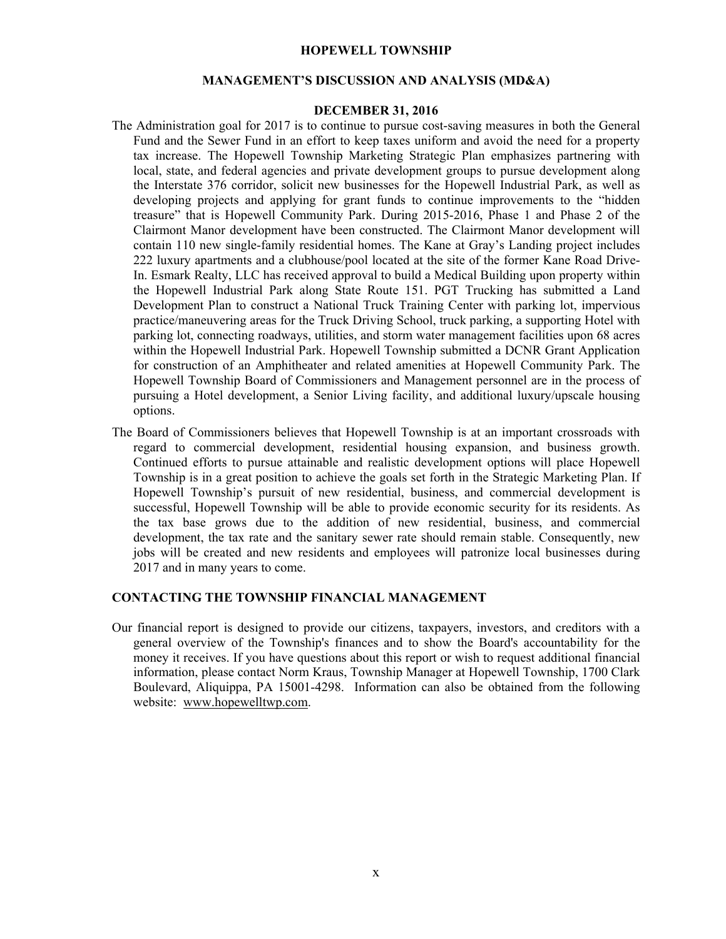#### **MANAGEMENT'S DISCUSSION AND ANALYSIS (MD&A)**

#### **DECEMBER 31, 2016**

- The Administration goal for 2017 is to continue to pursue cost-saving measures in both the General Fund and the Sewer Fund in an effort to keep taxes uniform and avoid the need for a property tax increase. The Hopewell Township Marketing Strategic Plan emphasizes partnering with local, state, and federal agencies and private development groups to pursue development along the Interstate 376 corridor, solicit new businesses for the Hopewell Industrial Park, as well as developing projects and applying for grant funds to continue improvements to the "hidden treasure" that is Hopewell Community Park. During 2015-2016, Phase 1 and Phase 2 of the Clairmont Manor development have been constructed. The Clairmont Manor development will contain 110 new single-family residential homes. The Kane at Gray's Landing project includes 222 luxury apartments and a clubhouse/pool located at the site of the former Kane Road Drive-In. Esmark Realty, LLC has received approval to build a Medical Building upon property within the Hopewell Industrial Park along State Route 151. PGT Trucking has submitted a Land Development Plan to construct a National Truck Training Center with parking lot, impervious practice/maneuvering areas for the Truck Driving School, truck parking, a supporting Hotel with parking lot, connecting roadways, utilities, and storm water management facilities upon 68 acres within the Hopewell Industrial Park. Hopewell Township submitted a DCNR Grant Application for construction of an Amphitheater and related amenities at Hopewell Community Park. The Hopewell Township Board of Commissioners and Management personnel are in the process of pursuing a Hotel development, a Senior Living facility, and additional luxury/upscale housing options.
- The Board of Commissioners believes that Hopewell Township is at an important crossroads with regard to commercial development, residential housing expansion, and business growth. Continued efforts to pursue attainable and realistic development options will place Hopewell Township is in a great position to achieve the goals set forth in the Strategic Marketing Plan. If Hopewell Township's pursuit of new residential, business, and commercial development is successful, Hopewell Township will be able to provide economic security for its residents. As the tax base grows due to the addition of new residential, business, and commercial development, the tax rate and the sanitary sewer rate should remain stable. Consequently, new jobs will be created and new residents and employees will patronize local businesses during 2017 and in many years to come.

#### **CONTACTING THE TOWNSHIP FINANCIAL MANAGEMENT**

Our financial report is designed to provide our citizens, taxpayers, investors, and creditors with a general overview of the Township's finances and to show the Board's accountability for the money it receives. If you have questions about this report or wish to request additional financial information, please contact Norm Kraus, Township Manager at Hopewell Township, 1700 Clark Boulevard, Aliquippa, PA 15001-4298. Information can also be obtained from the following website: www.hopewelltwp.com.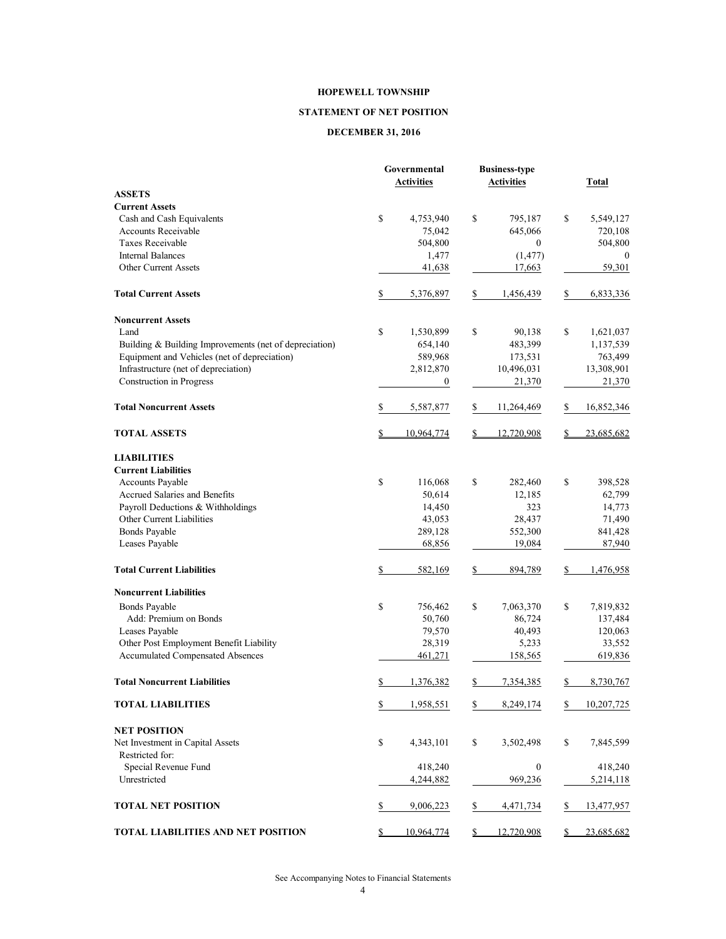# **STATEMENT OF NET POSITION**

#### **DECEMBER 31, 2016**

|                                                        |    | Governmental      | <b>Business-type</b> |    |            |
|--------------------------------------------------------|----|-------------------|----------------------|----|------------|
|                                                        |    | <b>Activities</b> | <b>Activities</b>    |    | Total      |
| <b>ASSETS</b>                                          |    |                   |                      |    |            |
| <b>Current Assets</b>                                  |    |                   |                      |    |            |
| Cash and Cash Equivalents                              | \$ | 4,753,940         | \$<br>795,187        | \$ | 5,549,127  |
| <b>Accounts Receivable</b>                             |    | 75,042            | 645,066              |    | 720,108    |
| <b>Taxes Receivable</b>                                |    | 504,800           | $\mathbf{0}$         |    | 504,800    |
| <b>Internal Balances</b>                               |    | 1,477             | (1, 477)             |    | $\bf{0}$   |
| <b>Other Current Assets</b>                            |    | 41,638            | 17,663               |    | 59,301     |
| <b>Total Current Assets</b>                            | \$ | 5,376,897         | \$<br>1,456,439      | \$ | 6,833,336  |
| <b>Noncurrent Assets</b>                               |    |                   |                      |    |            |
| Land                                                   | \$ | 1,530,899         | \$<br>90,138         | \$ | 1,621,037  |
| Building & Building Improvements (net of depreciation) |    | 654,140           | 483,399              |    | 1,137,539  |
| Equipment and Vehicles (net of depreciation)           |    | 589,968           | 173,531              |    | 763,499    |
| Infrastructure (net of depreciation)                   |    | 2,812,870         | 10,496,031           |    | 13,308,901 |
| Construction in Progress                               |    | $\boldsymbol{0}$  | 21,370               |    | 21,370     |
| <b>Total Noncurrent Assets</b>                         | S  | 5,587,877         | \$<br>11,264,469     | S  | 16,852,346 |
| <b>TOTAL ASSETS</b>                                    | S  | 10,964,774        | \$<br>12,720,908     | S  | 23,685,682 |
| <b>LIABILITIES</b>                                     |    |                   |                      |    |            |
| <b>Current Liabilities</b>                             |    |                   |                      |    |            |
| Accounts Payable                                       | \$ | 116,068           | \$<br>282,460        | \$ | 398,528    |
| Accrued Salaries and Benefits                          |    | 50,614            | 12,185               |    | 62,799     |
| Payroll Deductions & Withholdings                      |    | 14,450            | 323                  |    | 14,773     |
| Other Current Liabilities                              |    | 43,053            | 28,437               |    | 71,490     |
| Bonds Payable                                          |    | 289,128           | 552,300              |    | 841,428    |
| Leases Payable                                         |    | 68,856            | 19,084               |    | 87,940     |
| <b>Total Current Liabilities</b>                       | \$ | 582,169           | \$<br>894,789        | \$ | 1,476,958  |
| <b>Noncurrent Liabilities</b>                          |    |                   |                      |    |            |
| Bonds Payable                                          | \$ | 756,462           | \$<br>7,063,370      | \$ | 7,819,832  |
| Add: Premium on Bonds                                  |    | 50,760            | 86,724               |    | 137,484    |
| Leases Payable                                         |    | 79,570            | 40,493               |    | 120,063    |
| Other Post Employment Benefit Liability                |    | 28,319            | 5,233                |    | 33,552     |
| <b>Accumulated Compensated Absences</b>                |    | 461,271           | 158,565              |    | 619,836    |
| <b>Total Noncurrent Liabilities</b>                    | \$ | 1,376,382         | \$<br>7,354,385      | \$ | 8,730,767  |
| <b>TOTAL LIABILITIES</b>                               | \$ | 1,958,551         | \$<br>8,249,174      | \$ | 10,207,725 |
|                                                        |    |                   |                      |    |            |
| <b>NET POSITION</b>                                    |    |                   |                      |    |            |
| Net Investment in Capital Assets<br>Restricted for:    | \$ | 4,343,101         | \$<br>3,502,498      | \$ | 7,845,599  |
|                                                        |    |                   |                      |    |            |
| Special Revenue Fund                                   |    | 418,240           | $\boldsymbol{0}$     |    | 418,240    |
| Unrestricted                                           |    | 4,244,882         | 969,236              |    | 5,214,118  |
| <b>TOTAL NET POSITION</b>                              | \$ | 9,006,223         | \$<br>4,471,734      |    | 13,477,957 |
| TOTAL LIABILITIES AND NET POSITION                     | S. | 10.964,774        | \$<br>12,720,908     | S. | 23,685,682 |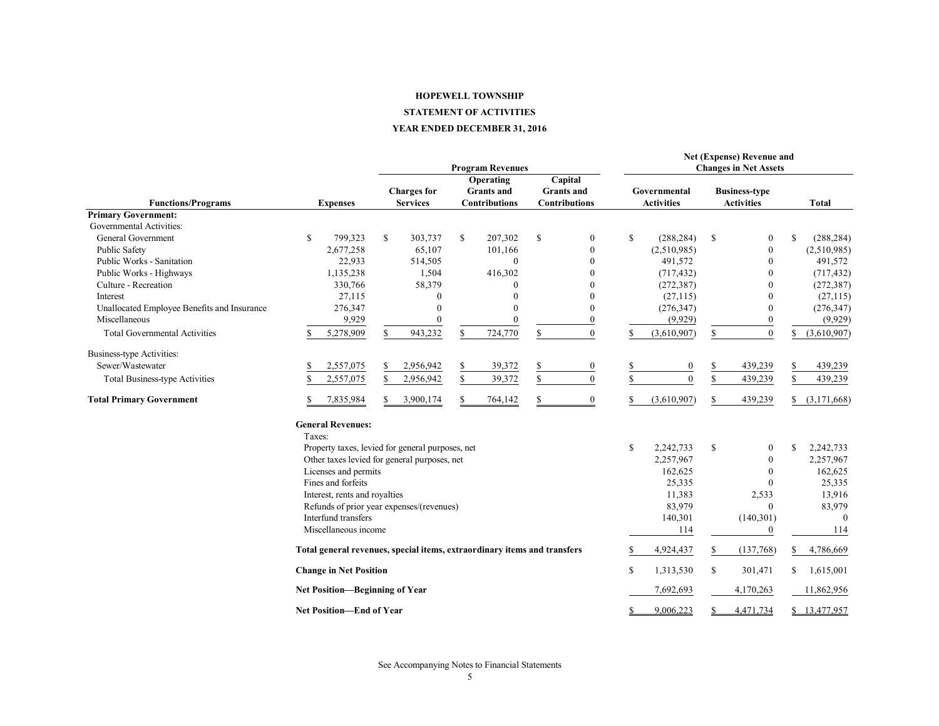#### **STATEMENT OF ACTIVITIES**

#### **YEAR ENDED DECEMBER 31, 2016**

|                                             |        |                                                                          |                    |                  | <b>Program Revenues</b>        |                              |                  | Net (Expense) Revenue and<br><b>Changes in Net Assets</b> |                   |                      |                   |    |              |
|---------------------------------------------|--------|--------------------------------------------------------------------------|--------------------|------------------|--------------------------------|------------------------------|------------------|-----------------------------------------------------------|-------------------|----------------------|-------------------|----|--------------|
|                                             |        |                                                                          | <b>Charges for</b> |                  | Operating<br><b>Grants</b> and | Capital<br><b>Grants</b> and |                  |                                                           | Governmental      | <b>Business-type</b> |                   |    |              |
| <b>Functions/Programs</b>                   |        | <b>Expenses</b>                                                          |                    | <b>Services</b>  | <b>Contributions</b>           | <b>Contributions</b>         |                  |                                                           | <b>Activities</b> |                      | <b>Activities</b> |    | <b>Total</b> |
| <b>Primary Government:</b>                  |        |                                                                          |                    |                  |                                |                              |                  |                                                           |                   |                      |                   |    |              |
| Governmental Activities:                    |        |                                                                          |                    |                  |                                |                              |                  |                                                           |                   |                      |                   |    |              |
| General Government                          | \$     | 799,323                                                                  | \$                 | 303,737          | \$<br>207,302                  | \$                           | $\Omega$         | S                                                         | (288, 284)        | \$                   | $\mathbf{0}$      | \$ | (288, 284)   |
| <b>Public Safety</b>                        |        | 2,677,258                                                                |                    | 65,107           | 101,166                        |                              | $\Omega$         |                                                           | (2,510,985)       |                      | $\mathbf{0}$      |    | (2,510,985)  |
| Public Works - Sanitation                   |        | 22,933                                                                   |                    | 514,505          | $\theta$                       |                              | $\Omega$         |                                                           | 491,572           |                      | $\Omega$          |    | 491,572      |
| Public Works - Highways                     |        | 1,135,238                                                                |                    | 1,504            | 416,302                        |                              | $\Omega$         |                                                           | (717, 432)        |                      | $\Omega$          |    | (717, 432)   |
| Culture - Recreation                        |        | 330,766                                                                  |                    | 58,379           |                                |                              | 0                |                                                           | (272, 387)        |                      | $\Omega$          |    | (272, 387)   |
| Interest                                    |        | 27,115                                                                   |                    | $\mathbf{0}$     | $\theta$                       |                              | $\Omega$         |                                                           | (27, 115)         |                      | $\Omega$          |    | (27, 115)    |
| Unallocated Employee Benefits and Insurance |        | 276,347                                                                  |                    | $\mathbf{0}$     | $\theta$                       |                              | $\Omega$         |                                                           | (276, 347)        |                      | $\theta$          |    | (276, 347)   |
| Miscellaneous                               |        | 9,929                                                                    |                    | $\boldsymbol{0}$ | $\theta$                       |                              | $\theta$         |                                                           | (9,929)           |                      | $\boldsymbol{0}$  |    | (9,929)      |
| <b>Total Governmental Activities</b>        | \$     | 5,278,909                                                                | \$                 | 943,232          | \$<br>724,770                  | \$                           | $\boldsymbol{0}$ | S                                                         | (3,610,907)       | \$                   | $\mathbf{0}$      | \$ | (3,610,907)  |
| <b>Business-type Activities:</b>            |        |                                                                          |                    |                  |                                |                              |                  |                                                           |                   |                      |                   |    |              |
| Sewer/Wastewater                            |        | 2,557,075                                                                | S.                 | 2,956,942        | \$<br>39,372                   | \$                           | $\boldsymbol{0}$ |                                                           | $\boldsymbol{0}$  | \$                   | 439,239           |    | 439,239      |
| <b>Total Business-type Activities</b>       |        | 2,557,075                                                                | \$                 | 2,956,942        | \$<br>39,372                   | \$                           | $\mathbf{0}$     |                                                           | $\theta$          | $\mathbb S$          | 439,239           | \$ | 439,239      |
| <b>Total Primary Government</b>             |        | 7,835,984                                                                |                    | 3,900,174        | \$<br>764,142                  | \$                           | $\mathbf{0}$     |                                                           | (3,610,907)       | \$                   | 439,239           | \$ | (3,171,668)  |
|                                             | Taxes: | <b>General Revenues:</b>                                                 |                    |                  |                                |                              |                  |                                                           |                   |                      |                   |    |              |
|                                             |        | Property taxes, levied for general purposes, net                         |                    |                  |                                |                              |                  | $\mathbf S$                                               | 2,242,733         | \$                   | $\mathbf{0}$      | \$ | 2,242,733    |
|                                             |        | Other taxes levied for general purposes, net                             |                    |                  |                                |                              |                  |                                                           | 2,257,967         |                      | $\theta$          |    | 2,257,967    |
|                                             |        | Licenses and permits                                                     |                    |                  |                                |                              |                  |                                                           | 162,625           |                      | $\bf{0}$          |    | 162,625      |
|                                             |        | Fines and forfeits                                                       |                    |                  |                                |                              |                  |                                                           | 25,335            |                      | $\Omega$          |    | 25,335       |
|                                             |        | Interest, rents and royalties                                            |                    |                  |                                |                              |                  |                                                           | 11,383            |                      | 2,533             |    | 13,916       |
|                                             |        | Refunds of prior year expenses/(revenues)                                |                    |                  |                                |                              |                  |                                                           | 83,979            |                      | $\Omega$          |    | 83,979       |
|                                             |        | Interfund transfers                                                      |                    |                  |                                |                              |                  |                                                           | 140,301           |                      | (140,301)         |    | $\theta$     |
|                                             |        | Miscellaneous income                                                     |                    |                  |                                |                              |                  |                                                           | 114               |                      | $\mathbf{0}$      |    | 114          |
|                                             |        |                                                                          |                    |                  |                                |                              |                  |                                                           |                   |                      |                   |    |              |
|                                             |        | Total general revenues, special items, extraordinary items and transfers |                    |                  |                                |                              |                  | S.                                                        | 4,924,437         | \$                   | (137,768)         | \$ | 4,786,669    |
|                                             |        | <b>Change in Net Position</b>                                            |                    |                  |                                |                              |                  | \$                                                        | 1,313,530         | \$                   | 301,471           | \$ | 1,615,001    |
|                                             |        | <b>Net Position—Beginning of Year</b>                                    |                    |                  |                                |                              |                  |                                                           | 7,692,693         |                      | 4,170,263         |    | 11,862,956   |
|                                             |        | <b>Net Position—End of Year</b>                                          |                    |                  |                                |                              |                  |                                                           | 9,006,223         |                      | 4,471,734         |    | \$13,477,957 |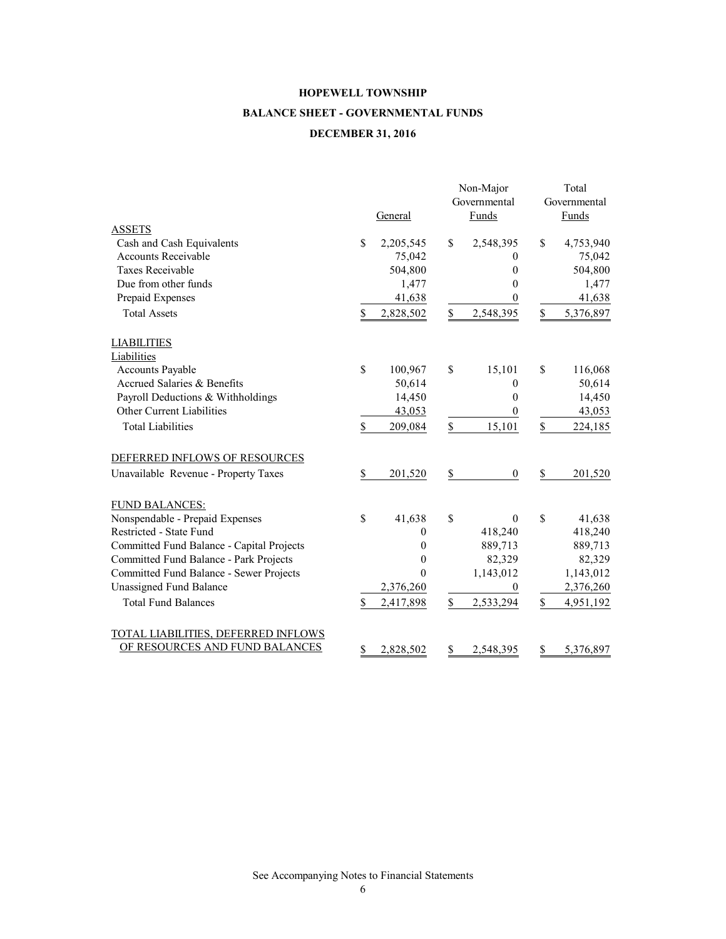# **BALANCE SHEET - GOVERNMENTAL FUNDS**

# **DECEMBER 31, 2016**

| <b>ASSETS</b>                             |    | General          |    | Non-Major<br>Governmental<br>Funds | Total<br>Governmental<br>Funds |           |  |
|-------------------------------------------|----|------------------|----|------------------------------------|--------------------------------|-----------|--|
| Cash and Cash Equivalents                 | \$ | 2,205,545        | \$ | 2,548,395                          | \$                             | 4,753,940 |  |
| <b>Accounts Receivable</b>                |    | 75,042           |    | 0                                  |                                | 75,042    |  |
| <b>Taxes Receivable</b>                   |    | 504,800          |    | $\mathbf{0}$                       |                                | 504,800   |  |
| Due from other funds                      |    | 1,477            |    | 0                                  |                                | 1,477     |  |
| Prepaid Expenses                          |    | 41,638           |    | $\boldsymbol{0}$                   |                                | 41,638    |  |
| <b>Total Assets</b>                       | S  | 2,828,502        | \$ | 2,548,395                          | \$                             | 5,376,897 |  |
| <b>LIABILITIES</b>                        |    |                  |    |                                    |                                |           |  |
| Liabilities                               |    |                  |    |                                    |                                |           |  |
| <b>Accounts Payable</b>                   | \$ | 100,967          | \$ | 15,101                             | \$                             | 116,068   |  |
| Accrued Salaries & Benefits               |    | 50,614           |    | $\theta$                           |                                | 50,614    |  |
| Payroll Deductions & Withholdings         |    | 14,450           |    | $\mathbf{0}$                       |                                | 14,450    |  |
| Other Current Liabilities                 |    | 43,053           |    | $\boldsymbol{0}$                   |                                | 43,053    |  |
| <b>Total Liabilities</b>                  | \$ | 209,084          | \$ | 15,101                             | \$                             | 224,185   |  |
| DEFERRED INFLOWS OF RESOURCES             |    |                  |    |                                    |                                |           |  |
| Unavailable Revenue - Property Taxes      | \$ | 201,520          | \$ | $\mathbf{0}$                       | \$                             | 201,520   |  |
| <b>FUND BALANCES:</b>                     |    |                  |    |                                    |                                |           |  |
| Nonspendable - Prepaid Expenses           | \$ | 41,638           | \$ | $\theta$                           | \$                             | 41,638    |  |
| Restricted - State Fund                   |    | $\mathbf{0}$     |    | 418,240                            |                                | 418,240   |  |
| Committed Fund Balance - Capital Projects |    | $\boldsymbol{0}$ |    | 889,713                            |                                | 889,713   |  |
| Committed Fund Balance - Park Projects    |    | $\mathbf{0}$     |    | 82,329                             |                                | 82,329    |  |
| Committed Fund Balance - Sewer Projects   |    | 0                |    | 1,143,012                          |                                | 1,143,012 |  |
| <b>Unassigned Fund Balance</b>            |    | 2,376,260        |    | $\boldsymbol{0}$                   |                                | 2,376,260 |  |
| <b>Total Fund Balances</b>                | \$ | 2,417,898        | \$ | 2,533,294                          | \$                             | 4,951,192 |  |
| TOTAL LIABILITIES. DEFERRED INFLOWS       |    |                  |    |                                    |                                |           |  |
| OF RESOURCES AND FUND BALANCES            | S  | 2,828,502        | S  | 2,548,395                          | \$                             | 5,376,897 |  |

See Accompanying Notes to Financial Statements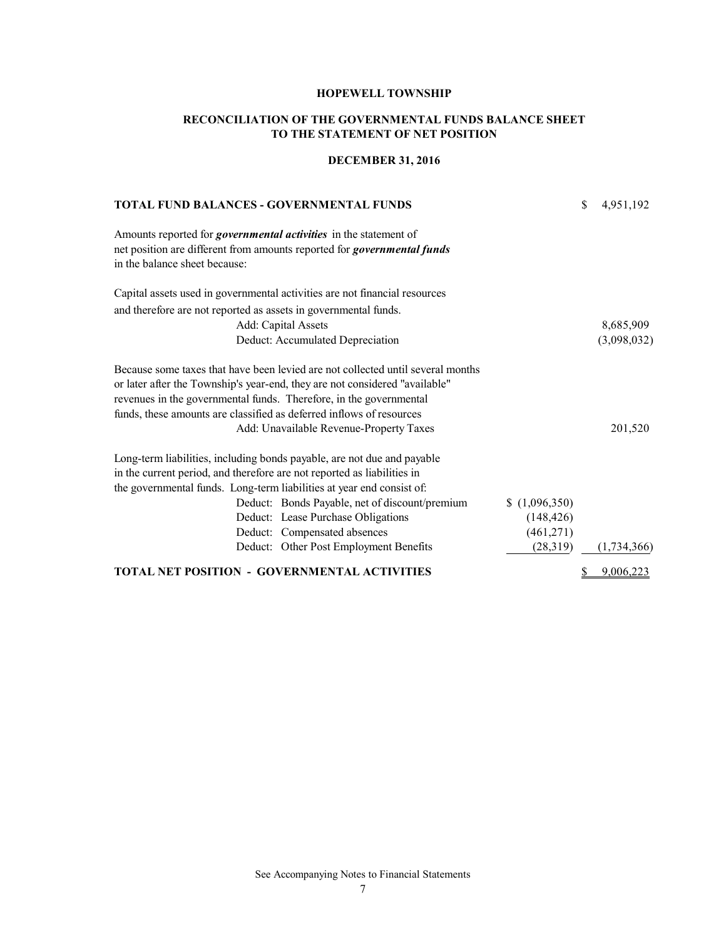## **RECONCILIATION OF THE GOVERNMENTAL FUNDS BALANCE SHEET TO THE STATEMENT OF NET POSITION**

## **DECEMBER 31, 2016**

| <b>TOTAL FUND BALANCES - GOVERNMENTAL FUNDS</b>                                                                                                                                                                                                                                                                                                         |             | \$ | 4,951,192   |
|---------------------------------------------------------------------------------------------------------------------------------------------------------------------------------------------------------------------------------------------------------------------------------------------------------------------------------------------------------|-------------|----|-------------|
| Amounts reported for <i>governmental activities</i> in the statement of<br>net position are different from amounts reported for governmental funds<br>in the balance sheet because:                                                                                                                                                                     |             |    |             |
| Capital assets used in governmental activities are not financial resources                                                                                                                                                                                                                                                                              |             |    |             |
| and therefore are not reported as assets in governmental funds.                                                                                                                                                                                                                                                                                         |             |    |             |
| Add: Capital Assets                                                                                                                                                                                                                                                                                                                                     |             |    | 8,685,909   |
| Deduct: Accumulated Depreciation                                                                                                                                                                                                                                                                                                                        |             |    | (3,098,032) |
| Because some taxes that have been levied are not collected until several months<br>or later after the Township's year-end, they are not considered "available"<br>revenues in the governmental funds. Therefore, in the governmental<br>funds, these amounts are classified as deferred inflows of resources<br>Add: Unavailable Revenue-Property Taxes |             |    | 201,520     |
| Long-term liabilities, including bonds payable, are not due and payable<br>in the current period, and therefore are not reported as liabilities in<br>the governmental funds. Long-term liabilities at year end consist of:<br>Deduct: Bonds Payable, net of discount/premium                                                                           | (1,096,350) |    |             |
| Deduct: Lease Purchase Obligations                                                                                                                                                                                                                                                                                                                      | (148, 426)  |    |             |
| Deduct: Compensated absences                                                                                                                                                                                                                                                                                                                            | (461, 271)  |    |             |
| Deduct: Other Post Employment Benefits                                                                                                                                                                                                                                                                                                                  | (28,319)    |    | (1,734,366) |
| <b>TOTAL NET POSITION - GOVERNMENTAL ACTIVITIES</b>                                                                                                                                                                                                                                                                                                     |             | S. | 9.006.223   |

See Accompanying Notes to Financial Statements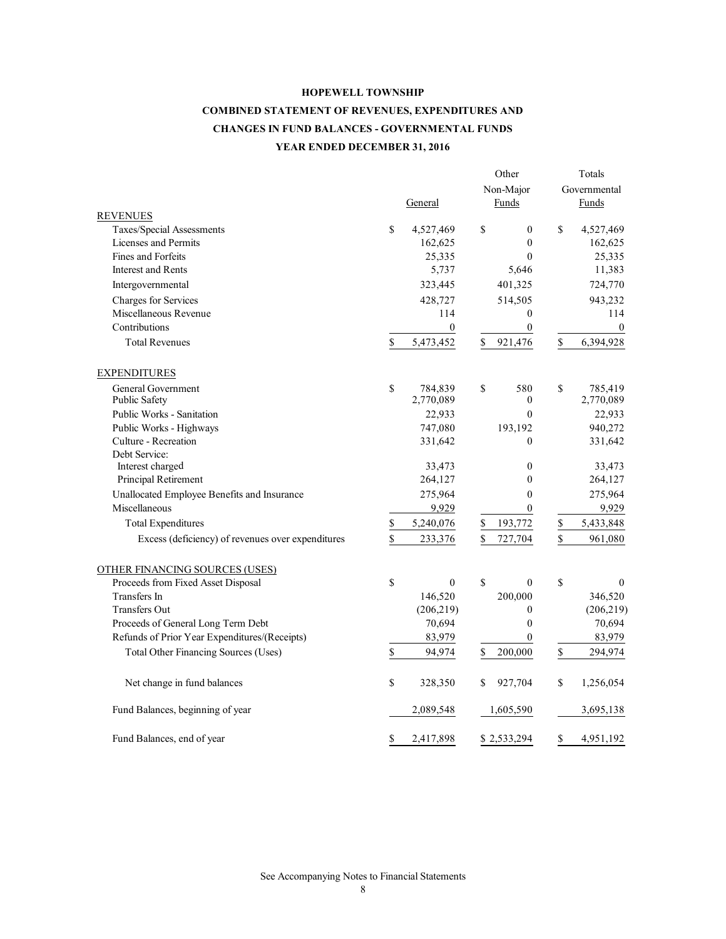# **COMBINED STATEMENT OF REVENUES, EXPENDITURES AND CHANGES IN FUND BALANCES - GOVERNMENTAL FUNDS YEAR ENDED DECEMBER 31, 2016**

|                                                                             |                        | Other                       | Totals                 |
|-----------------------------------------------------------------------------|------------------------|-----------------------------|------------------------|
|                                                                             |                        | Non-Major                   | Governmental           |
|                                                                             | General                | Funds                       | Funds                  |
| <b>REVENUES</b><br>Taxes/Special Assessments                                | \$<br>4,527,469        | \$<br>$\mathbf{0}$          | \$<br>4,527,469        |
| Licenses and Permits                                                        | 162,625                | $\Omega$                    | 162,625                |
| Fines and Forfeits                                                          | 25,335                 | $\mathbf{0}$                | 25,335                 |
| <b>Interest and Rents</b>                                                   | 5,737                  | 5,646                       | 11,383                 |
| Intergovernmental                                                           | 323,445                | 401,325                     | 724,770                |
| Charges for Services                                                        | 428,727                |                             | 943,232                |
| Miscellaneous Revenue                                                       | 114                    | 514,505<br>$\boldsymbol{0}$ | 114                    |
| Contributions                                                               | $\boldsymbol{0}$       | $\boldsymbol{0}$            | $\boldsymbol{0}$       |
|                                                                             |                        |                             |                        |
| <b>Total Revenues</b>                                                       | \$<br>5,473,452        | \$<br>921,476               | \$<br>6,394,928        |
| <b>EXPENDITURES</b>                                                         |                        |                             |                        |
| General Government                                                          | \$<br>784,839          | \$<br>580                   | \$<br>785,419          |
| <b>Public Safety</b>                                                        | 2,770,089              | $\theta$                    | 2,770,089              |
| Public Works - Sanitation                                                   | 22,933                 | $\mathbf{0}$                | 22,933                 |
| Public Works - Highways                                                     | 747,080                | 193,192                     | 940,272                |
| Culture - Recreation                                                        | 331,642                | $\mathbf{0}$                | 331,642                |
| Debt Service:                                                               |                        |                             |                        |
| Interest charged                                                            | 33,473                 | $\theta$                    | 33,473                 |
| Principal Retirement                                                        | 264,127                | $\mathbf{0}$                | 264,127                |
| Unallocated Employee Benefits and Insurance                                 | 275,964                | $\theta$                    | 275,964                |
| Miscellaneous                                                               | 9,929                  | $\overline{0}$              | 9,929                  |
| <b>Total Expenditures</b>                                                   | \$<br>5,240,076        | \$<br>193,772               | \$<br>5,433,848        |
| Excess (deficiency) of revenues over expenditures                           | \$<br>233,376          | \$<br>727,704               | \$<br>961,080          |
|                                                                             |                        |                             |                        |
| <b>OTHER FINANCING SOURCES (USES)</b><br>Proceeds from Fixed Asset Disposal | \$<br>$\boldsymbol{0}$ | \$<br>$\boldsymbol{0}$      | \$<br>$\boldsymbol{0}$ |
| Transfers In                                                                | 146,520                | 200,000                     | 346,520                |
| <b>Transfers Out</b>                                                        | (206, 219)             | $\theta$                    | (206, 219)             |
| Proceeds of General Long Term Debt                                          | 70,694                 | $\theta$                    | 70,694                 |
| Refunds of Prior Year Expenditures/(Receipts)                               | 83,979                 | $\boldsymbol{0}$            | 83,979                 |
|                                                                             |                        |                             |                        |
| <b>Total Other Financing Sources (Uses)</b>                                 | \$<br>94,974           | \$<br>200,000               | \$<br>294,974          |
| Net change in fund balances                                                 | \$<br>328,350          | \$<br>927,704               | \$<br>1,256,054        |
| Fund Balances, beginning of year                                            | 2,089,548              | 1,605,590                   | 3,695,138              |
| Fund Balances, end of year                                                  | \$<br>2,417,898        | \$2,533,294                 | \$<br>4,951,192        |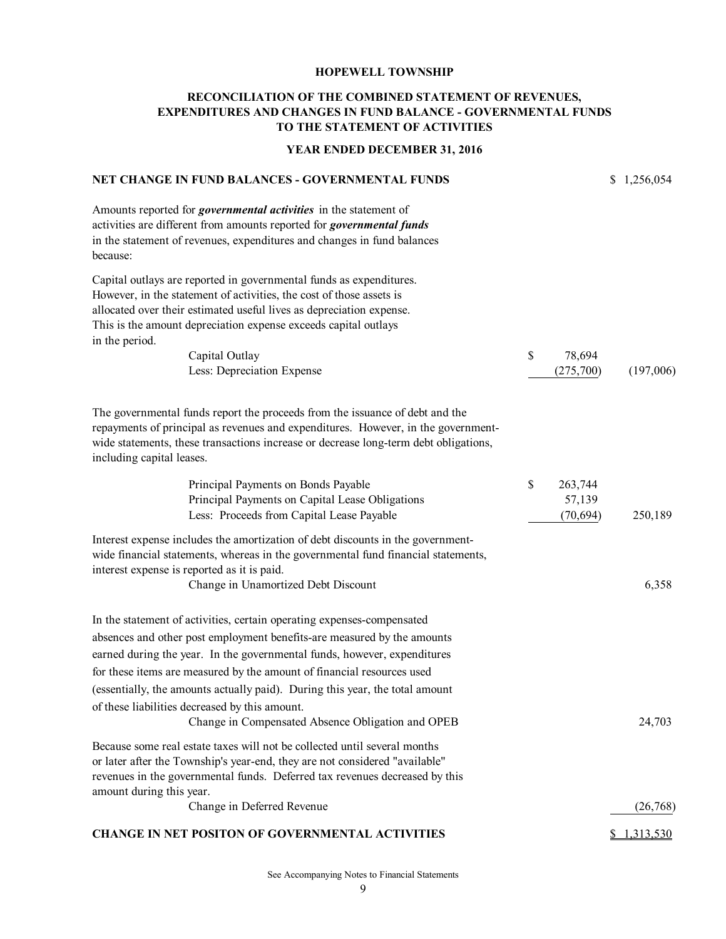# **RECONCILIATION OF THE COMBINED STATEMENT OF REVENUES, EXPENDITURES AND CHANGES IN FUND BALANCE - GOVERNMENTAL FUNDS TO THE STATEMENT OF ACTIVITIES**

#### **YEAR ENDED DECEMBER 31, 2016**

| NET CHANGE IN FUND BALANCES - GOVERNMENTAL FUNDS                                                                                                                                                                                                                                                                                                                                                                                                                                               |                                      | \$1,256,054 |
|------------------------------------------------------------------------------------------------------------------------------------------------------------------------------------------------------------------------------------------------------------------------------------------------------------------------------------------------------------------------------------------------------------------------------------------------------------------------------------------------|--------------------------------------|-------------|
| Amounts reported for <i>governmental activities</i> in the statement of<br>activities are different from amounts reported for governmental funds<br>in the statement of revenues, expenditures and changes in fund balances<br>because:                                                                                                                                                                                                                                                        |                                      |             |
| Capital outlays are reported in governmental funds as expenditures.<br>However, in the statement of activities, the cost of those assets is<br>allocated over their estimated useful lives as depreciation expense.<br>This is the amount depreciation expense exceeds capital outlays<br>in the period.                                                                                                                                                                                       |                                      |             |
| Capital Outlay<br>Less: Depreciation Expense                                                                                                                                                                                                                                                                                                                                                                                                                                                   | \$<br>78,694<br>(275,700)            | (197,006)   |
| The governmental funds report the proceeds from the issuance of debt and the<br>repayments of principal as revenues and expenditures. However, in the government-<br>wide statements, these transactions increase or decrease long-term debt obligations,<br>including capital leases.                                                                                                                                                                                                         |                                      |             |
| Principal Payments on Bonds Payable<br>Principal Payments on Capital Lease Obligations<br>Less: Proceeds from Capital Lease Payable                                                                                                                                                                                                                                                                                                                                                            | \$<br>263,744<br>57,139<br>(70, 694) | 250,189     |
| Interest expense includes the amortization of debt discounts in the government-<br>wide financial statements, whereas in the governmental fund financial statements,<br>interest expense is reported as it is paid.<br>Change in Unamortized Debt Discount                                                                                                                                                                                                                                     |                                      | 6,358       |
| In the statement of activities, certain operating expenses-compensated<br>absences and other post employment benefits-are measured by the amounts<br>earned during the year. In the governmental funds, however, expenditures<br>for these items are measured by the amount of financial resources used<br>(essentially, the amounts actually paid). During this year, the total amount<br>of these liabilities decreased by this amount.<br>Change in Compensated Absence Obligation and OPEB |                                      | 24,703      |
| Because some real estate taxes will not be collected until several months<br>or later after the Township's year-end, they are not considered "available"<br>revenues in the governmental funds. Deferred tax revenues decreased by this<br>amount during this year.                                                                                                                                                                                                                            |                                      |             |
| Change in Deferred Revenue                                                                                                                                                                                                                                                                                                                                                                                                                                                                     |                                      | (26,768)    |
| CHANGE IN NET POSITON OF GOVERNMENTAL ACTIVITIES                                                                                                                                                                                                                                                                                                                                                                                                                                               |                                      | \$1,313,530 |

#### See Accompanying Notes to Financial Statements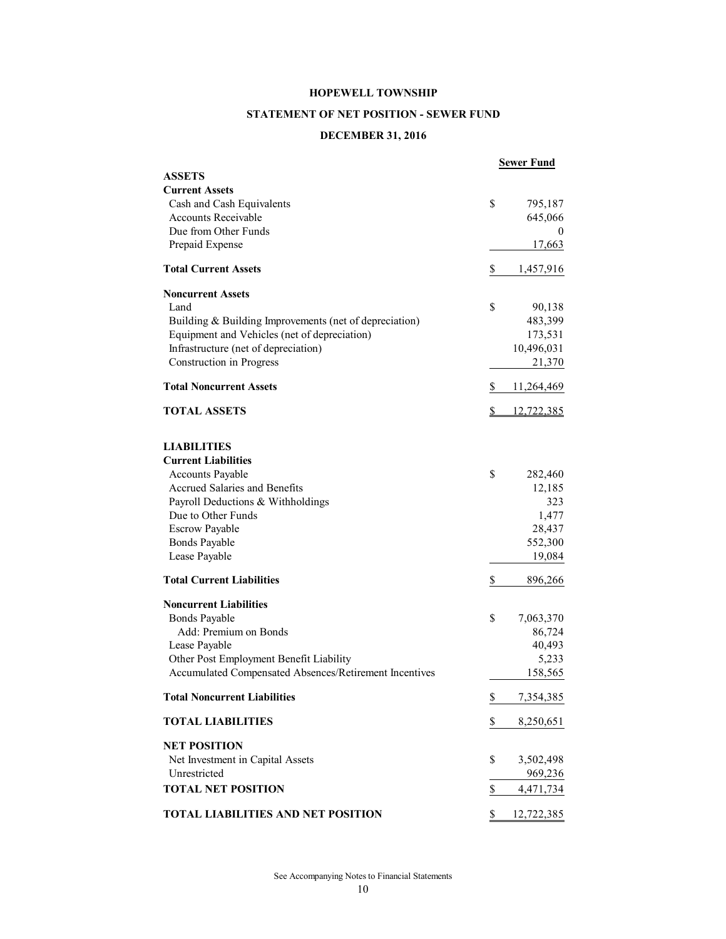# **STATEMENT OF NET POSITION - SEWER FUND**

# **DECEMBER 31, 2016**

|                                                                                      |    | <b>Sewer Fund</b>     |
|--------------------------------------------------------------------------------------|----|-----------------------|
| <b>ASSETS</b>                                                                        |    |                       |
| <b>Current Assets</b>                                                                |    |                       |
| Cash and Cash Equivalents                                                            | \$ | 795,187               |
| <b>Accounts Receivable</b><br>Due from Other Funds                                   |    | 645,066<br>$\bf{0}$   |
| Prepaid Expense                                                                      |    | 17,663                |
|                                                                                      |    |                       |
| <b>Total Current Assets</b>                                                          | \$ | 1,457,916             |
| <b>Noncurrent Assets</b>                                                             |    |                       |
| Land                                                                                 | \$ | 90,138                |
| Building & Building Improvements (net of depreciation)                               |    | 483,399               |
| Equipment and Vehicles (net of depreciation)<br>Infrastructure (net of depreciation) |    | 173,531<br>10,496,031 |
| Construction in Progress                                                             |    | 21,370                |
|                                                                                      |    |                       |
| <b>Total Noncurrent Assets</b>                                                       | \$ | 11,264,469            |
| <b>TOTAL ASSETS</b>                                                                  | S  | 12,722,385            |
| <b>LIABILITIES</b>                                                                   |    |                       |
| <b>Current Liabilities</b>                                                           |    |                       |
| <b>Accounts Payable</b>                                                              | \$ | 282,460               |
| <b>Accrued Salaries and Benefits</b>                                                 |    | 12,185                |
| Payroll Deductions & Withholdings                                                    |    | 323                   |
| Due to Other Funds                                                                   |    | 1,477                 |
| <b>Escrow Payable</b><br><b>Bonds Payable</b>                                        |    | 28,437<br>552,300     |
| Lease Payable                                                                        |    | 19,084                |
|                                                                                      |    |                       |
| <b>Total Current Liabilities</b>                                                     | \$ | 896,266               |
| <b>Noncurrent Liabilities</b>                                                        |    |                       |
| <b>Bonds Payable</b>                                                                 | \$ | 7,063,370             |
| Add: Premium on Bonds                                                                |    | 86,724                |
| Lease Payable<br>Other Post Employment Benefit Liability                             |    | 40,493<br>5,233       |
| Accumulated Compensated Absences/Retirement Incentives                               |    | 158,565               |
| <b>Total Noncurrent Liabilities</b>                                                  | \$ | 7,354,385             |
| <b>TOTAL LIABILITIES</b>                                                             | \$ | 8,250,651             |
| <b>NET POSITION</b>                                                                  |    |                       |
| Net Investment in Capital Assets                                                     | \$ | 3,502,498             |
| Unrestricted                                                                         |    | 969,236               |
| <b>TOTAL NET POSITION</b>                                                            | \$ | 4,471,734             |
| <b>TOTAL LIABILITIES AND NET POSITION</b>                                            | \$ | 12,722,385            |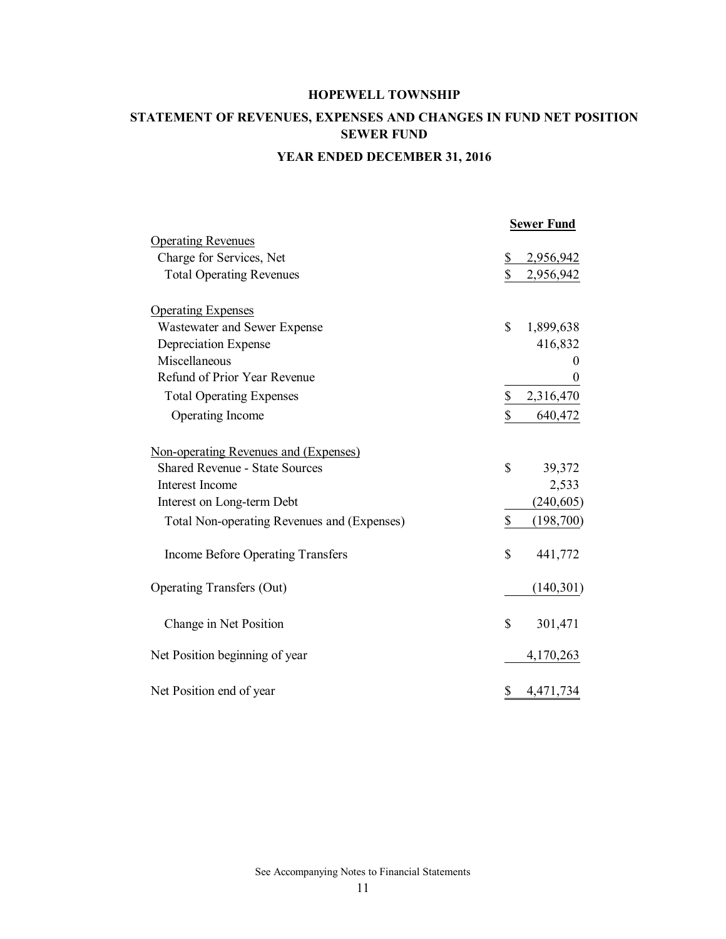# **STATEMENT OF REVENUES, EXPENSES AND CHANGES IN FUND NET POSITION SEWER FUND**

# **YEAR ENDED DECEMBER 31, 2016**

|                                              |           | <b>Sewer Fund</b> |
|----------------------------------------------|-----------|-------------------|
| <b>Operating Revenues</b>                    |           |                   |
| Charge for Services, Net                     | <u>\$</u> | 2,956,942         |
| <b>Total Operating Revenues</b>              | \$        | 2,956,942         |
| <b>Operating Expenses</b>                    |           |                   |
| Wastewater and Sewer Expense                 | \$        | 1,899,638         |
| Depreciation Expense                         |           | 416,832           |
| Miscellaneous                                |           | 0                 |
| Refund of Prior Year Revenue                 |           | $\theta$          |
| <b>Total Operating Expenses</b>              | \$        | 2,316,470         |
| Operating Income                             | \$        | 640,472           |
| <b>Non-operating Revenues and (Expenses)</b> |           |                   |
| <b>Shared Revenue - State Sources</b>        | \$        | 39,372            |
| Interest Income                              |           | 2,533             |
| Interest on Long-term Debt                   |           | (240, 605)        |
| Total Non-operating Revenues and (Expenses)  | \$        | (198, 700)        |
| Income Before Operating Transfers            | \$        | 441,772           |
| <b>Operating Transfers (Out)</b>             |           | (140, 301)        |
| Change in Net Position                       | \$        | 301,471           |
| Net Position beginning of year               |           | 4,170,263         |
| Net Position end of year                     | \$        | 4,471,734         |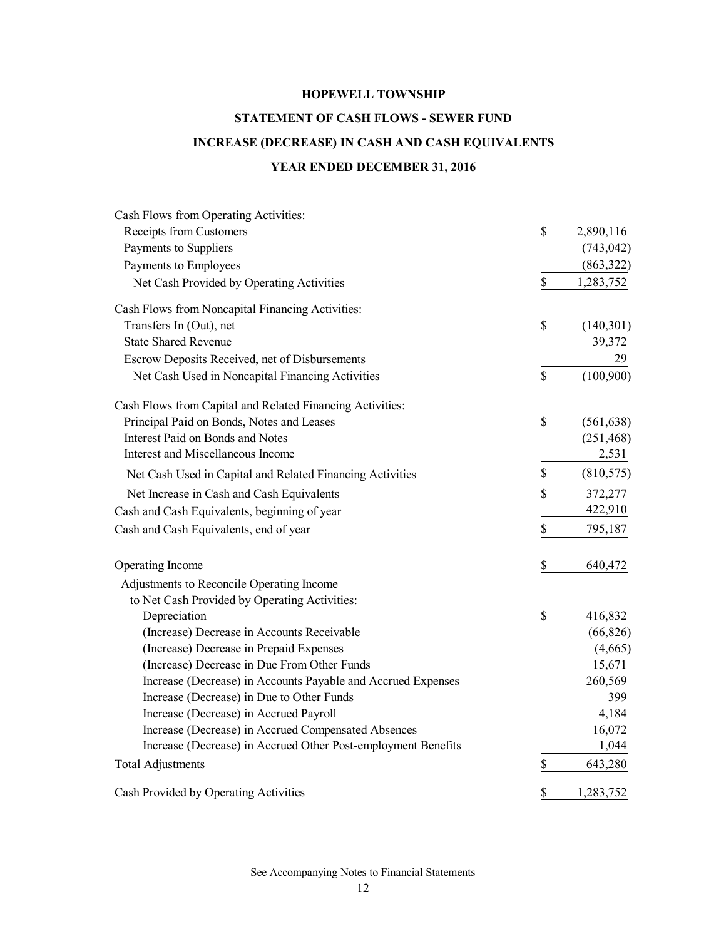# **STATEMENT OF CASH FLOWS - SEWER FUND YEAR ENDED DECEMBER 31, 2016 INCREASE (DECREASE) IN CASH AND CASH EQUIVALENTS**

| Cash Flows from Operating Activities:                         |                             |            |
|---------------------------------------------------------------|-----------------------------|------------|
| Receipts from Customers                                       | \$                          | 2,890,116  |
| Payments to Suppliers                                         |                             | (743, 042) |
| Payments to Employees                                         |                             | (863,322)  |
| Net Cash Provided by Operating Activities                     | \$                          | 1,283,752  |
| Cash Flows from Noncapital Financing Activities:              |                             |            |
| Transfers In (Out), net                                       | \$                          | (140, 301) |
| <b>State Shared Revenue</b>                                   |                             | 39,372     |
| Escrow Deposits Received, net of Disbursements                |                             | 29         |
| Net Cash Used in Noncapital Financing Activities              | \$                          | (100, 900) |
| Cash Flows from Capital and Related Financing Activities:     |                             |            |
| Principal Paid on Bonds, Notes and Leases                     | \$                          | (561, 638) |
| <b>Interest Paid on Bonds and Notes</b>                       |                             | (251, 468) |
| Interest and Miscellaneous Income                             |                             | 2,531      |
| Net Cash Used in Capital and Related Financing Activities     | $\frac{\text{S}}{\text{S}}$ | (810, 575) |
| Net Increase in Cash and Cash Equivalents                     | \$                          | 372,277    |
| Cash and Cash Equivalents, beginning of year                  |                             | 422,910    |
| Cash and Cash Equivalents, end of year                        | \$                          | 795,187    |
| Operating Income                                              | \$                          | 640,472    |
| Adjustments to Reconcile Operating Income                     |                             |            |
| to Net Cash Provided by Operating Activities:                 |                             |            |
| Depreciation                                                  | \$                          | 416,832    |
| (Increase) Decrease in Accounts Receivable                    |                             | (66, 826)  |
| (Increase) Decrease in Prepaid Expenses                       |                             | (4,665)    |
| (Increase) Decrease in Due From Other Funds                   |                             | 15,671     |
| Increase (Decrease) in Accounts Payable and Accrued Expenses  |                             | 260,569    |
| Increase (Decrease) in Due to Other Funds                     |                             | 399        |
| Increase (Decrease) in Accrued Payroll                        |                             | 4,184      |
| Increase (Decrease) in Accrued Compensated Absences           |                             | 16,072     |
| Increase (Decrease) in Accrued Other Post-employment Benefits |                             | 1,044      |
| <b>Total Adjustments</b>                                      | \$                          | 643,280    |
| Cash Provided by Operating Activities                         | \$                          | 1,283,752  |

See Accompanying Notes to Financial Statements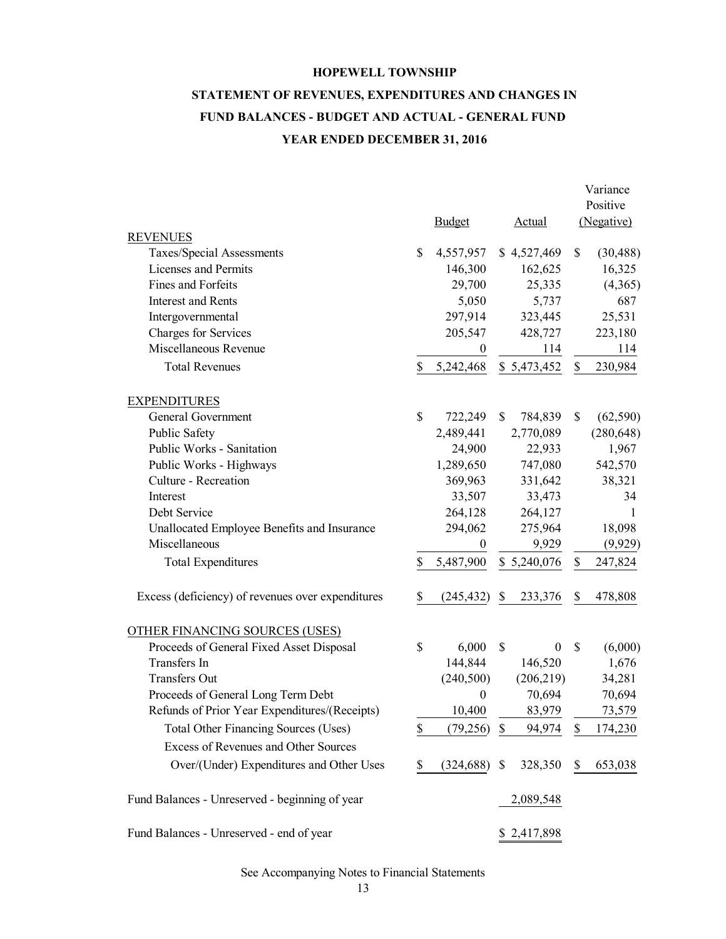# **STATEMENT OF REVENUES, EXPENDITURES AND CHANGES IN FUND BALANCES - BUDGET AND ACTUAL - GENERAL FUND YEAR ENDED DECEMBER 31, 2016**

|                                                   |                  |                        | Variance<br>Positive |
|---------------------------------------------------|------------------|------------------------|----------------------|
|                                                   | <b>Budget</b>    | <b>Actual</b>          | (Negative)           |
| <b>REVENUES</b>                                   |                  |                        |                      |
| Taxes/Special Assessments                         | \$<br>4,557,957  | \$4,527,469            | \$<br>(30, 488)      |
| Licenses and Permits                              | 146,300          | 162,625                | 16,325               |
| Fines and Forfeits                                | 29,700           | 25,335                 | (4,365)              |
| <b>Interest and Rents</b>                         | 5,050            | 5,737                  | 687                  |
| Intergovernmental                                 | 297,914          | 323,445                | 25,531               |
| Charges for Services                              | 205,547          | 428,727                | 223,180              |
| Miscellaneous Revenue                             | $\boldsymbol{0}$ | 114                    | 114                  |
| <b>Total Revenues</b>                             | \$<br>5,242,468  | \$5,473,452            | \$<br>230,984        |
| <b>EXPENDITURES</b>                               |                  |                        |                      |
| General Government                                | \$<br>722,249    | \$<br>784,839          | \$<br>(62, 590)      |
| Public Safety                                     | 2,489,441        | 2,770,089              | (280, 648)           |
| Public Works - Sanitation                         | 24,900           | 22,933                 | 1,967                |
| Public Works - Highways                           | 1,289,650        | 747,080                | 542,570              |
| Culture - Recreation                              | 369,963          | 331,642                | 38,321               |
| Interest                                          | 33,507           | 33,473                 | 34                   |
| Debt Service                                      | 264,128          | 264,127                | $\mathbf{1}$         |
| Unallocated Employee Benefits and Insurance       | 294,062          | 275,964                | 18,098               |
| Miscellaneous                                     | $\boldsymbol{0}$ | 9,929                  | (9,929)              |
| <b>Total Expenditures</b>                         | \$<br>5,487,900  | \$5,240,076            | \$<br>247,824        |
| Excess (deficiency) of revenues over expenditures | \$<br>(245, 432) | 233,376<br>\$          | \$<br>478,808        |
| OTHER FINANCING SOURCES (USES)                    |                  |                        |                      |
| Proceeds of General Fixed Asset Disposal          | \$<br>6,000      | \$<br>$\boldsymbol{0}$ | \$<br>(6,000)        |
| Transfers In                                      | 144,844          | 146,520                | 1,676                |
| Transfers Out                                     | (240, 500)       | (206, 219)             | 34,281               |
| Proceeds of General Long Term Debt                | $\boldsymbol{0}$ | 70,694                 | 70,694               |
| Refunds of Prior Year Expenditures/(Receipts)     | 10,400           | 83,979                 | 73,579               |
| Total Other Financing Sources (Uses)              | \$<br>(79,256)   | \$<br>94,974           | \$<br>174,230        |
| Excess of Revenues and Other Sources              |                  |                        |                      |
| Over/(Under) Expenditures and Other Uses          | \$<br>(324, 688) | 328,350<br>\$          | \$<br>653,038        |
| Fund Balances - Unreserved - beginning of year    |                  | 2,089,548              |                      |
| Fund Balances - Unreserved - end of year          |                  | \$2,417,898            |                      |

See Accompanying Notes to Financial Statements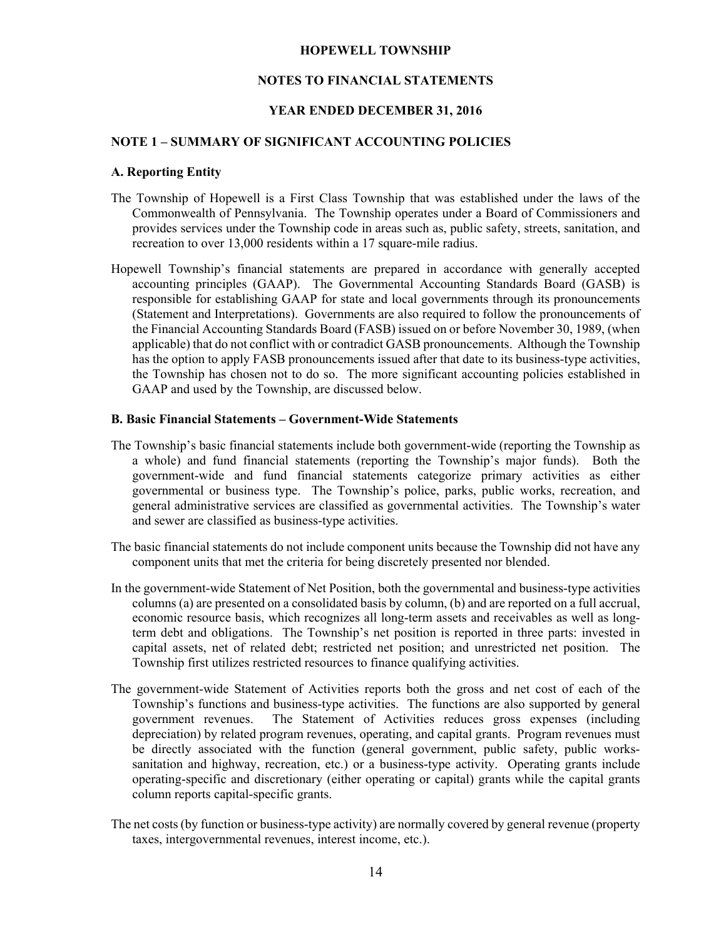## **NOTES TO FINANCIAL STATEMENTS**

# **YEAR ENDED DECEMBER 31, 2016**

## **NOTE 1 – SUMMARY OF SIGNIFICANT ACCOUNTING POLICIES**

#### **A. Reporting Entity**

- The Township of Hopewell is a First Class Township that was established under the laws of the Commonwealth of Pennsylvania. The Township operates under a Board of Commissioners and provides services under the Township code in areas such as, public safety, streets, sanitation, and recreation to over 13,000 residents within a 17 square-mile radius.
- Hopewell Township's financial statements are prepared in accordance with generally accepted accounting principles (GAAP). The Governmental Accounting Standards Board (GASB) is responsible for establishing GAAP for state and local governments through its pronouncements (Statement and Interpretations). Governments are also required to follow the pronouncements of the Financial Accounting Standards Board (FASB) issued on or before November 30, 1989, (when applicable) that do not conflict with or contradict GASB pronouncements. Although the Township has the option to apply FASB pronouncements issued after that date to its business-type activities, the Township has chosen not to do so. The more significant accounting policies established in GAAP and used by the Township, are discussed below.

## **B. Basic Financial Statements – Government-Wide Statements**

- The Township's basic financial statements include both government-wide (reporting the Township as a whole) and fund financial statements (reporting the Township's major funds). Both the government-wide and fund financial statements categorize primary activities as either governmental or business type. The Township's police, parks, public works, recreation, and general administrative services are classified as governmental activities. The Township's water and sewer are classified as business-type activities.
- The basic financial statements do not include component units because the Township did not have any component units that met the criteria for being discretely presented nor blended.
- In the government-wide Statement of Net Position, both the governmental and business-type activities columns (a) are presented on a consolidated basis by column, (b) and are reported on a full accrual, economic resource basis, which recognizes all long-term assets and receivables as well as longterm debt and obligations. The Township's net position is reported in three parts: invested in capital assets, net of related debt; restricted net position; and unrestricted net position. The Township first utilizes restricted resources to finance qualifying activities.
- The government-wide Statement of Activities reports both the gross and net cost of each of the Township's functions and business-type activities. The functions are also supported by general government revenues. The Statement of Activities reduces gross expenses (including depreciation) by related program revenues, operating, and capital grants. Program revenues must be directly associated with the function (general government, public safety, public workssanitation and highway, recreation, etc.) or a business-type activity. Operating grants include operating-specific and discretionary (either operating or capital) grants while the capital grants column reports capital-specific grants.
- The net costs (by function or business-type activity) are normally covered by general revenue (property taxes, intergovernmental revenues, interest income, etc.).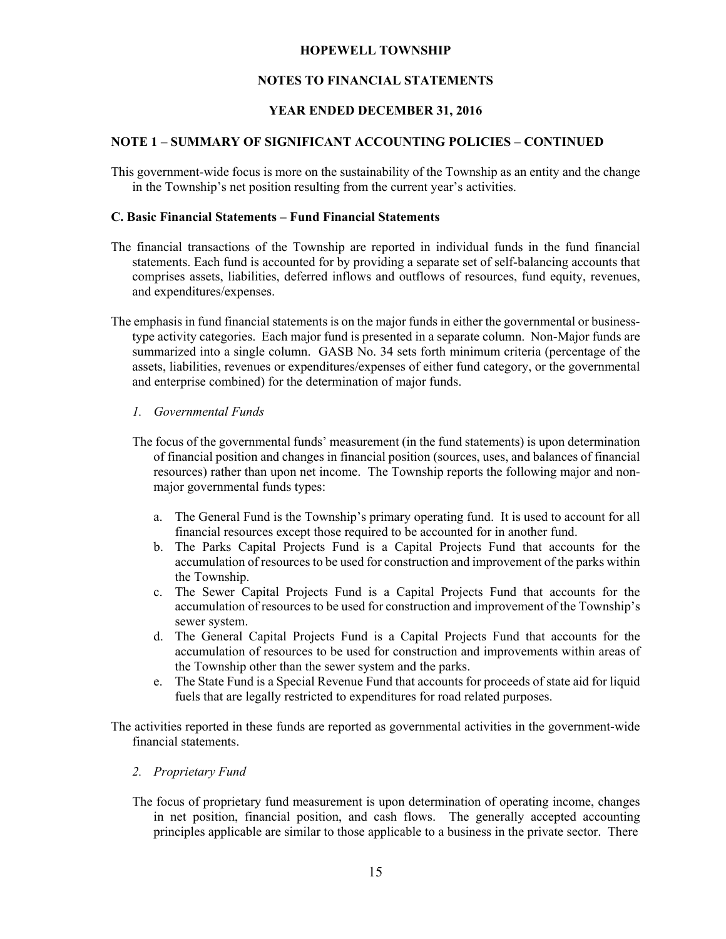# **NOTES TO FINANCIAL STATEMENTS**

# **YEAR ENDED DECEMBER 31, 2016**

# **NOTE 1 – SUMMARY OF SIGNIFICANT ACCOUNTING POLICIES – CONTINUED**

This government-wide focus is more on the sustainability of the Township as an entity and the change in the Township's net position resulting from the current year's activities.

# **C. Basic Financial Statements – Fund Financial Statements**

- The financial transactions of the Township are reported in individual funds in the fund financial statements. Each fund is accounted for by providing a separate set of self-balancing accounts that comprises assets, liabilities, deferred inflows and outflows of resources, fund equity, revenues, and expenditures/expenses.
- The emphasis in fund financial statements is on the major funds in either the governmental or businesstype activity categories. Each major fund is presented in a separate column. Non-Major funds are summarized into a single column. GASB No. 34 sets forth minimum criteria (percentage of the assets, liabilities, revenues or expenditures/expenses of either fund category, or the governmental and enterprise combined) for the determination of major funds.
	- *1. Governmental Funds*
	- The focus of the governmental funds' measurement (in the fund statements) is upon determination of financial position and changes in financial position (sources, uses, and balances of financial resources) rather than upon net income. The Township reports the following major and nonmajor governmental funds types:
		- a. The General Fund is the Township's primary operating fund. It is used to account for all financial resources except those required to be accounted for in another fund.
		- b. The Parks Capital Projects Fund is a Capital Projects Fund that accounts for the accumulation of resources to be used for construction and improvement of the parks within the Township.
		- c. The Sewer Capital Projects Fund is a Capital Projects Fund that accounts for the accumulation of resources to be used for construction and improvement of the Township's sewer system.
		- d. The General Capital Projects Fund is a Capital Projects Fund that accounts for the accumulation of resources to be used for construction and improvements within areas of the Township other than the sewer system and the parks.
		- e. The State Fund is a Special Revenue Fund that accounts for proceeds of state aid for liquid fuels that are legally restricted to expenditures for road related purposes.

The activities reported in these funds are reported as governmental activities in the government-wide financial statements.

- *2. Proprietary Fund*
- The focus of proprietary fund measurement is upon determination of operating income, changes in net position, financial position, and cash flows. The generally accepted accounting principles applicable are similar to those applicable to a business in the private sector. There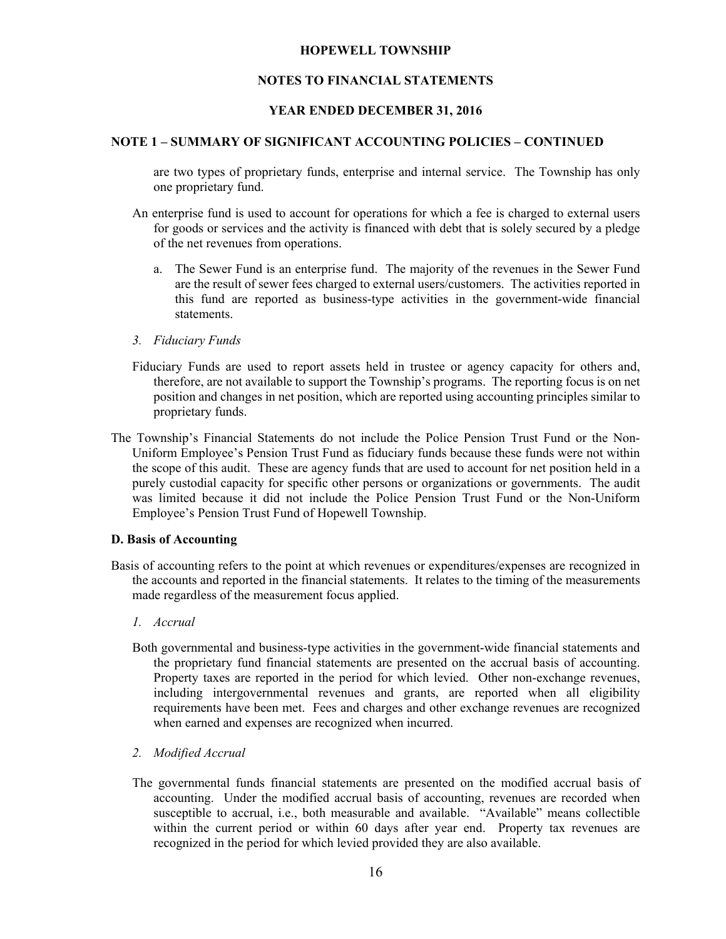# **NOTES TO FINANCIAL STATEMENTS**

# **YEAR ENDED DECEMBER 31, 2016**

# **NOTE 1 – SUMMARY OF SIGNIFICANT ACCOUNTING POLICIES – CONTINUED**

 are two types of proprietary funds, enterprise and internal service. The Township has only one proprietary fund.

- An enterprise fund is used to account for operations for which a fee is charged to external users for goods or services and the activity is financed with debt that is solely secured by a pledge of the net revenues from operations.
	- a. The Sewer Fund is an enterprise fund. The majority of the revenues in the Sewer Fund are the result of sewer fees charged to external users/customers. The activities reported in this fund are reported as business-type activities in the government-wide financial statements.
- *3. Fiduciary Funds*
- Fiduciary Funds are used to report assets held in trustee or agency capacity for others and, therefore, are not available to support the Township's programs. The reporting focus is on net position and changes in net position, which are reported using accounting principles similar to proprietary funds.
- The Township's Financial Statements do not include the Police Pension Trust Fund or the Non-Uniform Employee's Pension Trust Fund as fiduciary funds because these funds were not within the scope of this audit. These are agency funds that are used to account for net position held in a purely custodial capacity for specific other persons or organizations or governments. The audit was limited because it did not include the Police Pension Trust Fund or the Non-Uniform Employee's Pension Trust Fund of Hopewell Township.

#### **D. Basis of Accounting**

- Basis of accounting refers to the point at which revenues or expenditures/expenses are recognized in the accounts and reported in the financial statements. It relates to the timing of the measurements made regardless of the measurement focus applied.
	- *1. Accrual*
	- Both governmental and business-type activities in the government-wide financial statements and the proprietary fund financial statements are presented on the accrual basis of accounting. Property taxes are reported in the period for which levied. Other non-exchange revenues, including intergovernmental revenues and grants, are reported when all eligibility requirements have been met. Fees and charges and other exchange revenues are recognized when earned and expenses are recognized when incurred.
	- *2. Modified Accrual*
	- The governmental funds financial statements are presented on the modified accrual basis of accounting. Under the modified accrual basis of accounting, revenues are recorded when susceptible to accrual, i.e., both measurable and available. "Available" means collectible within the current period or within 60 days after year end. Property tax revenues are recognized in the period for which levied provided they are also available.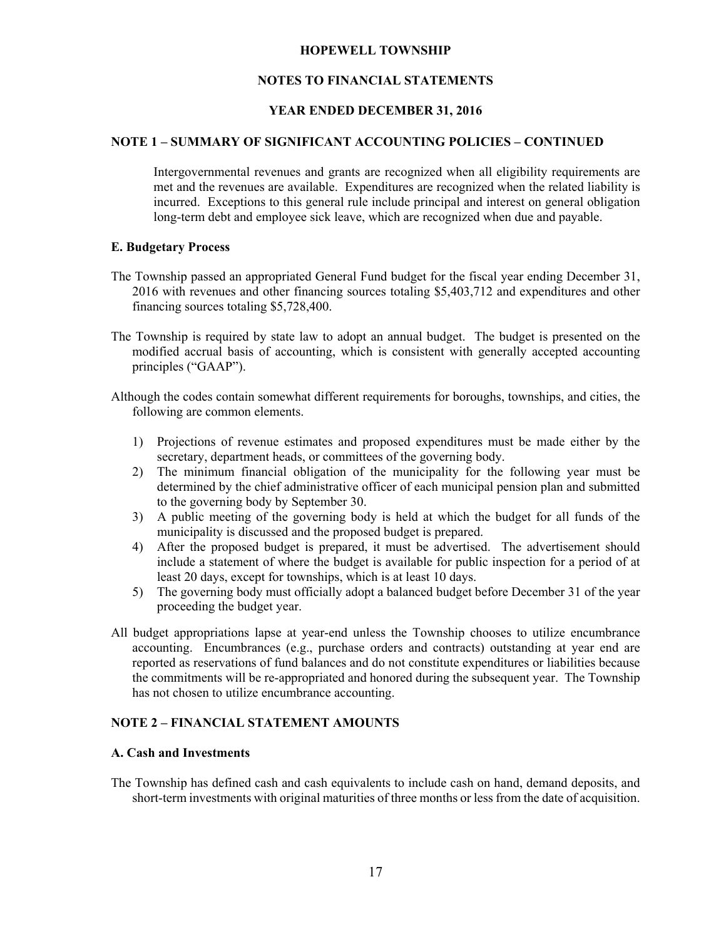# **NOTES TO FINANCIAL STATEMENTS**

# **YEAR ENDED DECEMBER 31, 2016**

#### **NOTE 1 – SUMMARY OF SIGNIFICANT ACCOUNTING POLICIES – CONTINUED**

 Intergovernmental revenues and grants are recognized when all eligibility requirements are met and the revenues are available. Expenditures are recognized when the related liability is incurred. Exceptions to this general rule include principal and interest on general obligation long-term debt and employee sick leave, which are recognized when due and payable.

## **E. Budgetary Process**

- The Township passed an appropriated General Fund budget for the fiscal year ending December 31, 2016 with revenues and other financing sources totaling \$5,403,712 and expenditures and other financing sources totaling \$5,728,400.
- The Township is required by state law to adopt an annual budget. The budget is presented on the modified accrual basis of accounting, which is consistent with generally accepted accounting principles ("GAAP").

Although the codes contain somewhat different requirements for boroughs, townships, and cities, the following are common elements.

- 1) Projections of revenue estimates and proposed expenditures must be made either by the secretary, department heads, or committees of the governing body.
- 2) The minimum financial obligation of the municipality for the following year must be determined by the chief administrative officer of each municipal pension plan and submitted to the governing body by September 30.
- 3) A public meeting of the governing body is held at which the budget for all funds of the municipality is discussed and the proposed budget is prepared.
- 4) After the proposed budget is prepared, it must be advertised. The advertisement should include a statement of where the budget is available for public inspection for a period of at least 20 days, except for townships, which is at least 10 days.
- 5) The governing body must officially adopt a balanced budget before December 31 of the year proceeding the budget year.
- All budget appropriations lapse at year-end unless the Township chooses to utilize encumbrance accounting. Encumbrances (e.g., purchase orders and contracts) outstanding at year end are reported as reservations of fund balances and do not constitute expenditures or liabilities because the commitments will be re-appropriated and honored during the subsequent year. The Township has not chosen to utilize encumbrance accounting.

# **NOTE 2 – FINANCIAL STATEMENT AMOUNTS**

## **A. Cash and Investments**

The Township has defined cash and cash equivalents to include cash on hand, demand deposits, and short-term investments with original maturities of three months or less from the date of acquisition.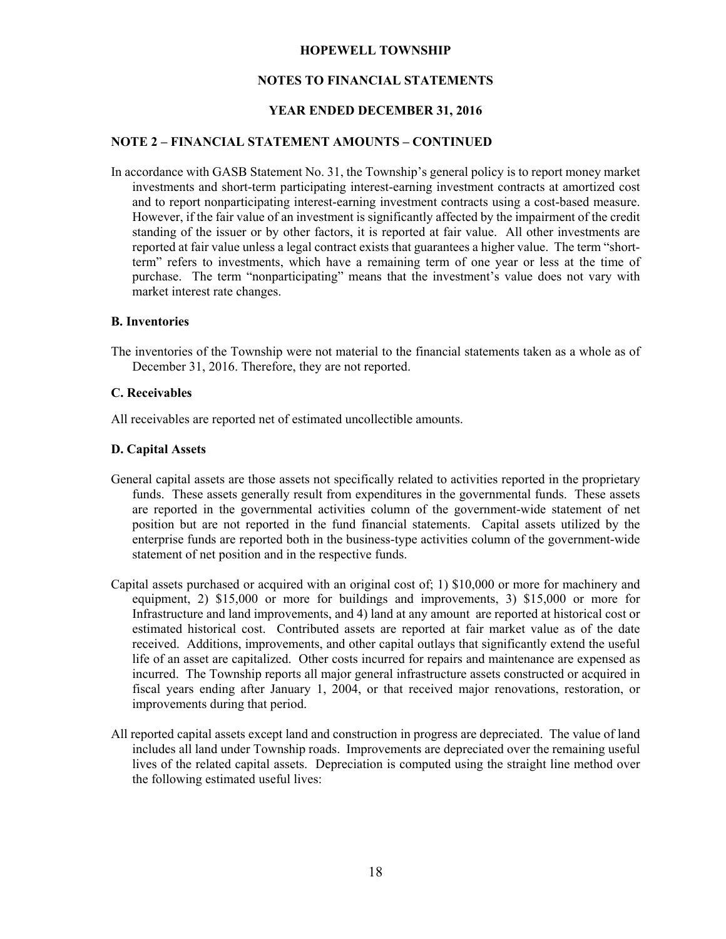# **NOTES TO FINANCIAL STATEMENTS**

# **YEAR ENDED DECEMBER 31, 2016**

## **NOTE 2 – FINANCIAL STATEMENT AMOUNTS – CONTINUED**

In accordance with GASB Statement No. 31, the Township's general policy is to report money market investments and short-term participating interest-earning investment contracts at amortized cost and to report nonparticipating interest-earning investment contracts using a cost-based measure. However, if the fair value of an investment is significantly affected by the impairment of the credit standing of the issuer or by other factors, it is reported at fair value. All other investments are reported at fair value unless a legal contract exists that guarantees a higher value. The term "shortterm" refers to investments, which have a remaining term of one year or less at the time of purchase. The term "nonparticipating" means that the investment's value does not vary with market interest rate changes.

## **B. Inventories**

The inventories of the Township were not material to the financial statements taken as a whole as of December 31, 2016. Therefore, they are not reported.

### **C. Receivables**

All receivables are reported net of estimated uncollectible amounts.

# **D. Capital Assets**

- General capital assets are those assets not specifically related to activities reported in the proprietary funds. These assets generally result from expenditures in the governmental funds. These assets are reported in the governmental activities column of the government-wide statement of net position but are not reported in the fund financial statements. Capital assets utilized by the enterprise funds are reported both in the business-type activities column of the government-wide statement of net position and in the respective funds.
- Capital assets purchased or acquired with an original cost of; 1) \$10,000 or more for machinery and equipment, 2) \$15,000 or more for buildings and improvements, 3) \$15,000 or more for Infrastructure and land improvements, and 4) land at any amount are reported at historical cost or estimated historical cost. Contributed assets are reported at fair market value as of the date received. Additions, improvements, and other capital outlays that significantly extend the useful life of an asset are capitalized. Other costs incurred for repairs and maintenance are expensed as incurred. The Township reports all major general infrastructure assets constructed or acquired in fiscal years ending after January 1, 2004, or that received major renovations, restoration, or improvements during that period.
- All reported capital assets except land and construction in progress are depreciated. The value of land includes all land under Township roads. Improvements are depreciated over the remaining useful lives of the related capital assets. Depreciation is computed using the straight line method over the following estimated useful lives: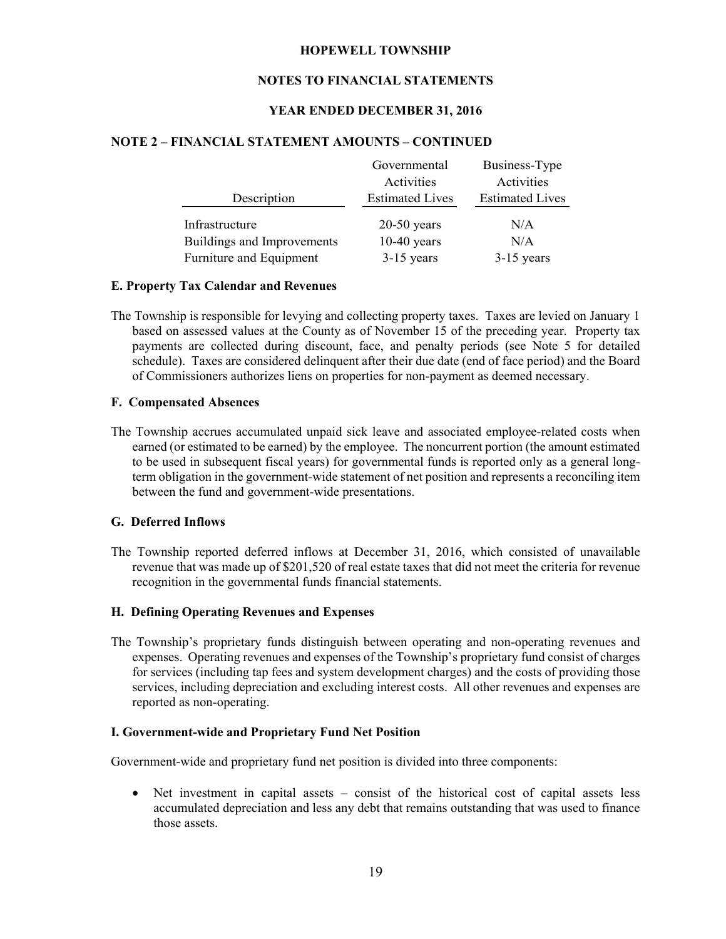# **NOTES TO FINANCIAL STATEMENTS**

# **YEAR ENDED DECEMBER 31, 2016**

## **NOTE 2 – FINANCIAL STATEMENT AMOUNTS – CONTINUED**

|                            | Governmental           | Business-Type          |
|----------------------------|------------------------|------------------------|
|                            | Activities             | Activities             |
| Description                | <b>Estimated Lives</b> | <b>Estimated Lives</b> |
| Infrastructure             | $20-50$ years          | N/A                    |
| Buildings and Improvements | $10-40$ years          | N/A                    |
| Furniture and Equipment    | $3-15$ years           | $3-15$ years           |

## **E. Property Tax Calendar and Revenues**

The Township is responsible for levying and collecting property taxes. Taxes are levied on January 1 based on assessed values at the County as of November 15 of the preceding year. Property tax payments are collected during discount, face, and penalty periods (see Note 5 for detailed schedule). Taxes are considered delinquent after their due date (end of face period) and the Board of Commissioners authorizes liens on properties for non-payment as deemed necessary.

# **F. Compensated Absences**

The Township accrues accumulated unpaid sick leave and associated employee-related costs when earned (or estimated to be earned) by the employee. The noncurrent portion (the amount estimated to be used in subsequent fiscal years) for governmental funds is reported only as a general longterm obligation in the government-wide statement of net position and represents a reconciling item between the fund and government-wide presentations.

# **G. Deferred Inflows**

The Township reported deferred inflows at December 31, 2016, which consisted of unavailable revenue that was made up of \$201,520 of real estate taxes that did not meet the criteria for revenue recognition in the governmental funds financial statements.

# **H. Defining Operating Revenues and Expenses**

The Township's proprietary funds distinguish between operating and non-operating revenues and expenses. Operating revenues and expenses of the Township's proprietary fund consist of charges for services (including tap fees and system development charges) and the costs of providing those services, including depreciation and excluding interest costs. All other revenues and expenses are reported as non-operating.

# **I. Government-wide and Proprietary Fund Net Position**

Government-wide and proprietary fund net position is divided into three components:

• Net investment in capital assets – consist of the historical cost of capital assets less accumulated depreciation and less any debt that remains outstanding that was used to finance those assets.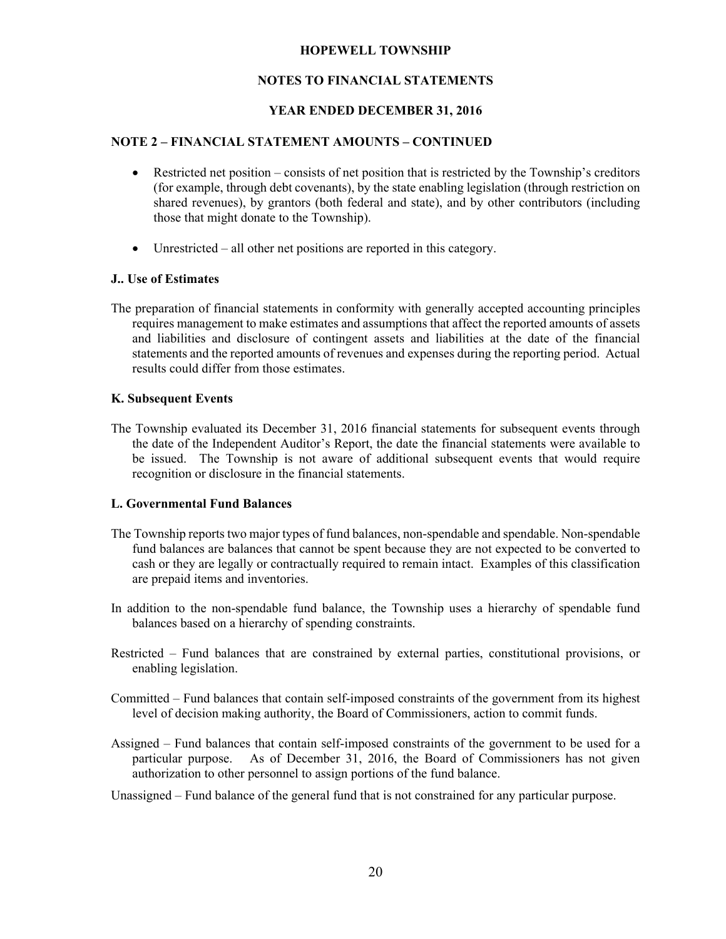## **NOTES TO FINANCIAL STATEMENTS**

# **YEAR ENDED DECEMBER 31, 2016**

# **NOTE 2 – FINANCIAL STATEMENT AMOUNTS – CONTINUED**

- Restricted net position consists of net position that is restricted by the Township's creditors (for example, through debt covenants), by the state enabling legislation (through restriction on shared revenues), by grantors (both federal and state), and by other contributors (including those that might donate to the Township).
- Unrestricted all other net positions are reported in this category.

## **J.. Use of Estimates**

The preparation of financial statements in conformity with generally accepted accounting principles requires management to make estimates and assumptions that affect the reported amounts of assets and liabilities and disclosure of contingent assets and liabilities at the date of the financial statements and the reported amounts of revenues and expenses during the reporting period. Actual results could differ from those estimates.

## **K. Subsequent Events**

The Township evaluated its December 31, 2016 financial statements for subsequent events through the date of the Independent Auditor's Report, the date the financial statements were available to be issued. The Township is not aware of additional subsequent events that would require recognition or disclosure in the financial statements.

# **L. Governmental Fund Balances**

- The Township reports two major types of fund balances, non-spendable and spendable. Non-spendable fund balances are balances that cannot be spent because they are not expected to be converted to cash or they are legally or contractually required to remain intact. Examples of this classification are prepaid items and inventories.
- In addition to the non-spendable fund balance, the Township uses a hierarchy of spendable fund balances based on a hierarchy of spending constraints.
- Restricted Fund balances that are constrained by external parties, constitutional provisions, or enabling legislation.
- Committed Fund balances that contain self-imposed constraints of the government from its highest level of decision making authority, the Board of Commissioners, action to commit funds.
- Assigned Fund balances that contain self-imposed constraints of the government to be used for a particular purpose. As of December 31, 2016, the Board of Commissioners has not given authorization to other personnel to assign portions of the fund balance.
- Unassigned Fund balance of the general fund that is not constrained for any particular purpose.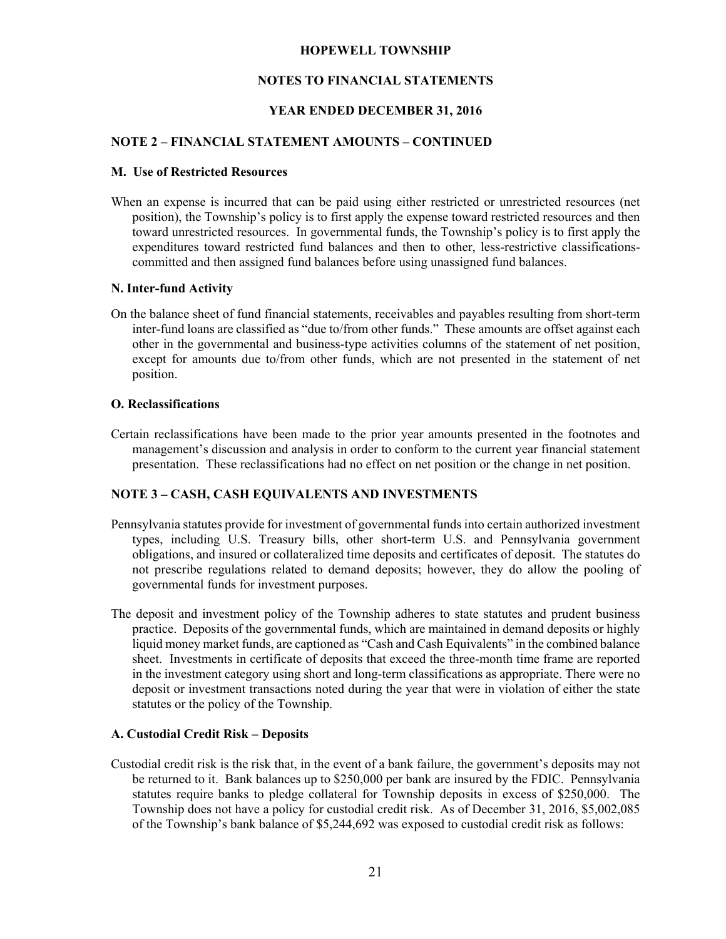# **NOTES TO FINANCIAL STATEMENTS**

# **YEAR ENDED DECEMBER 31, 2016**

# **NOTE 2 – FINANCIAL STATEMENT AMOUNTS – CONTINUED**

#### **M. Use of Restricted Resources**

When an expense is incurred that can be paid using either restricted or unrestricted resources (net position), the Township's policy is to first apply the expense toward restricted resources and then toward unrestricted resources. In governmental funds, the Township's policy is to first apply the expenditures toward restricted fund balances and then to other, less-restrictive classificationscommitted and then assigned fund balances before using unassigned fund balances.

## **N. Inter-fund Activity**

On the balance sheet of fund financial statements, receivables and payables resulting from short-term inter-fund loans are classified as "due to/from other funds." These amounts are offset against each other in the governmental and business-type activities columns of the statement of net position, except for amounts due to/from other funds, which are not presented in the statement of net position.

# **O. Reclassifications**

Certain reclassifications have been made to the prior year amounts presented in the footnotes and management's discussion and analysis in order to conform to the current year financial statement presentation. These reclassifications had no effect on net position or the change in net position.

# **NOTE 3 – CASH, CASH EQUIVALENTS AND INVESTMENTS**

- Pennsylvania statutes provide for investment of governmental funds into certain authorized investment types, including U.S. Treasury bills, other short-term U.S. and Pennsylvania government obligations, and insured or collateralized time deposits and certificates of deposit. The statutes do not prescribe regulations related to demand deposits; however, they do allow the pooling of governmental funds for investment purposes.
- The deposit and investment policy of the Township adheres to state statutes and prudent business practice. Deposits of the governmental funds, which are maintained in demand deposits or highly liquid money market funds, are captioned as "Cash and Cash Equivalents" in the combined balance sheet. Investments in certificate of deposits that exceed the three-month time frame are reported in the investment category using short and long-term classifications as appropriate. There were no deposit or investment transactions noted during the year that were in violation of either the state statutes or the policy of the Township.

# **A. Custodial Credit Risk – Deposits**

Custodial credit risk is the risk that, in the event of a bank failure, the government's deposits may not be returned to it. Bank balances up to \$250,000 per bank are insured by the FDIC. Pennsylvania statutes require banks to pledge collateral for Township deposits in excess of \$250,000. The Township does not have a policy for custodial credit risk. As of December 31, 2016, \$5,002,085 of the Township's bank balance of \$5,244,692 was exposed to custodial credit risk as follows: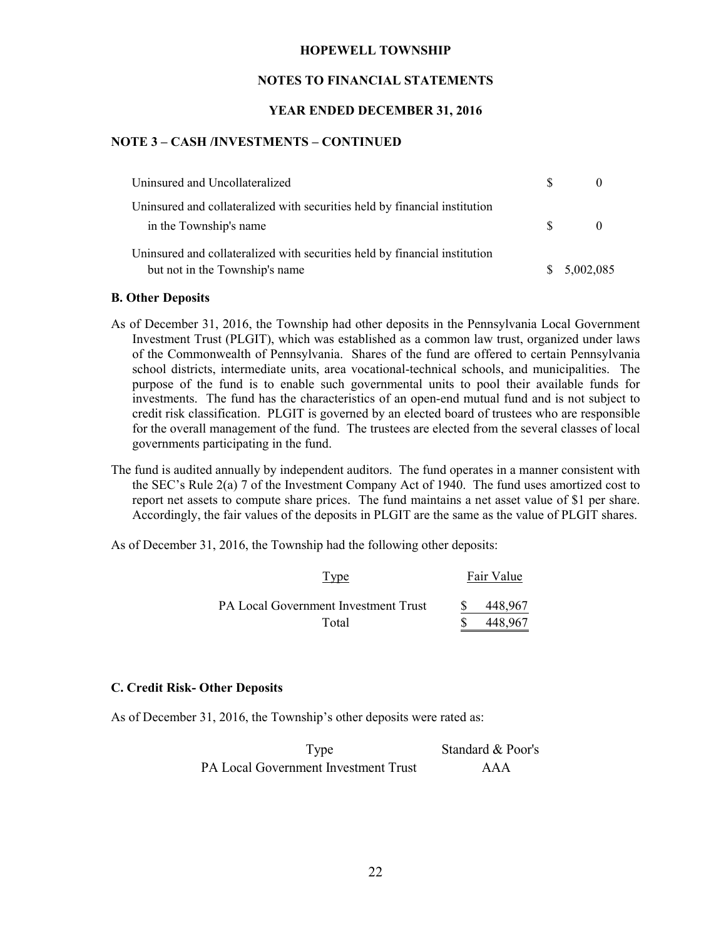# **NOTES TO FINANCIAL STATEMENTS**

# **YEAR ENDED DECEMBER 31, 2016**

#### **NOTE 3 – CASH /INVESTMENTS – CONTINUED**

| Uninsured and Uncollateralized                                             | -S  |             |
|----------------------------------------------------------------------------|-----|-------------|
| Uninsured and collateralized with securities held by financial institution |     |             |
| in the Township's name                                                     | -SS |             |
| Uninsured and collateralized with securities held by financial institution |     |             |
| but not in the Township's name                                             |     | \$5,002,085 |

#### **B. Other Deposits**

- As of December 31, 2016, the Township had other deposits in the Pennsylvania Local Government Investment Trust (PLGIT), which was established as a common law trust, organized under laws of the Commonwealth of Pennsylvania. Shares of the fund are offered to certain Pennsylvania school districts, intermediate units, area vocational-technical schools, and municipalities. The purpose of the fund is to enable such governmental units to pool their available funds for investments. The fund has the characteristics of an open-end mutual fund and is not subject to credit risk classification. PLGIT is governed by an elected board of trustees who are responsible for the overall management of the fund. The trustees are elected from the several classes of local governments participating in the fund.
- The fund is audited annually by independent auditors. The fund operates in a manner consistent with the SEC's Rule 2(a) 7 of the Investment Company Act of 1940. The fund uses amortized cost to report net assets to compute share prices. The fund maintains a net asset value of \$1 per share. Accordingly, the fair values of the deposits in PLGIT are the same as the value of PLGIT shares.

As of December 31, 2016, the Township had the following other deposits:

| Type                                        | Fair Value |
|---------------------------------------------|------------|
| <b>PA Local Government Investment Trust</b> | 448,967    |
| Total                                       | 448.967    |

#### **C. Credit Risk- Other Deposits**

As of December 31, 2016, the Township's other deposits were rated as:

| Type                                        | Standard & Poor's |
|---------------------------------------------|-------------------|
| <b>PA Local Government Investment Trust</b> | AAA               |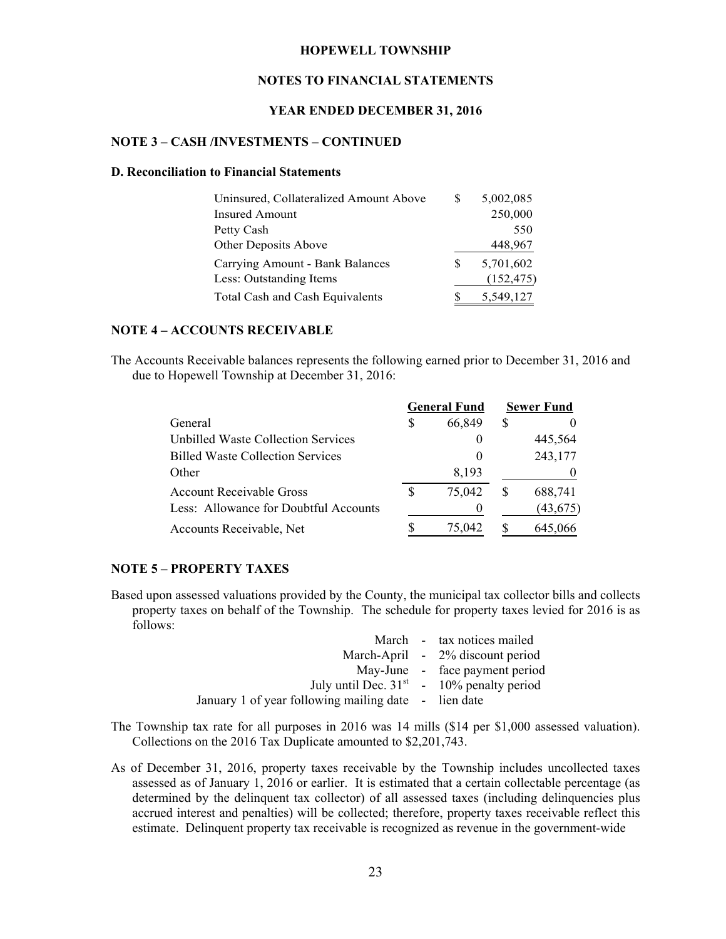# **NOTES TO FINANCIAL STATEMENTS**

## **YEAR ENDED DECEMBER 31, 2016**

#### **NOTE 3 – CASH /INVESTMENTS – CONTINUED**

#### **D. Reconciliation to Financial Statements**

| Uninsured, Collateralized Amount Above |   | 5,002,085  |
|----------------------------------------|---|------------|
| <b>Insured Amount</b>                  |   | 250,000    |
| Petty Cash                             |   | 550        |
| Other Deposits Above                   |   | 448,967    |
| Carrying Amount - Bank Balances        | S | 5,701,602  |
| Less: Outstanding Items                |   | (152, 475) |
| Total Cash and Cash Equivalents        |   | 5,549,127  |

#### **NOTE 4 – ACCOUNTS RECEIVABLE**

The Accounts Receivable balances represents the following earned prior to December 31, 2016 and due to Hopewell Township at December 31, 2016:

|                                         |   | <b>General Fund</b> | <b>Sewer Fund</b> |           |  |
|-----------------------------------------|---|---------------------|-------------------|-----------|--|
| General                                 | S | 66,849              | S                 |           |  |
| Unbilled Waste Collection Services      |   | $\theta$            |                   | 445,564   |  |
| <b>Billed Waste Collection Services</b> |   | $\theta$            |                   | 243,177   |  |
| Other                                   |   | 8,193               |                   |           |  |
| <b>Account Receivable Gross</b>         | S | 75,042              |                   | 688,741   |  |
| Less: Allowance for Doubtful Accounts   |   | $\theta$            |                   | (43, 675) |  |
| Accounts Receivable, Net                |   | 75,042              |                   | 645,066   |  |

#### **NOTE 5 – PROPERTY TAXES**

Based upon assessed valuations provided by the County, the municipal tax collector bills and collects property taxes on behalf of the Township. The schedule for property taxes levied for 2016 is as follows:

|                                                      | March - tax notices mailed                  |
|------------------------------------------------------|---------------------------------------------|
|                                                      | March-April - 2% discount period            |
|                                                      | May-June - face payment period              |
|                                                      | July until Dec. $31st - 10o$ penalty period |
| January 1 of year following mailing date - lien date |                                             |

- The Township tax rate for all purposes in 2016 was 14 mills (\$14 per \$1,000 assessed valuation). Collections on the 2016 Tax Duplicate amounted to \$2,201,743.
- As of December 31, 2016, property taxes receivable by the Township includes uncollected taxes assessed as of January 1, 2016 or earlier. It is estimated that a certain collectable percentage (as determined by the delinquent tax collector) of all assessed taxes (including delinquencies plus accrued interest and penalties) will be collected; therefore, property taxes receivable reflect this estimate. Delinquent property tax receivable is recognized as revenue in the government-wide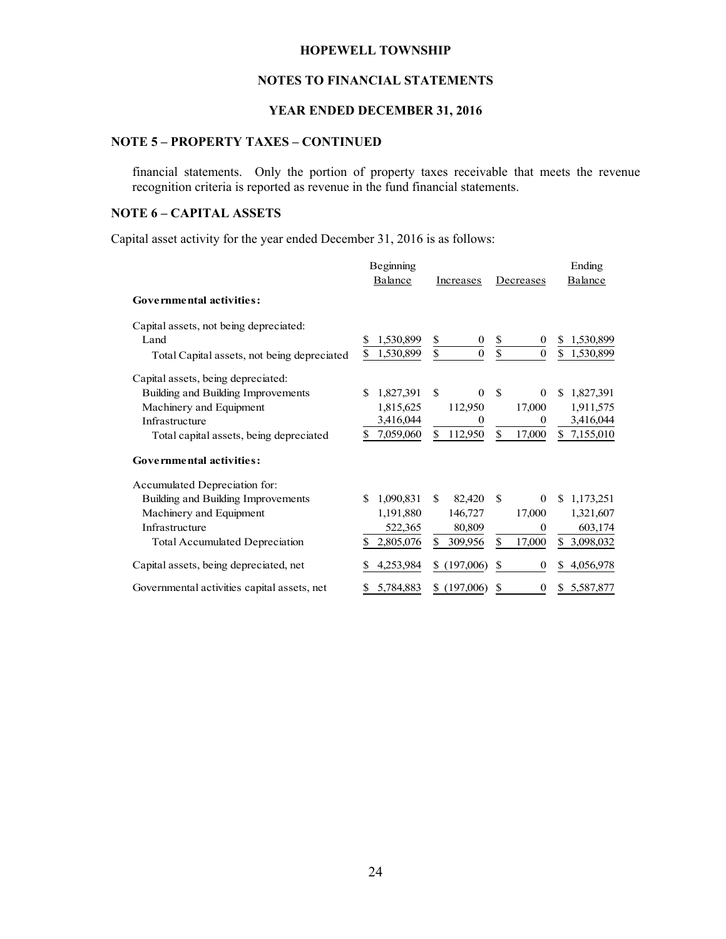# **NOTES TO FINANCIAL STATEMENTS**

## **YEAR ENDED DECEMBER 31, 2016**

# **NOTE 5 – PROPERTY TAXES – CONTINUED**

 financial statements. Only the portion of property taxes receivable that meets the revenue recognition criteria is reported as revenue in the fund financial statements.

# **NOTE 6 – CAPITAL ASSETS**

Capital asset activity for the year ended December 31, 2016 is as follows:

|                                             | Beginning       |                        |                                 | Ending                    |
|---------------------------------------------|-----------------|------------------------|---------------------------------|---------------------------|
|                                             | Balance         | Increases              | Decreases                       | Balance                   |
| Governmental activities:                    |                 |                        |                                 |                           |
| Capital assets, not being depreciated:      |                 |                        |                                 |                           |
| Land                                        | 1,530,899<br>S  | \$<br>$\boldsymbol{0}$ | \$<br>0                         | 1,530,899<br>\$           |
| Total Capital assets, not being depreciated | \$<br>1,530,899 | \$<br>$\mathbf{0}$     | $\overline{\$}$<br>$\mathbf{0}$ | $\mathbb{S}$<br>1,530,899 |
| Capital assets, being depreciated:          |                 |                        |                                 |                           |
| Building and Building Improvements          | 1,827,391<br>\$ | $\Omega$<br>\$.        | S<br>$\Omega$                   | 1,827,391<br>\$           |
| Machinery and Equipment                     | 1,815,625       | 112,950                | 17,000                          | 1,911,575                 |
| Infrastructure                              | 3,416,044       | 0                      | 0                               | 3,416,044                 |
| Total capital assets, being depreciated     | 7,059,060<br>S  | \$<br>112,950          | \$<br>17,000                    | 7,155,010<br>S.           |
| Governmental activities:                    |                 |                        |                                 |                           |
| Accumulated Depreciation for:               |                 |                        |                                 |                           |
| Building and Building Improvements          | 1,090,831<br>\$ | 82,420<br>\$.          | \$<br>$\Omega$                  | \$<br>1,173,251           |
| Machinery and Equipment                     | 1,191,880       | 146,727                | 17,000                          | 1,321,607                 |
| Infrastructure                              | 522,365         | 80,809                 | 0                               | 603,174                   |
| <b>Total Accumulated Depreciation</b>       | 2,805,076       | 309,956                | 17,000<br>\$                    | \$3,098,032               |
| Capital assets, being depreciated, net      | 4,253,984       | (197,006)<br>S.        | \$<br>$\theta$                  | 4,056,978<br>S            |
| Governmental activities capital assets, net | 5,784,883<br>S  | \$(197,006)            | \$<br>$\theta$                  | \$ 5,587,877              |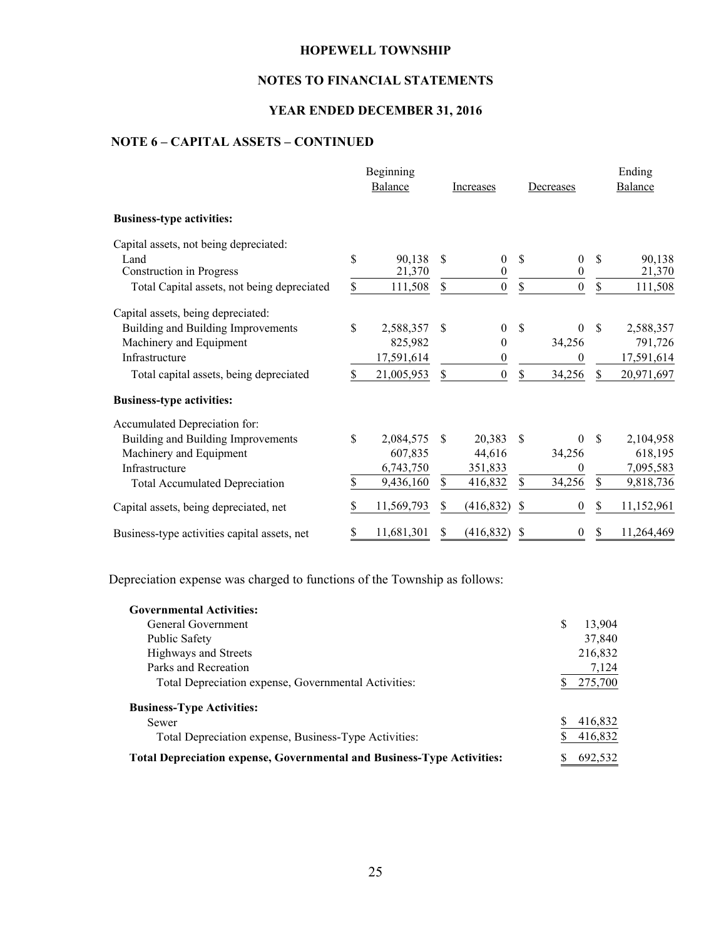# **NOTES TO FINANCIAL STATEMENTS**

# **YEAR ENDED DECEMBER 31, 2016**

# **NOTE 6 – CAPITAL ASSETS – CONTINUED**

|                                              |    | Beginning<br><b>Balance</b> |             | Increases        | Decreases |                  |               | Ending<br>Balance |
|----------------------------------------------|----|-----------------------------|-------------|------------------|-----------|------------------|---------------|-------------------|
|                                              |    |                             |             |                  |           |                  |               |                   |
| <b>Business-type activities:</b>             |    |                             |             |                  |           |                  |               |                   |
| Capital assets, not being depreciated:       |    |                             |             |                  |           |                  |               |                   |
| Land                                         | \$ | 90,138                      | \$          | 0                | S         | $\theta$         | <sup>\$</sup> | 90,138            |
| Construction in Progress                     |    | 21,370                      |             | $\boldsymbol{0}$ |           | $\boldsymbol{0}$ |               | 21,370            |
| Total Capital assets, not being depreciated  | \$ | 111,508                     | \$          | $\boldsymbol{0}$ | \$        | $\boldsymbol{0}$ | \$            | 111,508           |
| Capital assets, being depreciated:           |    |                             |             |                  |           |                  |               |                   |
| Building and Building Improvements           | \$ | 2,588,357                   | \$          | 0                | \$        | $\mathbf{0}$     | <sup>\$</sup> | 2,588,357         |
| Machinery and Equipment                      |    | 825,982                     |             | $\theta$         |           | 34,256           |               | 791,726           |
| Infrastructure                               |    | 17,591,614                  |             | 0                |           | $\boldsymbol{0}$ |               | 17,591,614        |
| Total capital assets, being depreciated      |    | 21,005,953                  | \$          | $\theta$         | \$        | 34,256           | \$.           | 20,971,697        |
| <b>Business-type activities:</b>             |    |                             |             |                  |           |                  |               |                   |
| Accumulated Depreciation for:                |    |                             |             |                  |           |                  |               |                   |
| Building and Building Improvements           | \$ | 2,084,575                   | $\mathbf S$ | 20,383           | \$        | $\mathbf{0}$     | <sup>\$</sup> | 2,104,958         |
| Machinery and Equipment                      |    | 607,835                     |             | 44,616           |           | 34,256           |               | 618,195           |
| Infrastructure                               |    | 6,743,750                   |             | 351,833          |           | $\boldsymbol{0}$ |               | 7,095,583         |
| <b>Total Accumulated Depreciation</b>        | \$ | 9,436,160                   | \$          | 416,832          | \$        | 34,256           | \$            | 9,818,736         |
| Capital assets, being depreciated, net       | S  | 11,569,793                  | \$          | (416, 832)       | S         | $\mathbf{0}$     | S             | 11,152,961        |
| Business-type activities capital assets, net | S  | 11,681,301                  |             | (416, 832)       | S         | $\boldsymbol{0}$ |               | 11,264,469        |

Depreciation expense was charged to functions of the Township as follows:

| <b>Governmental Activities:</b>                                               |   |         |
|-------------------------------------------------------------------------------|---|---------|
| General Government                                                            | S | 13,904  |
| Public Safety                                                                 |   | 37,840  |
| Highways and Streets                                                          |   | 216,832 |
| Parks and Recreation                                                          |   | 7,124   |
| Total Depreciation expense, Governmental Activities:                          |   | 275,700 |
| <b>Business-Type Activities:</b>                                              |   |         |
| Sewer                                                                         |   | 416,832 |
| Total Depreciation expense, Business-Type Activities:                         |   | 416,832 |
| <b>Total Depreciation expense, Governmental and Business-Type Activities:</b> |   | 692,532 |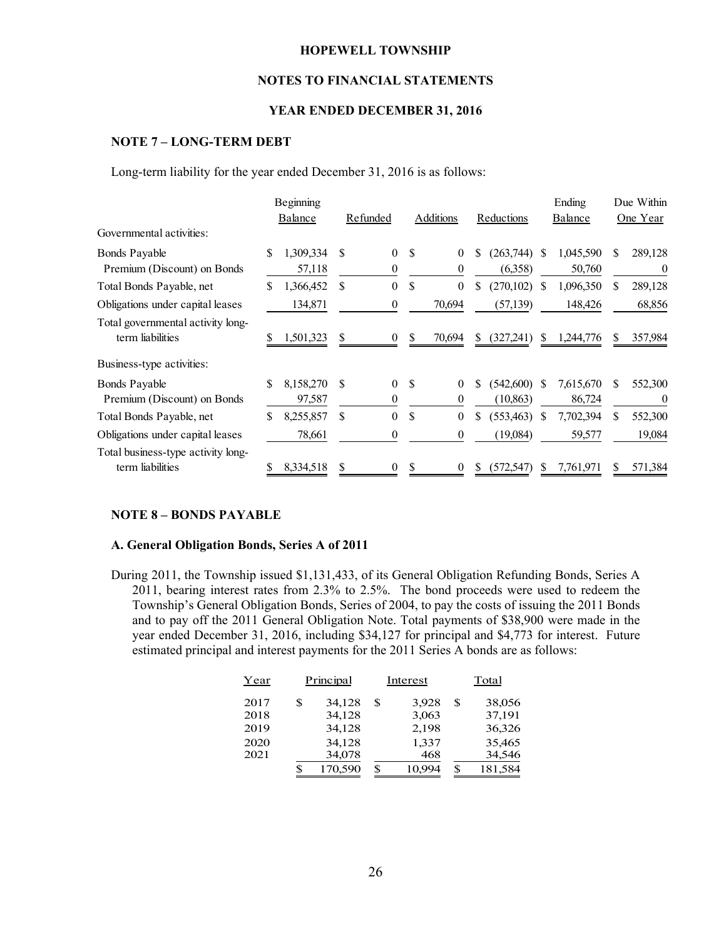# **NOTES TO FINANCIAL STATEMENTS**

## **YEAR ENDED DECEMBER 31, 2016**

#### **NOTE 7 – LONG-TERM DEBT**

Long-term liability for the year ended December 31, 2016 is as follows:

|                                                        |    | Beginning           |    |                      |               |                          |     |                        |          | Ending              |    | Due Within          |
|--------------------------------------------------------|----|---------------------|----|----------------------|---------------|--------------------------|-----|------------------------|----------|---------------------|----|---------------------|
|                                                        |    | Balance             |    | Refunded             |               | <b>Additions</b>         |     | Reductions             |          | Balance             |    | One Year            |
| Governmental activities:                               |    |                     |    |                      |               |                          |     |                        |          |                     |    |                     |
| <b>Bonds Payable</b>                                   | \$ | 1,309,334           | S  | $\theta$             | <sup>\$</sup> | $\boldsymbol{0}$         | S   | (263,744)              | S        | 1,045,590           | S  | 289,128             |
| Premium (Discount) on Bonds                            |    | 57,118              |    | 0                    |               | 0                        |     | (6,358)                |          | 50,760              |    | $\boldsymbol{0}$    |
| Total Bonds Payable, net                               | \$ | 1,366,452           | S  | $\theta$             | \$            | $\boldsymbol{0}$         | S   | (270, 102)             | S        | 1,096,350           | S  | 289,128             |
| Obligations under capital leases                       |    | 134,871             |    | $\theta$             |               | 70,694                   |     | (57, 139)              |          | 148,426             |    | 68,856              |
| Total governmental activity long-<br>term liabilities  | S  | 1,501,323           | S  | $\theta$             | S             | 70,694                   | \$  | (327,241)              | S        | 1,244,776           | S  | 357,984             |
| Business-type activities:                              |    |                     |    |                      |               |                          |     |                        |          |                     |    |                     |
| <b>Bonds Payable</b><br>Premium (Discount) on Bonds    | \$ | 8,158,270<br>97,587 | \$ | $\theta$<br>$\theta$ | <sup>\$</sup> | $\theta$<br>$\mathbf{0}$ | \$. | (542,600)<br>(10, 863) | <b>S</b> | 7,615,670<br>86,724 | S. | 552,300<br>$\theta$ |
| Total Bonds Payable, net                               | \$ | 8,255,857           | \$ | $\theta$             | S             | $\boldsymbol{0}$         | \$  | (553, 463)             | \$.      | 7,702,394           | S  | 552,300             |
| Obligations under capital leases                       |    | 78,661              |    | 0                    |               | $\boldsymbol{0}$         |     | (19,084)               |          | 59,577              |    | 19,084              |
| Total business-type activity long-<br>term liabilities | \$ | 8,334,518           | \$ | $\theta$             | S             | 0                        |     | (572,547)              | S        | 7,761,971           |    | 571,384             |

# **NOTE 8 – BONDS PAYABLE**

#### **A. General Obligation Bonds, Series A of 2011**

During 2011, the Township issued \$1,131,433, of its General Obligation Refunding Bonds, Series A 2011, bearing interest rates from 2.3% to 2.5%. The bond proceeds were used to redeem the Township's General Obligation Bonds, Series of 2004, to pay the costs of issuing the 2011 Bonds and to pay off the 2011 General Obligation Note. Total payments of \$38,900 were made in the year ended December 31, 2016, including \$34,127 for principal and \$4,773 for interest. Future estimated principal and interest payments for the 2011 Series A bonds are as follows:

| Year | Principal     | Interest     | Total |         |  |
|------|---------------|--------------|-------|---------|--|
| 2017 | \$<br>34,128  | \$<br>3,928  | \$    | 38,056  |  |
| 2018 | 34,128        | 3,063        |       | 37,191  |  |
| 2019 | 34,128        | 2,198        |       | 36,326  |  |
| 2020 | 34,128        | 1,337        |       | 35,465  |  |
| 2021 | 34,078        | 468          |       | 34,546  |  |
|      | \$<br>170,590 | \$<br>10,994 | \$    | 181,584 |  |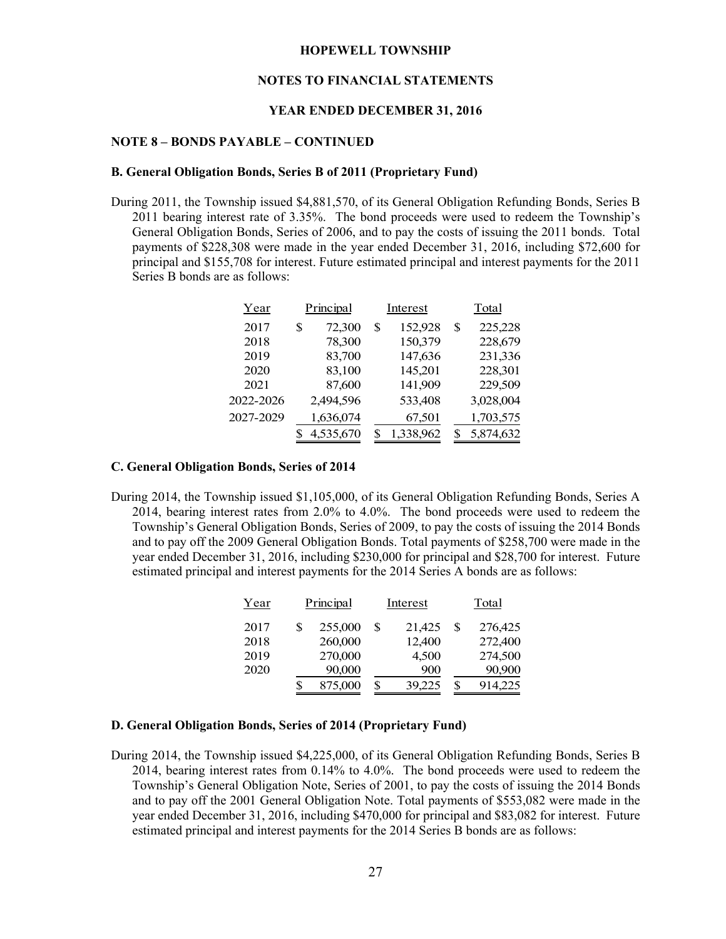# **NOTES TO FINANCIAL STATEMENTS**

## **YEAR ENDED DECEMBER 31, 2016**

#### **NOTE 8 – BONDS PAYABLE – CONTINUED**

#### **B. General Obligation Bonds, Series B of 2011 (Proprietary Fund)**

During 2011, the Township issued \$4,881,570, of its General Obligation Refunding Bonds, Series B 2011 bearing interest rate of 3.35%. The bond proceeds were used to redeem the Township's General Obligation Bonds, Series of 2006, and to pay the costs of issuing the 2011 bonds. Total payments of \$228,308 were made in the year ended December 31, 2016, including \$72,600 for principal and \$155,708 for interest. Future estimated principal and interest payments for the 2011 Series B bonds are as follows:

| Year      | Principal    |    | Interest  | Total |           |  |
|-----------|--------------|----|-----------|-------|-----------|--|
| 2017      | \$<br>72,300 | \$ | 152,928   | \$    | 225,228   |  |
| 2018      | 78,300       |    | 150,379   |       | 228,679   |  |
| 2019      | 83,700       |    | 147,636   |       | 231,336   |  |
| 2020      | 83,100       |    | 145,201   |       | 228,301   |  |
| 2021      | 87,600       |    | 141,909   |       | 229,509   |  |
| 2022-2026 | 2,494,596    |    | 533,408   |       | 3,028,004 |  |
| 2027-2029 | 1,636,074    |    | 67,501    |       | 1,703,575 |  |
|           | 4,535,670    | S  | 1,338,962 |       | 5,874,632 |  |

#### **C. General Obligation Bonds, Series of 2014**

During 2014, the Township issued \$1,105,000, of its General Obligation Refunding Bonds, Series A 2014, bearing interest rates from 2.0% to 4.0%. The bond proceeds were used to redeem the Township's General Obligation Bonds, Series of 2009, to pay the costs of issuing the 2014 Bonds and to pay off the 2009 General Obligation Bonds. Total payments of \$258,700 were made in the year ended December 31, 2016, including \$230,000 for principal and \$28,700 for interest. Future estimated principal and interest payments for the 2014 Series A bonds are as follows:

| Year | Principal |         |    | Interest | Total |         |  |
|------|-----------|---------|----|----------|-------|---------|--|
| 2017 | \$        | 255,000 | S  | 21,425   | \$    | 276,425 |  |
| 2018 |           | 260,000 |    | 12,400   |       | 272,400 |  |
| 2019 |           | 270,000 |    | 4,500    |       | 274,500 |  |
| 2020 |           | 90,000  |    | 900      |       | 90,900  |  |
|      | \$        | 875,000 | \$ | 39,225   | \$    | 914,225 |  |

#### **D. General Obligation Bonds, Series of 2014 (Proprietary Fund)**

During 2014, the Township issued \$4,225,000, of its General Obligation Refunding Bonds, Series B 2014, bearing interest rates from 0.14% to 4.0%. The bond proceeds were used to redeem the Township's General Obligation Note, Series of 2001, to pay the costs of issuing the 2014 Bonds and to pay off the 2001 General Obligation Note. Total payments of \$553,082 were made in the year ended December 31, 2016, including \$470,000 for principal and \$83,082 for interest. Future estimated principal and interest payments for the 2014 Series B bonds are as follows: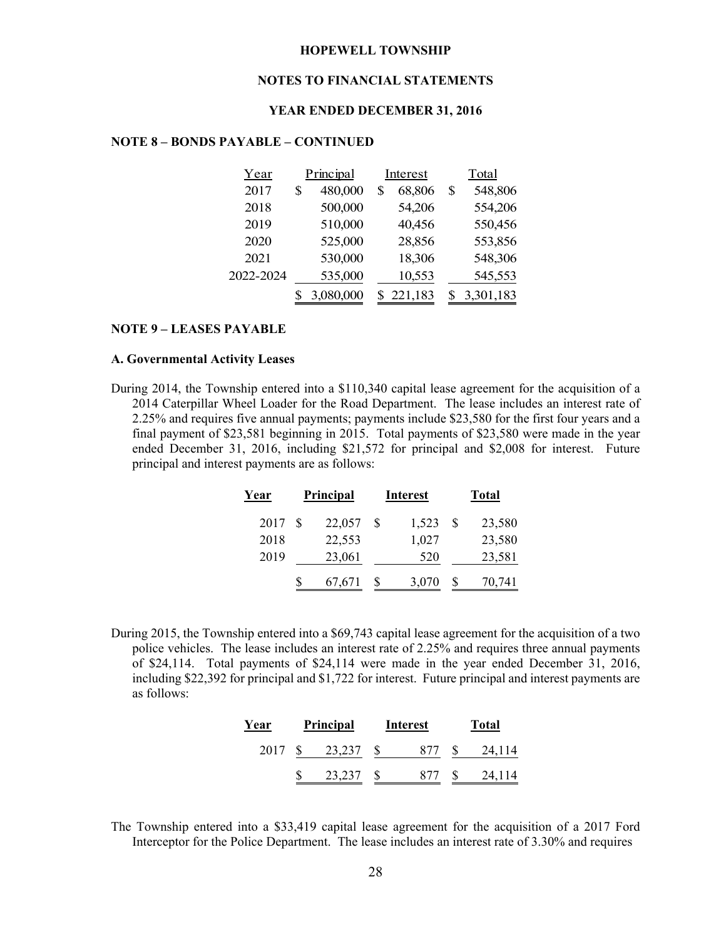# **NOTES TO FINANCIAL STATEMENTS**

# **YEAR ENDED DECEMBER 31, 2016**

| Year      | Principal    | Interest     | Total         |  |  |
|-----------|--------------|--------------|---------------|--|--|
| 2017      | 480,000<br>S | 68,806<br>\$ | 548,806<br>\$ |  |  |
| 2018      | 500,000      | 54,206       | 554,206       |  |  |
| 2019      | 510,000      | 40,456       | 550,456       |  |  |
| 2020      | 525,000      | 28,856       | 553,856       |  |  |
| 2021      | 530,000      | 18,306       | 548,306       |  |  |
| 2022-2024 | 535,000      | 10,553       | 545,553       |  |  |
|           | 3,080,000    | \$221,183    | 3,301,183     |  |  |

#### **NOTE 8 – BONDS PAYABLE – CONTINUED**

# **NOTE 9 – LEASES PAYABLE**

# **A. Governmental Activity Leases**

During 2014, the Township entered into a \$110,340 capital lease agreement for the acquisition of a 2014 Caterpillar Wheel Loader for the Road Department. The lease includes an interest rate of 2.25% and requires five annual payments; payments include \$23,580 for the first four years and a final payment of \$23,581 beginning in 2015. Total payments of \$23,580 were made in the year ended December 31, 2016, including \$21,572 for principal and \$2,008 for interest. Future principal and interest payments are as follows:

| Year |    | Principal | Interest | <b>Total</b> |        |  |  |
|------|----|-----------|----------|--------------|--------|--|--|
| 2017 | -8 | 22,057    | 1,523    | -S           | 23,580 |  |  |
| 2018 |    | 22,553    | 1,027    |              | 23,580 |  |  |
| 2019 |    | 23,061    | 520      |              | 23,581 |  |  |
|      |    | 67,671    | 3,070    |              | 70,741 |  |  |

During 2015, the Township entered into a \$69,743 capital lease agreement for the acquisition of a two police vehicles. The lease includes an interest rate of 2.25% and requires three annual payments of \$24,114. Total payments of \$24,114 were made in the year ended December 31, 2016, including \$22,392 for principal and \$1,722 for interest. Future principal and interest payments are as follows:

| Year | Principal | Interest | <b>Total</b> |        |  |  |
|------|-----------|----------|--------------|--------|--|--|
| 2017 | 23,237    | 877      |              | 24.114 |  |  |
|      | 23.237    |          |              | 24 114 |  |  |

The Township entered into a \$33,419 capital lease agreement for the acquisition of a 2017 Ford Interceptor for the Police Department. The lease includes an interest rate of 3.30% and requires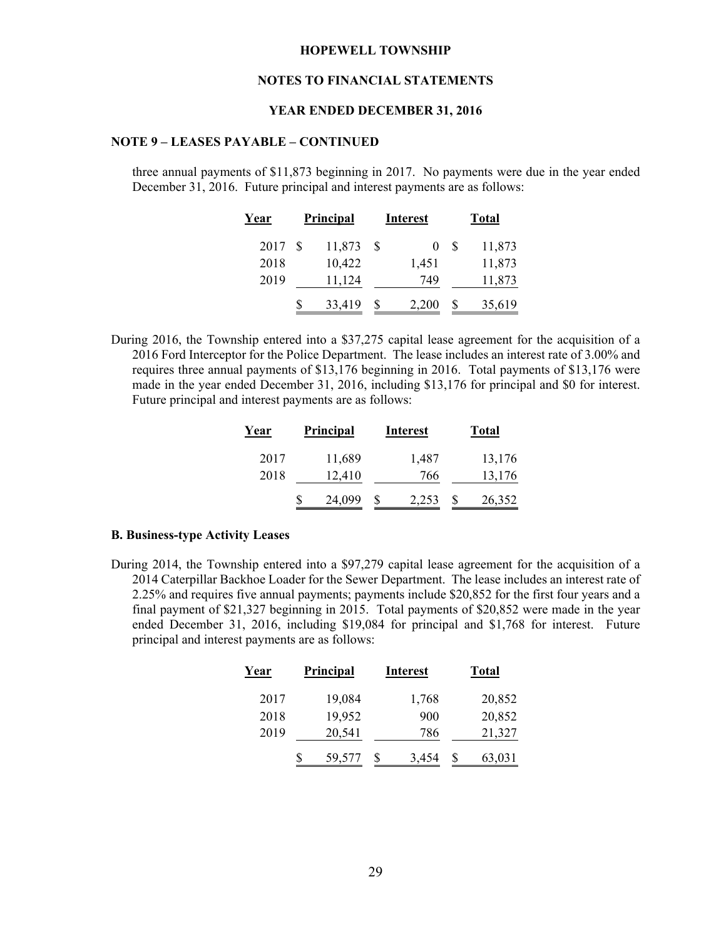# **NOTES TO FINANCIAL STATEMENTS**

#### **YEAR ENDED DECEMBER 31, 2016**

#### **NOTE 9 – LEASES PAYABLE – CONTINUED**

three annual payments of \$11,873 beginning in 2017. No payments were due in the year ended December 31, 2016. Future principal and interest payments are as follows:

| Year |    | Principal | <b>Interest</b> | <b>Total</b> |        |  |  |
|------|----|-----------|-----------------|--------------|--------|--|--|
| 2017 | -8 | 11,873    |                 | S            | 11,873 |  |  |
| 2018 |    | 10,422    | 1,451           |              | 11,873 |  |  |
| 2019 |    | 11,124    | 749             |              | 11,873 |  |  |
|      | \$ | 33,419    | 2,200           |              | 35,619 |  |  |

During 2016, the Township entered into a \$37,275 capital lease agreement for the acquisition of a 2016 Ford Interceptor for the Police Department. The lease includes an interest rate of 3.00% and requires three annual payments of \$13,176 beginning in 2016. Total payments of \$13,176 were made in the year ended December 31, 2016, including \$13,176 for principal and \$0 for interest. Future principal and interest payments are as follows:

| Year |   | Principal | <b>Interest</b> | <b>Total</b> |
|------|---|-----------|-----------------|--------------|
| 2017 |   | 11,689    | 1,487           | 13,176       |
| 2018 |   | 12,410    | 766             | 13,176       |
|      | S | 24,099    | 2,253           | 26,352       |

## **B. Business-type Activity Leases**

During 2014, the Township entered into a \$97,279 capital lease agreement for the acquisition of a 2014 Caterpillar Backhoe Loader for the Sewer Department. The lease includes an interest rate of 2.25% and requires five annual payments; payments include \$20,852 for the first four years and a final payment of \$21,327 beginning in 2015. Total payments of \$20,852 were made in the year ended December 31, 2016, including \$19,084 for principal and \$1,768 for interest. Future principal and interest payments are as follows:

| Year | Principal | <b>Interest</b> | Total |        |  |
|------|-----------|-----------------|-------|--------|--|
| 2017 | 19,084    | 1,768           |       | 20,852 |  |
| 2018 | 19,952    | 900             |       | 20,852 |  |
| 2019 | 20,541    | 786             |       | 21,327 |  |
|      | 59,577    | 3,454           |       | 63,031 |  |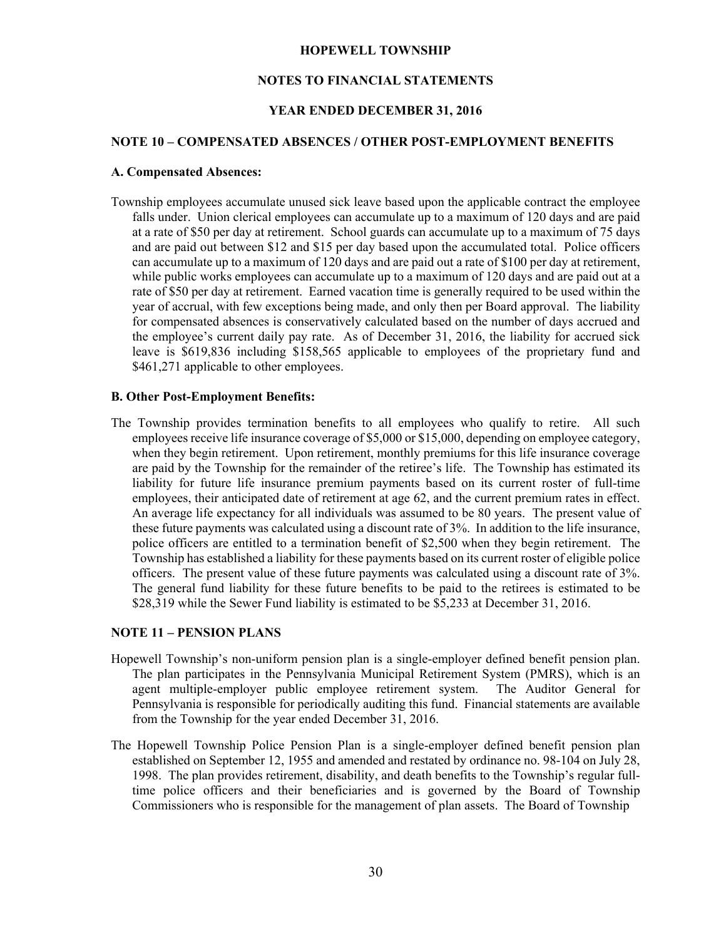# **NOTES TO FINANCIAL STATEMENTS**

# **YEAR ENDED DECEMBER 31, 2016**

#### **NOTE 10 – COMPENSATED ABSENCES / OTHER POST-EMPLOYMENT BENEFITS**

#### **A. Compensated Absences:**

Township employees accumulate unused sick leave based upon the applicable contract the employee falls under. Union clerical employees can accumulate up to a maximum of 120 days and are paid at a rate of \$50 per day at retirement. School guards can accumulate up to a maximum of 75 days and are paid out between \$12 and \$15 per day based upon the accumulated total. Police officers can accumulate up to a maximum of 120 days and are paid out a rate of \$100 per day at retirement, while public works employees can accumulate up to a maximum of 120 days and are paid out at a rate of \$50 per day at retirement. Earned vacation time is generally required to be used within the year of accrual, with few exceptions being made, and only then per Board approval. The liability for compensated absences is conservatively calculated based on the number of days accrued and the employee's current daily pay rate. As of December 31, 2016, the liability for accrued sick leave is \$619,836 including \$158,565 applicable to employees of the proprietary fund and \$461,271 applicable to other employees.

#### **B. Other Post-Employment Benefits:**

The Township provides termination benefits to all employees who qualify to retire. All such employees receive life insurance coverage of \$5,000 or \$15,000, depending on employee category, when they begin retirement. Upon retirement, monthly premiums for this life insurance coverage are paid by the Township for the remainder of the retiree's life. The Township has estimated its liability for future life insurance premium payments based on its current roster of full-time employees, their anticipated date of retirement at age 62, and the current premium rates in effect. An average life expectancy for all individuals was assumed to be 80 years. The present value of these future payments was calculated using a discount rate of 3%. In addition to the life insurance, police officers are entitled to a termination benefit of \$2,500 when they begin retirement. The Township has established a liability for these payments based on its current roster of eligible police officers. The present value of these future payments was calculated using a discount rate of 3%. The general fund liability for these future benefits to be paid to the retirees is estimated to be \$28,319 while the Sewer Fund liability is estimated to be \$5,233 at December 31, 2016.

#### **NOTE 11 – PENSION PLANS**

- Hopewell Township's non-uniform pension plan is a single-employer defined benefit pension plan. The plan participates in the Pennsylvania Municipal Retirement System (PMRS), which is an agent multiple-employer public employee retirement system. The Auditor General for Pennsylvania is responsible for periodically auditing this fund. Financial statements are available from the Township for the year ended December 31, 2016.
- The Hopewell Township Police Pension Plan is a single-employer defined benefit pension plan established on September 12, 1955 and amended and restated by ordinance no. 98-104 on July 28, 1998. The plan provides retirement, disability, and death benefits to the Township's regular fulltime police officers and their beneficiaries and is governed by the Board of Township Commissioners who is responsible for the management of plan assets. The Board of Township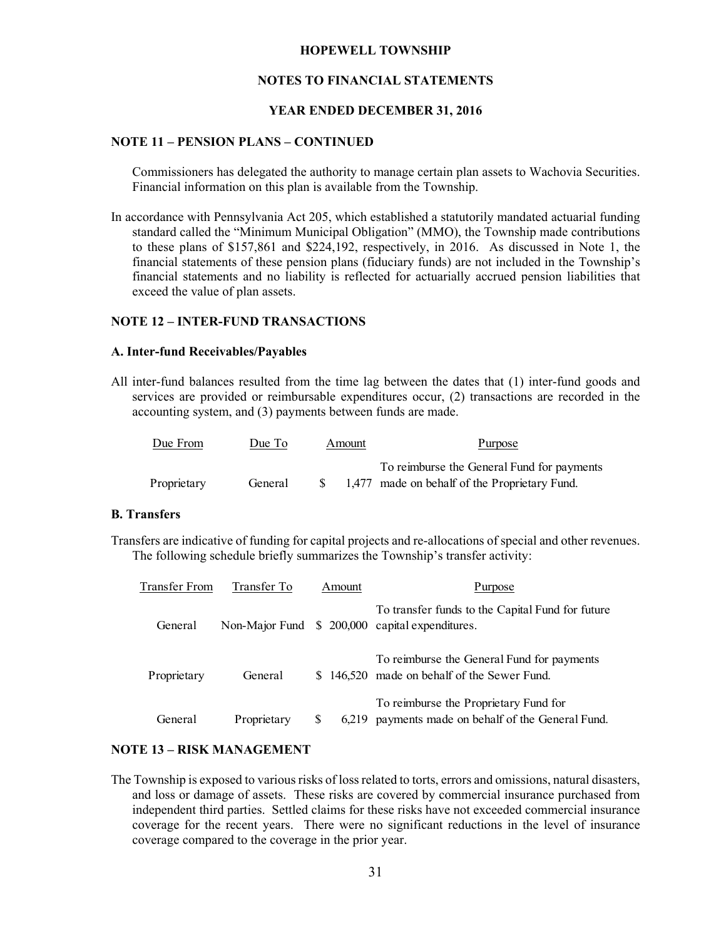# **NOTES TO FINANCIAL STATEMENTS**

## **YEAR ENDED DECEMBER 31, 2016**

#### **NOTE 11 – PENSION PLANS – CONTINUED**

Commissioners has delegated the authority to manage certain plan assets to Wachovia Securities. Financial information on this plan is available from the Township.

In accordance with Pennsylvania Act 205, which established a statutorily mandated actuarial funding standard called the "Minimum Municipal Obligation" (MMO), the Township made contributions to these plans of \$157,861 and \$224,192, respectively, in 2016. As discussed in Note 1, the financial statements of these pension plans (fiduciary funds) are not included in the Township's financial statements and no liability is reflected for actuarially accrued pension liabilities that exceed the value of plan assets.

#### **NOTE 12 – INTER-FUND TRANSACTIONS**

#### **A. Inter-fund Receivables/Payables**

All inter-fund balances resulted from the time lag between the dates that (1) inter-fund goods and services are provided or reimbursable expenditures occur, (2) transactions are recorded in the accounting system, and (3) payments between funds are made.

| Due From    | Due To  | Amount | Purpose                                       |
|-------------|---------|--------|-----------------------------------------------|
|             |         |        | To reimburse the General Fund for payments    |
| Proprietary | General |        | 1,477 made on behalf of the Proprietary Fund. |

#### **B. Transfers**

Transfers are indicative of funding for capital projects and re-allocations of special and other revenues. The following schedule briefly summarizes the Township's transfer activity:

| <b>Transfer From</b> | Transfer To | Amount      | Purpose                                                                                             |
|----------------------|-------------|-------------|-----------------------------------------------------------------------------------------------------|
| General              |             |             | To transfer funds to the Capital Fund for future<br>Non-Major Fund \$ 200,000 capital expenditures. |
| Proprietary          | General     |             | To reimburse the General Fund for payments<br>\$146,520 made on behalf of the Sewer Fund.           |
| General              | Proprietary | \$<br>6.219 | To reimburse the Proprietary Fund for<br>payments made on behalf of the General Fund.               |

# **NOTE 13 – RISK MANAGEMENT**

The Township is exposed to various risks of loss related to torts, errors and omissions, natural disasters, and loss or damage of assets. These risks are covered by commercial insurance purchased from independent third parties. Settled claims for these risks have not exceeded commercial insurance coverage for the recent years. There were no significant reductions in the level of insurance coverage compared to the coverage in the prior year.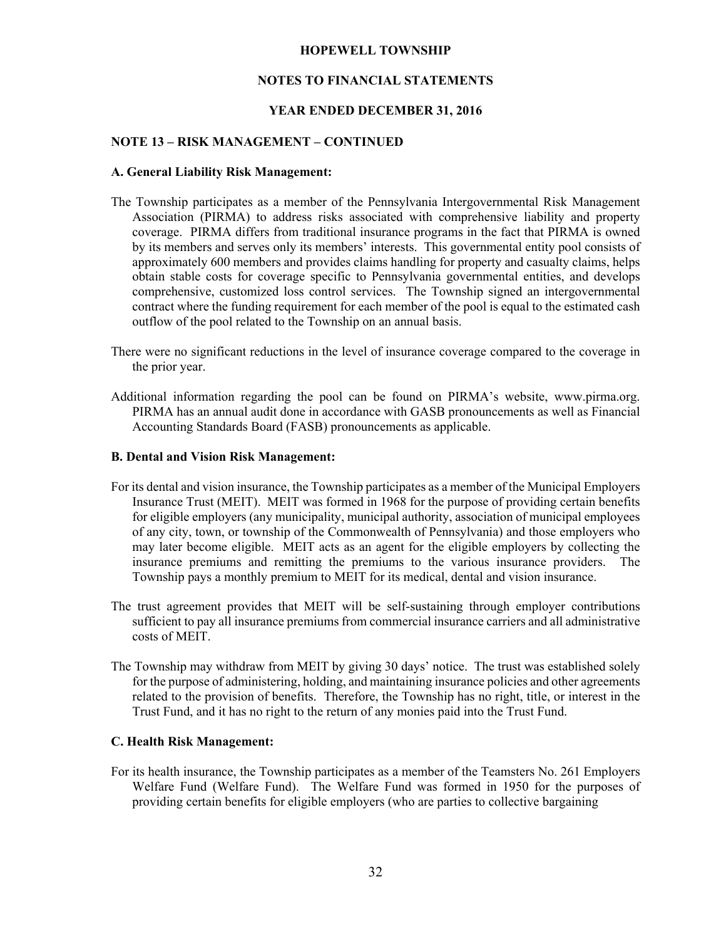# **NOTES TO FINANCIAL STATEMENTS**

# **YEAR ENDED DECEMBER 31, 2016**

## **NOTE 13 – RISK MANAGEMENT – CONTINUED**

#### **A. General Liability Risk Management:**

- The Township participates as a member of the Pennsylvania Intergovernmental Risk Management Association (PIRMA) to address risks associated with comprehensive liability and property coverage. PIRMA differs from traditional insurance programs in the fact that PIRMA is owned by its members and serves only its members' interests. This governmental entity pool consists of approximately 600 members and provides claims handling for property and casualty claims, helps obtain stable costs for coverage specific to Pennsylvania governmental entities, and develops comprehensive, customized loss control services. The Township signed an intergovernmental contract where the funding requirement for each member of the pool is equal to the estimated cash outflow of the pool related to the Township on an annual basis.
- There were no significant reductions in the level of insurance coverage compared to the coverage in the prior year.
- Additional information regarding the pool can be found on PIRMA's website, www.pirma.org. PIRMA has an annual audit done in accordance with GASB pronouncements as well as Financial Accounting Standards Board (FASB) pronouncements as applicable.

#### **B. Dental and Vision Risk Management:**

- For its dental and vision insurance, the Township participates as a member of the Municipal Employers Insurance Trust (MEIT). MEIT was formed in 1968 for the purpose of providing certain benefits for eligible employers (any municipality, municipal authority, association of municipal employees of any city, town, or township of the Commonwealth of Pennsylvania) and those employers who may later become eligible. MEIT acts as an agent for the eligible employers by collecting the insurance premiums and remitting the premiums to the various insurance providers. The Township pays a monthly premium to MEIT for its medical, dental and vision insurance.
- The trust agreement provides that MEIT will be self-sustaining through employer contributions sufficient to pay all insurance premiums from commercial insurance carriers and all administrative costs of MEIT.
- The Township may withdraw from MEIT by giving 30 days' notice. The trust was established solely for the purpose of administering, holding, and maintaining insurance policies and other agreements related to the provision of benefits. Therefore, the Township has no right, title, or interest in the Trust Fund, and it has no right to the return of any monies paid into the Trust Fund.

#### **C. Health Risk Management:**

For its health insurance, the Township participates as a member of the Teamsters No. 261 Employers Welfare Fund (Welfare Fund). The Welfare Fund was formed in 1950 for the purposes of providing certain benefits for eligible employers (who are parties to collective bargaining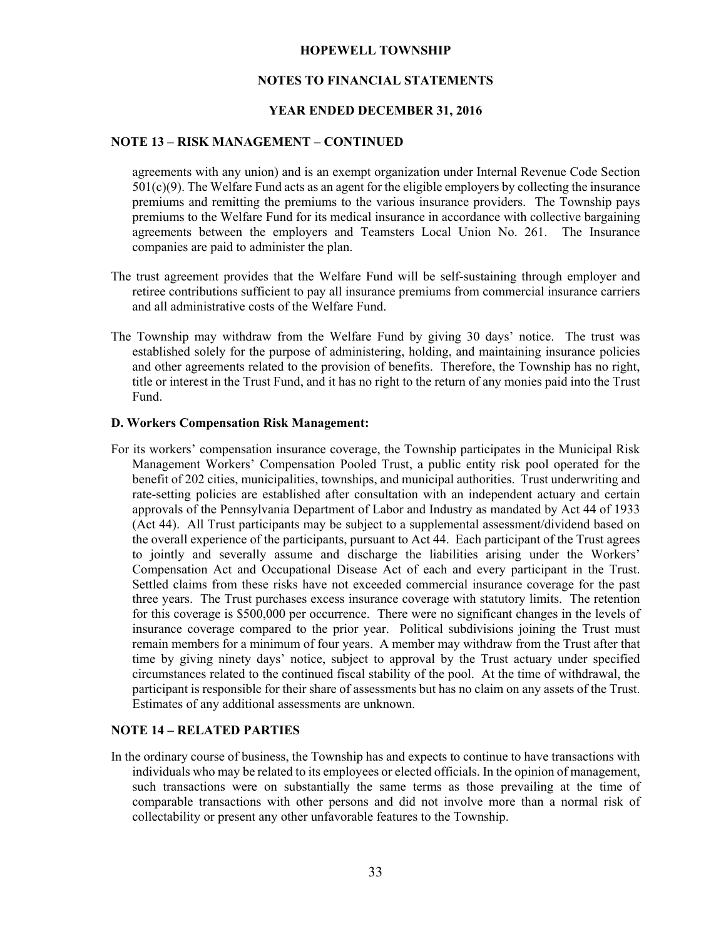# **NOTES TO FINANCIAL STATEMENTS**

## **YEAR ENDED DECEMBER 31, 2016**

#### **NOTE 13 – RISK MANAGEMENT – CONTINUED**

agreements with any union) and is an exempt organization under Internal Revenue Code Section 501(c)(9). The Welfare Fund acts as an agent for the eligible employers by collecting the insurance premiums and remitting the premiums to the various insurance providers. The Township pays premiums to the Welfare Fund for its medical insurance in accordance with collective bargaining agreements between the employers and Teamsters Local Union No. 261. The Insurance companies are paid to administer the plan.

- The trust agreement provides that the Welfare Fund will be self-sustaining through employer and retiree contributions sufficient to pay all insurance premiums from commercial insurance carriers and all administrative costs of the Welfare Fund.
- The Township may withdraw from the Welfare Fund by giving 30 days' notice. The trust was established solely for the purpose of administering, holding, and maintaining insurance policies and other agreements related to the provision of benefits. Therefore, the Township has no right, title or interest in the Trust Fund, and it has no right to the return of any monies paid into the Trust Fund.

## **D. Workers Compensation Risk Management:**

For its workers' compensation insurance coverage, the Township participates in the Municipal Risk Management Workers' Compensation Pooled Trust, a public entity risk pool operated for the benefit of 202 cities, municipalities, townships, and municipal authorities. Trust underwriting and rate-setting policies are established after consultation with an independent actuary and certain approvals of the Pennsylvania Department of Labor and Industry as mandated by Act 44 of 1933 (Act 44). All Trust participants may be subject to a supplemental assessment/dividend based on the overall experience of the participants, pursuant to Act 44. Each participant of the Trust agrees to jointly and severally assume and discharge the liabilities arising under the Workers' Compensation Act and Occupational Disease Act of each and every participant in the Trust. Settled claims from these risks have not exceeded commercial insurance coverage for the past three years. The Trust purchases excess insurance coverage with statutory limits. The retention for this coverage is \$500,000 per occurrence. There were no significant changes in the levels of insurance coverage compared to the prior year. Political subdivisions joining the Trust must remain members for a minimum of four years. A member may withdraw from the Trust after that time by giving ninety days' notice, subject to approval by the Trust actuary under specified circumstances related to the continued fiscal stability of the pool. At the time of withdrawal, the participant is responsible for their share of assessments but has no claim on any assets of the Trust. Estimates of any additional assessments are unknown.

# **NOTE 14 – RELATED PARTIES**

In the ordinary course of business, the Township has and expects to continue to have transactions with individuals who may be related to its employees or elected officials. In the opinion of management, such transactions were on substantially the same terms as those prevailing at the time of comparable transactions with other persons and did not involve more than a normal risk of collectability or present any other unfavorable features to the Township.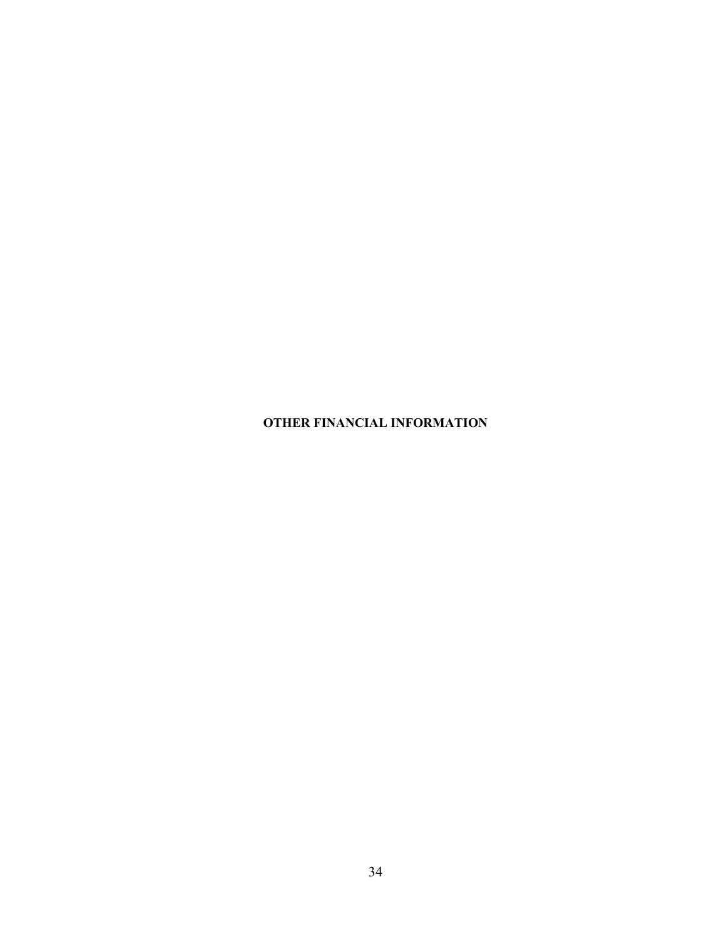# **OTHER FINANCIAL INFORMATION**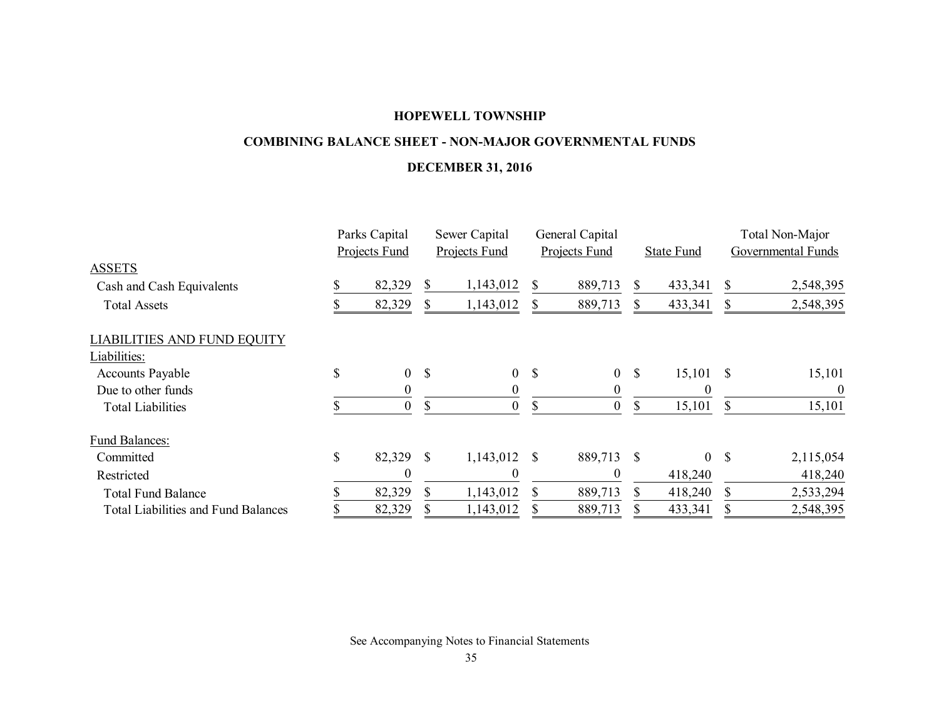# **COMBINING BALANCE SHEET - NON-MAJOR GOVERNMENTAL FUNDS**

# **DECEMBER 31, 2016**

|                                            | Parks Capital<br>Projects Fund |                  |               | Sewer Capital    |               | General Capital  |                   |                | Total Non-Major    |                  |
|--------------------------------------------|--------------------------------|------------------|---------------|------------------|---------------|------------------|-------------------|----------------|--------------------|------------------|
|                                            |                                |                  |               | Projects Fund    |               | Projects Fund    | <b>State Fund</b> |                | Governmental Funds |                  |
| <b>ASSETS</b>                              |                                |                  |               |                  |               |                  |                   |                |                    |                  |
| Cash and Cash Equivalents                  | \$                             | 82,329           | S             | 1,143,012        | \$            | 889,713          | S                 | 433,341        | S                  | 2,548,395        |
| <b>Total Assets</b>                        |                                | 82,329           | \$            | 1,143,012        | \$            | 889,713          | \$                | 433,341        | \$                 | 2,548,395        |
| <b>LIABILITIES AND FUND EQUITY</b>         |                                |                  |               |                  |               |                  |                   |                |                    |                  |
| Liabilities:                               |                                |                  |               |                  |               |                  |                   |                |                    |                  |
| <b>Accounts Payable</b>                    | \$                             | $\boldsymbol{0}$ | $\mathcal{S}$ | $\overline{0}$   | <sup>\$</sup> | $\overline{0}$   | $\mathbb{S}$      | $15,101$ \$    |                    | 15,101           |
| Due to other funds                         |                                | $\theta$         |               | 0                |               | 0                |                   |                |                    | $\boldsymbol{0}$ |
| <b>Total Liabilities</b>                   |                                | $\boldsymbol{0}$ | \$            | $\boldsymbol{0}$ | Λ.            | $\boldsymbol{0}$ | ъ.                | 15,101         | S.                 | 15,101           |
| Fund Balances:                             |                                |                  |               |                  |               |                  |                   |                |                    |                  |
| Committed                                  | \$                             | 82,329           | <sup>\$</sup> | $1,143,012$ \$   |               | 889,713          | \$                | $\overline{0}$ | $\mathbb{S}$       | 2,115,054        |
| Restricted                                 |                                |                  |               |                  |               |                  |                   | 418,240        |                    | 418,240          |
| <b>Total Fund Balance</b>                  |                                | 82,329           |               | 1,143,012        |               | 889,713          |                   | 418,240        | \$                 | 2,533,294        |
| <b>Total Liabilities and Fund Balances</b> |                                | 82,329           |               | 1,143,012        |               | 889,713          |                   | 433,341        |                    | 2,548,395        |

See Accompanying Notes to Financial Statements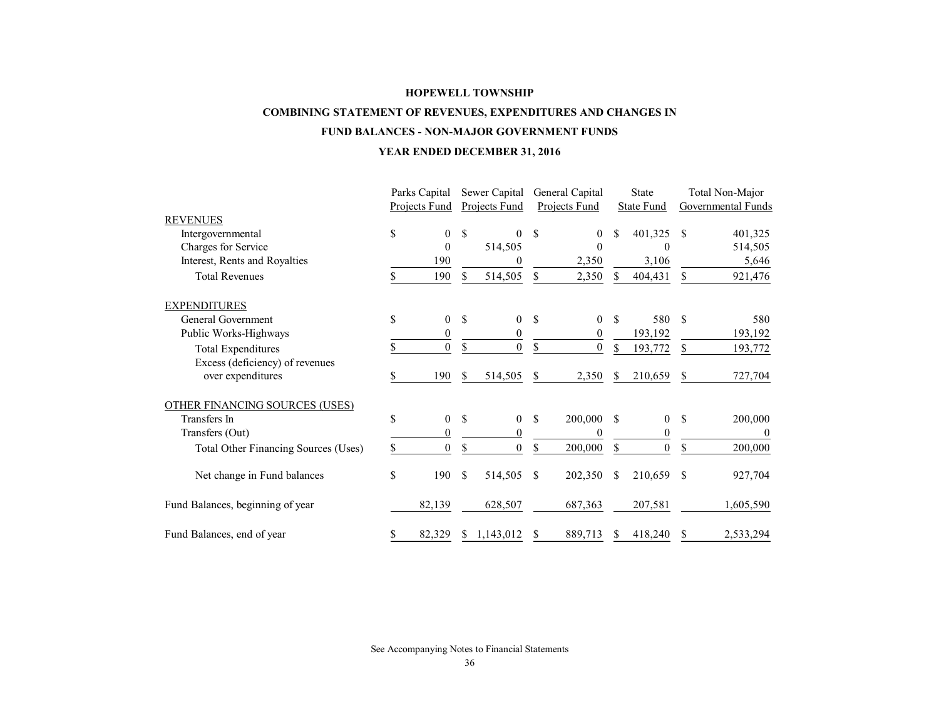# **COMBINING STATEMENT OF REVENUES, EXPENDITURES AND CHANGES IN FUND BALANCES - NON-MAJOR GOVERNMENT FUNDS**

# **YEAR ENDED DECEMBER 31, 2016**

|                                      | Parks Capital<br>Projects Fund |                  | Sewer Capital<br>Projects Fund |                  | General Capital<br>Projects Fund |                  | <b>State</b><br><b>State Fund</b> |              | Total Non-Major |                    |
|--------------------------------------|--------------------------------|------------------|--------------------------------|------------------|----------------------------------|------------------|-----------------------------------|--------------|-----------------|--------------------|
|                                      |                                |                  |                                |                  |                                  |                  |                                   |              |                 | Governmental Funds |
| <b>REVENUES</b>                      |                                |                  |                                |                  |                                  |                  |                                   |              |                 |                    |
| Intergovernmental                    | \$                             | $\boldsymbol{0}$ | \$                             | $\theta$         | <sup>\$</sup>                    | $\mathbf{0}$     | \$                                | 401,325      | -S              | 401,325            |
| Charges for Service                  |                                | 0                |                                | 514,505          |                                  | $\theta$         |                                   | $\theta$     |                 | 514,505            |
| Interest, Rents and Royalties        |                                | 190              |                                |                  |                                  | 2,350            |                                   | 3,106        |                 | 5,646              |
| <b>Total Revenues</b>                | S                              | 190              | \$                             | 514,505          | <sup>S</sup>                     | 2,350            | \$.                               | 404,431      | <sup>\$</sup>   | 921,476            |
| <b>EXPENDITURES</b>                  |                                |                  |                                |                  |                                  |                  |                                   |              |                 |                    |
| General Government                   | \$                             | $\theta$         | \$                             | $\theta$         | $\mathcal{S}$                    | $\theta$         | \$                                | 580          | - \$            | 580                |
| Public Works-Highways                |                                | $\overline{0}$   |                                | $\boldsymbol{0}$ |                                  | $\mathbf{0}$     |                                   | 193,192      |                 | 193,192            |
| <b>Total Expenditures</b>            |                                | $\mathbf{0}$     | \$                             | $\boldsymbol{0}$ | $\mathbf S$                      | $\boldsymbol{0}$ | \$                                | 193,772      | \$              | 193,772            |
| Excess (deficiency) of revenues      |                                |                  |                                |                  |                                  |                  |                                   |              |                 |                    |
| over expenditures                    | S                              | 190              | \$                             | 514,505          | \$                               | 2,350            | S                                 | 210,659      | <sup>\$</sup>   | 727,704            |
| OTHER FINANCING SOURCES (USES)       |                                |                  |                                |                  |                                  |                  |                                   |              |                 |                    |
| Transfers In                         | \$                             | $\Omega$         | S                              | $\theta$         | <sup>\$</sup>                    | 200,000          | <sup>\$</sup>                     | $\theta$     | -S              | 200,000            |
| Transfers (Out)                      |                                | $\theta$         |                                | 0                |                                  | $\Omega$         |                                   | $\theta$     |                 | $\boldsymbol{0}$   |
| Total Other Financing Sources (Uses) | \$                             | $\mathbf{0}$     | \$                             | $\theta$         | \$                               | 200,000          | \$                                | $\mathbf{0}$ | \$              | 200,000            |
| Net change in Fund balances          | \$                             | 190              | <sup>\$</sup>                  | 514,505          | <sup>\$</sup>                    | 202,350          | \$                                | 210,659      | -\$             | 927,704            |
| Fund Balances, beginning of year     |                                | 82,139           |                                | 628,507          |                                  | 687,363          |                                   | 207,581      |                 | 1,605,590          |
| Fund Balances, end of year           | \$                             | 82,329           | S.                             | 1,143,012        |                                  | 889,713          | S                                 | 418,240      |                 | 2,533,294          |

See Accompanying Notes to Financial Statements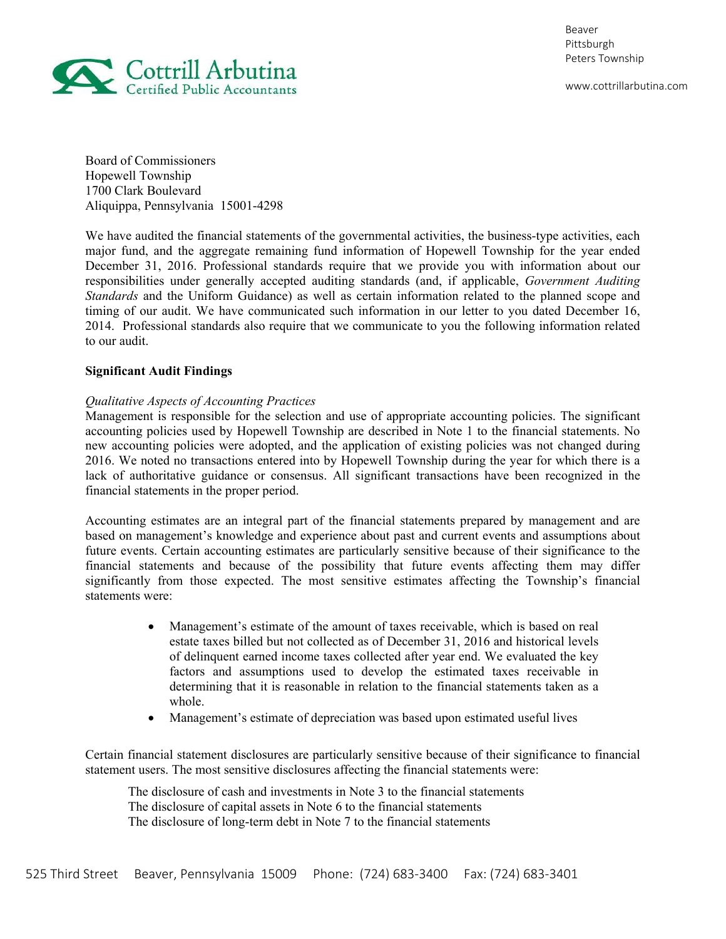Beaver Pittsburgh Peters Township

www.cottrillarbutina.com



Board of Commissioners Hopewell Township 1700 Clark Boulevard Aliquippa, Pennsylvania 15001-4298

We have audited the financial statements of the governmental activities, the business-type activities, each major fund, and the aggregate remaining fund information of Hopewell Township for the year ended December 31, 2016. Professional standards require that we provide you with information about our responsibilities under generally accepted auditing standards (and, if applicable, *Government Auditing Standards* and the Uniform Guidance) as well as certain information related to the planned scope and timing of our audit. We have communicated such information in our letter to you dated December 16, 2014. Professional standards also require that we communicate to you the following information related to our audit.

# **Significant Audit Findings**

# *Qualitative Aspects of Accounting Practices*

Management is responsible for the selection and use of appropriate accounting policies. The significant accounting policies used by Hopewell Township are described in Note 1 to the financial statements. No new accounting policies were adopted, and the application of existing policies was not changed during 2016. We noted no transactions entered into by Hopewell Township during the year for which there is a lack of authoritative guidance or consensus. All significant transactions have been recognized in the financial statements in the proper period.

Accounting estimates are an integral part of the financial statements prepared by management and are based on management's knowledge and experience about past and current events and assumptions about future events. Certain accounting estimates are particularly sensitive because of their significance to the financial statements and because of the possibility that future events affecting them may differ significantly from those expected. The most sensitive estimates affecting the Township's financial statements were:

- Management's estimate of the amount of taxes receivable, which is based on real estate taxes billed but not collected as of December 31, 2016 and historical levels of delinquent earned income taxes collected after year end. We evaluated the key factors and assumptions used to develop the estimated taxes receivable in determining that it is reasonable in relation to the financial statements taken as a whole.
- Management's estimate of depreciation was based upon estimated useful lives

Certain financial statement disclosures are particularly sensitive because of their significance to financial statement users. The most sensitive disclosures affecting the financial statements were:

The disclosure of cash and investments in Note 3 to the financial statements The disclosure of capital assets in Note 6 to the financial statements The disclosure of long-term debt in Note 7 to the financial statements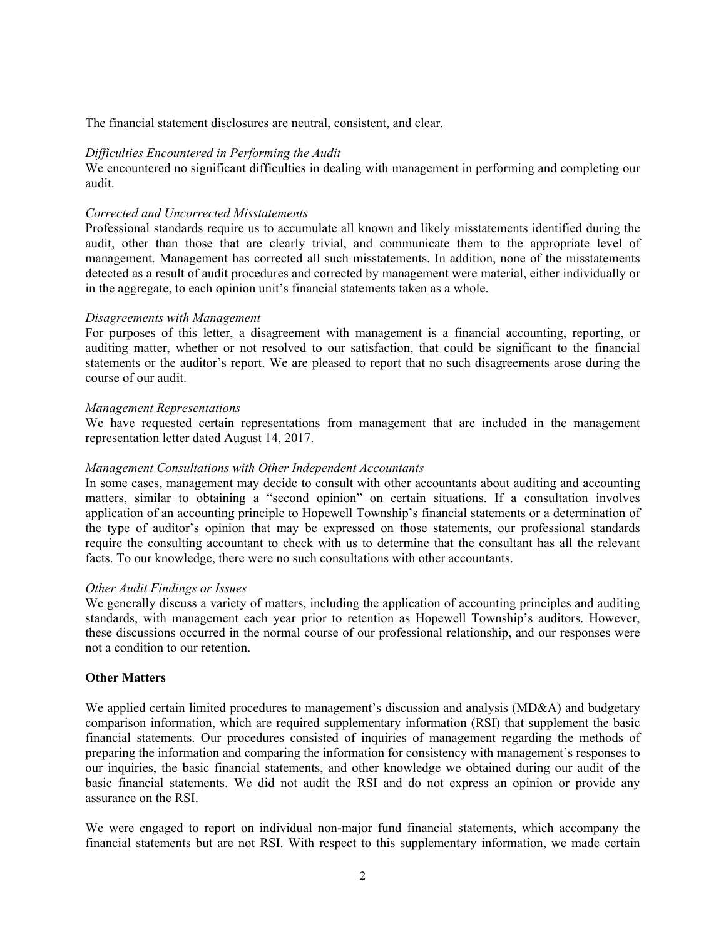The financial statement disclosures are neutral, consistent, and clear.

#### *Difficulties Encountered in Performing the Audit*

We encountered no significant difficulties in dealing with management in performing and completing our audit.

#### *Corrected and Uncorrected Misstatements*

Professional standards require us to accumulate all known and likely misstatements identified during the audit, other than those that are clearly trivial, and communicate them to the appropriate level of management. Management has corrected all such misstatements. In addition, none of the misstatements detected as a result of audit procedures and corrected by management were material, either individually or in the aggregate, to each opinion unit's financial statements taken as a whole.

#### *Disagreements with Management*

For purposes of this letter, a disagreement with management is a financial accounting, reporting, or auditing matter, whether or not resolved to our satisfaction, that could be significant to the financial statements or the auditor's report. We are pleased to report that no such disagreements arose during the course of our audit.

#### *Management Representations*

We have requested certain representations from management that are included in the management representation letter dated August 14, 2017.

#### *Management Consultations with Other Independent Accountants*

In some cases, management may decide to consult with other accountants about auditing and accounting matters, similar to obtaining a "second opinion" on certain situations. If a consultation involves application of an accounting principle to Hopewell Township's financial statements or a determination of the type of auditor's opinion that may be expressed on those statements, our professional standards require the consulting accountant to check with us to determine that the consultant has all the relevant facts. To our knowledge, there were no such consultations with other accountants.

#### *Other Audit Findings or Issues*

We generally discuss a variety of matters, including the application of accounting principles and auditing standards, with management each year prior to retention as Hopewell Township's auditors. However, these discussions occurred in the normal course of our professional relationship, and our responses were not a condition to our retention.

# **Other Matters**

We applied certain limited procedures to management's discussion and analysis (MD&A) and budgetary comparison information, which are required supplementary information (RSI) that supplement the basic financial statements. Our procedures consisted of inquiries of management regarding the methods of preparing the information and comparing the information for consistency with management's responses to our inquiries, the basic financial statements, and other knowledge we obtained during our audit of the basic financial statements. We did not audit the RSI and do not express an opinion or provide any assurance on the RSI.

We were engaged to report on individual non-major fund financial statements, which accompany the financial statements but are not RSI. With respect to this supplementary information, we made certain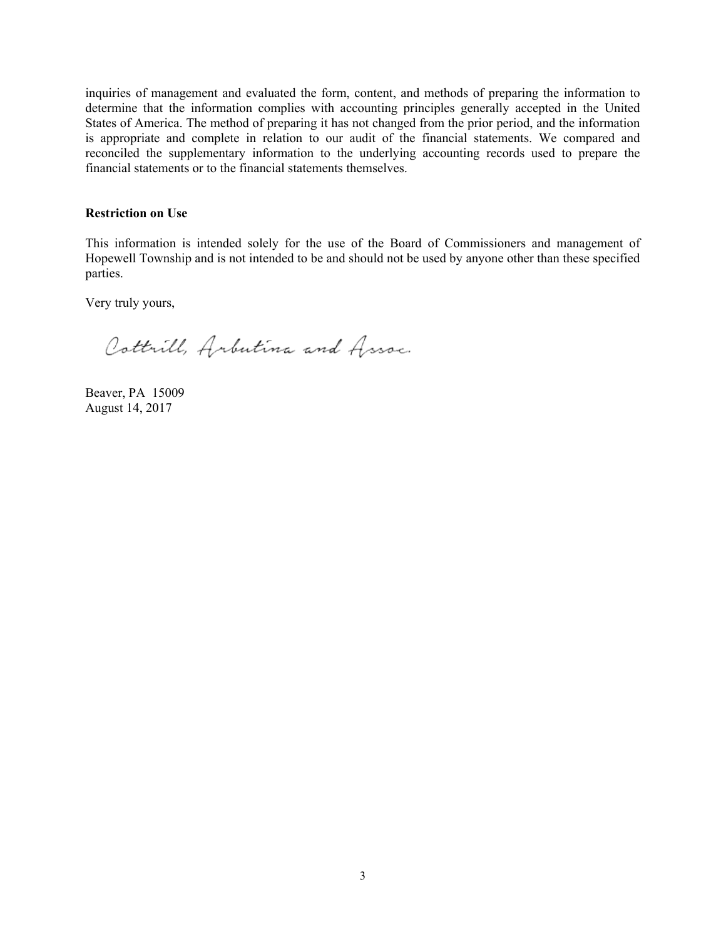inquiries of management and evaluated the form, content, and methods of preparing the information to determine that the information complies with accounting principles generally accepted in the United States of America. The method of preparing it has not changed from the prior period, and the information is appropriate and complete in relation to our audit of the financial statements. We compared and reconciled the supplementary information to the underlying accounting records used to prepare the financial statements or to the financial statements themselves.

#### **Restriction on Use**

This information is intended solely for the use of the Board of Commissioners and management of Hopewell Township and is not intended to be and should not be used by anyone other than these specified parties.

Very truly yours,

Cottrill, Arbutina and Assoc.

[Beaver, PA 15009](http://www.rightsignature.com/documents/TRBT3HJCDKSV8T2TKSXDT7)  August 14, 2017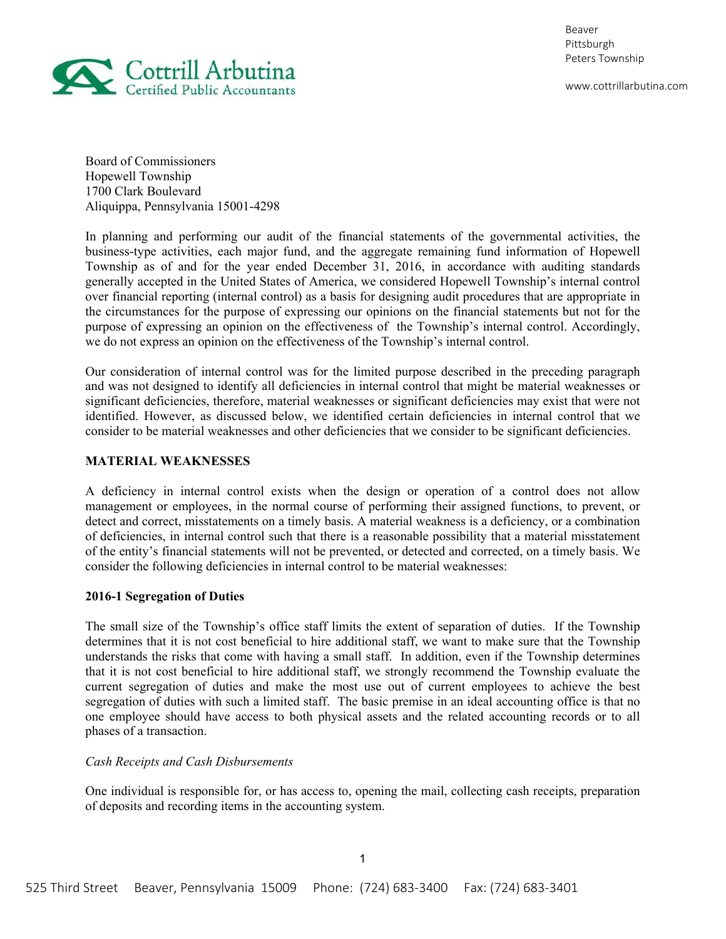Beaver Pittsburgh Peters Township

www.cottrillarbutina.com



Board of Commissioners Hopewell Township 1700 Clark Boulevard Aliquippa, Pennsylvania 15001-4298

In planning and performing our audit of the financial statements of the governmental activities, the business-type activities, each major fund, and the aggregate remaining fund information of Hopewell Township as of and for the year ended December 31, 2016, in accordance with auditing standards generally accepted in the United States of America, we considered Hopewell Township's internal control over financial reporting (internal control) as a basis for designing audit procedures that are appropriate in the circumstances for the purpose of expressing our opinions on the financial statements but not for the purpose of expressing an opinion on the effectiveness of the Township's internal control. Accordingly, we do not express an opinion on the effectiveness of the Township's internal control.

Our consideration of internal control was for the limited purpose described in the preceding paragraph and was not designed to identify all deficiencies in internal control that might be material weaknesses or significant deficiencies, therefore, material weaknesses or significant deficiencies may exist that were not identified. However, as discussed below, we identified certain deficiencies in internal control that we consider to be material weaknesses and other deficiencies that we consider to be significant deficiencies.

## **MATERIAL WEAKNESSES**

A deficiency in internal control exists when the design or operation of a control does not allow management or employees, in the normal course of performing their assigned functions, to prevent, or detect and correct, misstatements on a timely basis. A material weakness is a deficiency, or a combination of deficiencies, in internal control such that there is a reasonable possibility that a material misstatement of the entity's financial statements will not be prevented, or detected and corrected, on a timely basis. We consider the following deficiencies in internal control to be material weaknesses:

#### **2016-1 Segregation of Duties**

The small size of the Township's office staff limits the extent of separation of duties. If the Township determines that it is not cost beneficial to hire additional staff, we want to make sure that the Township understands the risks that come with having a small staff. In addition, even if the Township determines that it is not cost beneficial to hire additional staff, we strongly recommend the Township evaluate the current segregation of duties and make the most use out of current employees to achieve the best segregation of duties with such a limited staff. The basic premise in an ideal accounting office is that no one employee should have access to both physical assets and the related accounting records or to all phases of a transaction.

#### *Cash Receipts and Cash Disbursements*

One individual is responsible for, or has access to, opening the mail, collecting cash receipts, preparation of deposits and recording items in the accounting system.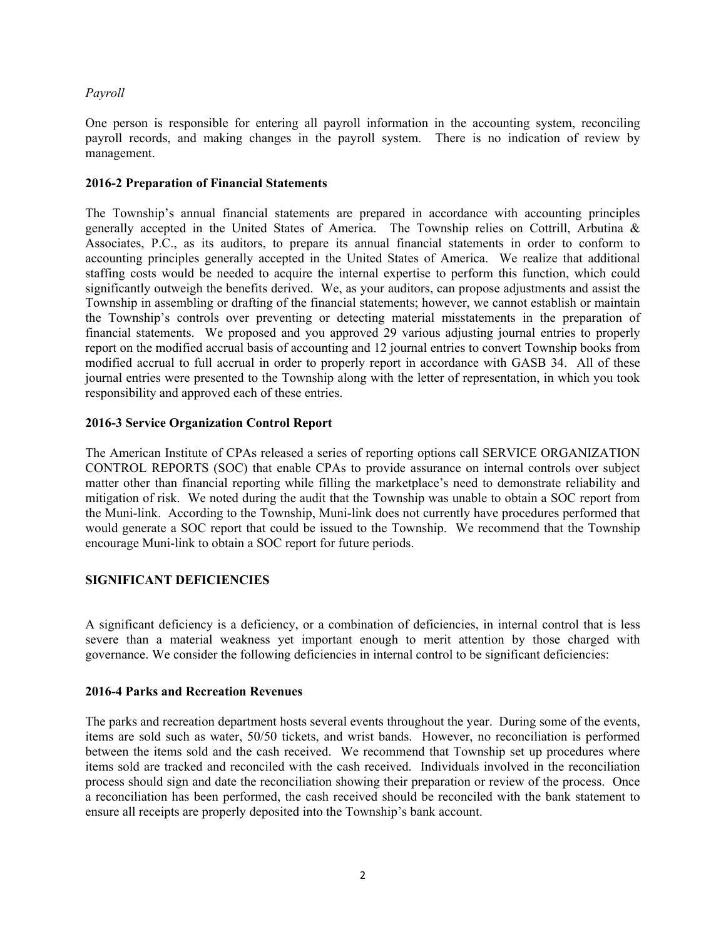# *Payroll*

One person is responsible for entering all payroll information in the accounting system, reconciling payroll records, and making changes in the payroll system. There is no indication of review by management.

# **2016-2 Preparation of Financial Statements**

The Township's annual financial statements are prepared in accordance with accounting principles generally accepted in the United States of America. The Township relies on Cottrill, Arbutina & Associates, P.C., as its auditors, to prepare its annual financial statements in order to conform to accounting principles generally accepted in the United States of America. We realize that additional staffing costs would be needed to acquire the internal expertise to perform this function, which could significantly outweigh the benefits derived. We, as your auditors, can propose adjustments and assist the Township in assembling or drafting of the financial statements; however, we cannot establish or maintain the Township's controls over preventing or detecting material misstatements in the preparation of financial statements. We proposed and you approved 29 various adjusting journal entries to properly report on the modified accrual basis of accounting and 12 journal entries to convert Township books from modified accrual to full accrual in order to properly report in accordance with GASB 34. All of these journal entries were presented to the Township along with the letter of representation, in which you took responsibility and approved each of these entries.

# **2016-3 Service Organization Control Report**

The American Institute of CPAs released a series of reporting options call SERVICE ORGANIZATION CONTROL REPORTS (SOC) that enable CPAs to provide assurance on internal controls over subject matter other than financial reporting while filling the marketplace's need to demonstrate reliability and mitigation of risk. We noted during the audit that the Township was unable to obtain a SOC report from the Muni-link. According to the Township, Muni-link does not currently have procedures performed that would generate a SOC report that could be issued to the Township. We recommend that the Township encourage Muni-link to obtain a SOC report for future periods.

# **SIGNIFICANT DEFICIENCIES**

A significant deficiency is a deficiency, or a combination of deficiencies, in internal control that is less severe than a material weakness yet important enough to merit attention by those charged with governance. We consider the following deficiencies in internal control to be significant deficiencies:

# **2016-4 Parks and Recreation Revenues**

The parks and recreation department hosts several events throughout the year. During some of the events, items are sold such as water, 50/50 tickets, and wrist bands. However, no reconciliation is performed between the items sold and the cash received. We recommend that Township set up procedures where items sold are tracked and reconciled with the cash received. Individuals involved in the reconciliation process should sign and date the reconciliation showing their preparation or review of the process. Once a reconciliation has been performed, the cash received should be reconciled with the bank statement to ensure all receipts are properly deposited into the Township's bank account.